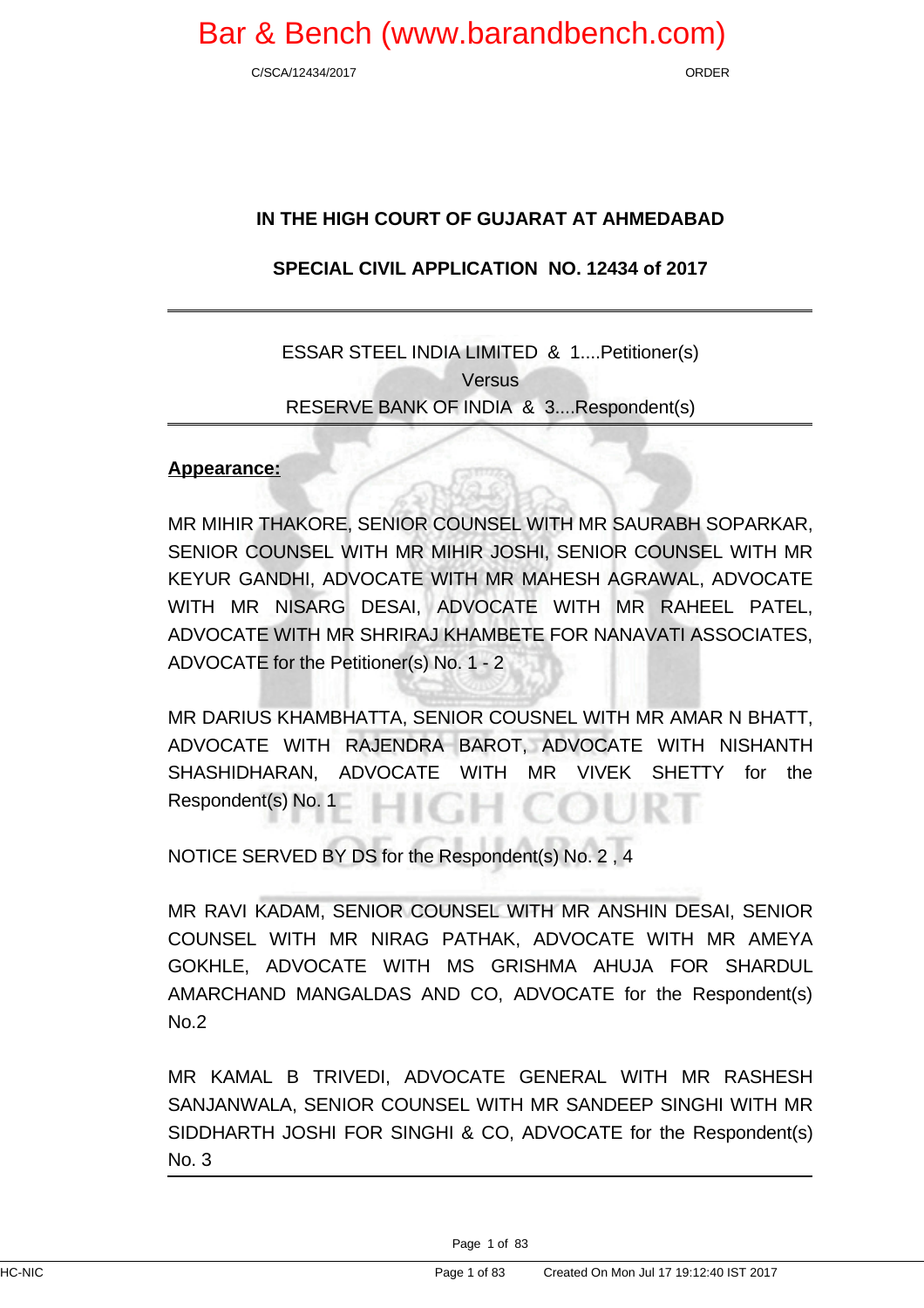C/SCA/12434/2017 ORDER

### **IN THE HIGH COURT OF GUJARAT AT AHMEDABAD**

### **SPECIAL CIVIL APPLICATION NO. 12434 of 2017**

### ESSAR STEEL INDIA LIMITED & 1....Petitioner(s) **Versus** RESERVE BANK OF INDIA & 3....Respondent(s)

### **Appearance:**

MR MIHIR THAKORE, SENIOR COUNSEL WITH MR SAURABH SOPARKAR, SENIOR COUNSEL WITH MR MIHIR JOSHI, SENIOR COUNSEL WITH MR KEYUR GANDHI, ADVOCATE WITH MR MAHESH AGRAWAL, ADVOCATE WITH MR NISARG DESAI, ADVOCATE WITH MR RAHEEL PATEL, ADVOCATE WITH MR SHRIRAJ KHAMBETE FOR NANAVATI ASSOCIATES, ADVOCATE for the Petitioner(s) No. 1 - 2

MR DARIUS KHAMBHATTA, SENIOR COUSNEL WITH MR AMAR N BHATT, ADVOCATE WITH RAJENDRA BAROT, ADVOCATE WITH NISHANTH SHASHIDHARAN, ADVOCATE WITH MR VIVEK SHETTY for the Respondent(s) No. 1

NOTICE SERVED BY DS for the Respondent(s) No. 2 , 4

MR RAVI KADAM, SENIOR COUNSEL WITH MR ANSHIN DESAI, SENIOR COUNSEL WITH MR NIRAG PATHAK, ADVOCATE WITH MR AMEYA GOKHLE, ADVOCATE WITH MS GRISHMA AHUJA FOR SHARDUL AMARCHAND MANGALDAS AND CO, ADVOCATE for the Respondent(s) No.2

MR KAMAL B TRIVEDI, ADVOCATE GENERAL WITH MR RASHESH SANJANWALA, SENIOR COUNSEL WITH MR SANDEEP SINGHI WITH MR SIDDHARTH JOSHI FOR SINGHI & CO, ADVOCATE for the Respondent(s) No. 3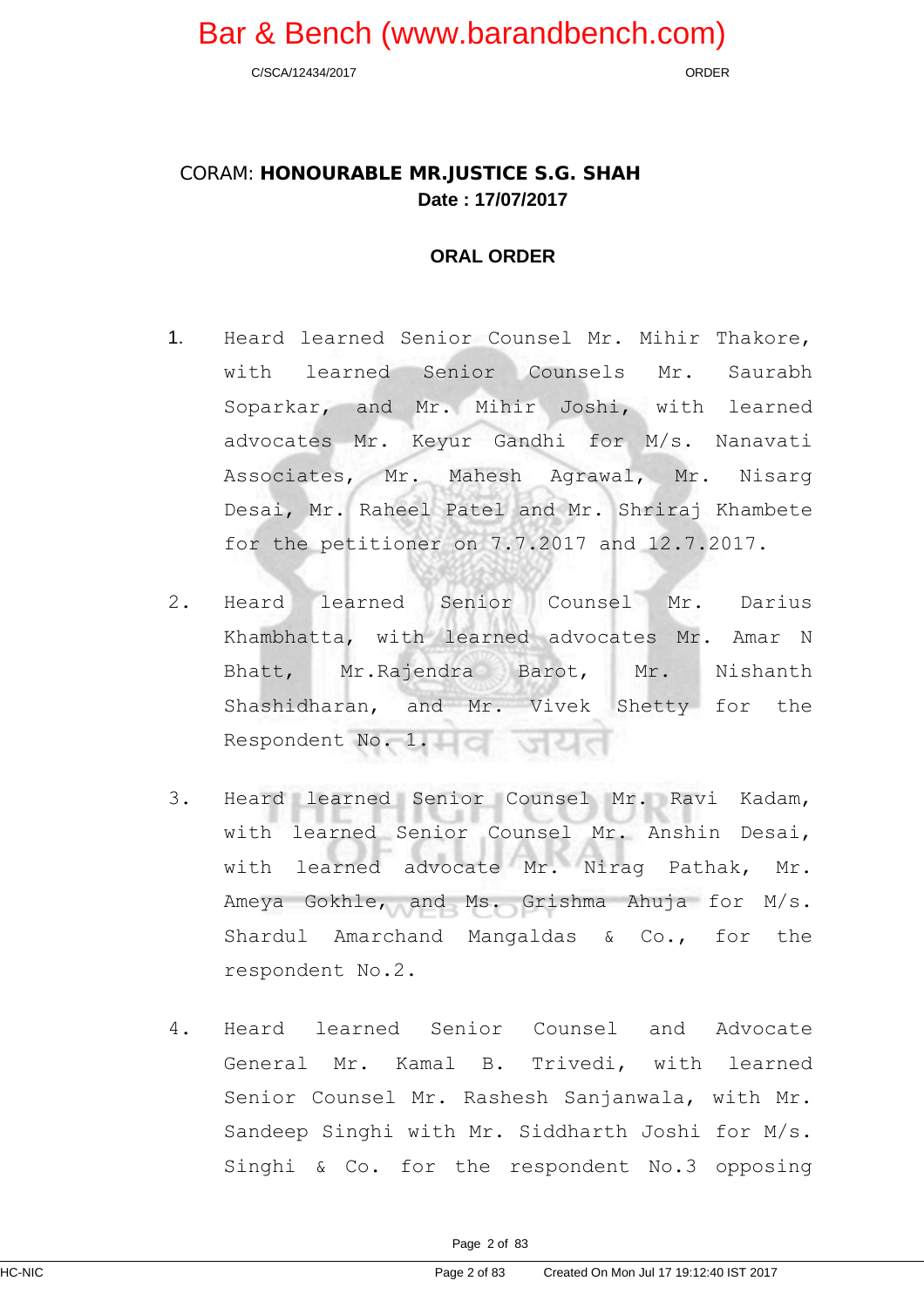C/SCA/12434/2017 ORDER

### CORAM: **HONOURABLE MR.JUSTICE S.G. SHAH Date : 17/07/2017**

### **ORAL ORDER**

- 1. Heard learned Senior Counsel Mr. Mihir Thakore, with learned Senior Counsels Mr. Saurabh Soparkar, and Mr. Mihir Joshi, with learned advocates Mr. Keyur Gandhi for M/s. Nanavati Associates, Mr. Mahesh Agrawal, Mr. Nisarg Desai, Mr. Raheel Patel and Mr. Shriraj Khambete for the petitioner on 7.7.2017 and 12.7.2017.
- 2. Heard learned Senior Counsel Mr. Darius Khambhatta, with learned advocates Mr. Amar N Bhatt, Mr.Rajendra Barot, Mr. Nishanth Shashidharan, and Mr. Vivek Shetty for the Respondent No. 1.
- 3. Heard learned Senior Counsel Mr. Ravi Kadam, with learned Senior Counsel Mr. Anshin Desai, with learned advocate Mr. Nirag Pathak, Mr. Ameya Gokhle, and Ms. Grishma Ahuja for M/s. Shardul Amarchand Mangaldas & Co., for the respondent No.2.
- 4. Heard learned Senior Counsel and Advocate General Mr. Kamal B. Trivedi, with learned Senior Counsel Mr. Rashesh Sanjanwala, with Mr. Sandeep Singhi with Mr. Siddharth Joshi for M/s. Singhi & Co. for the respondent No.3 opposing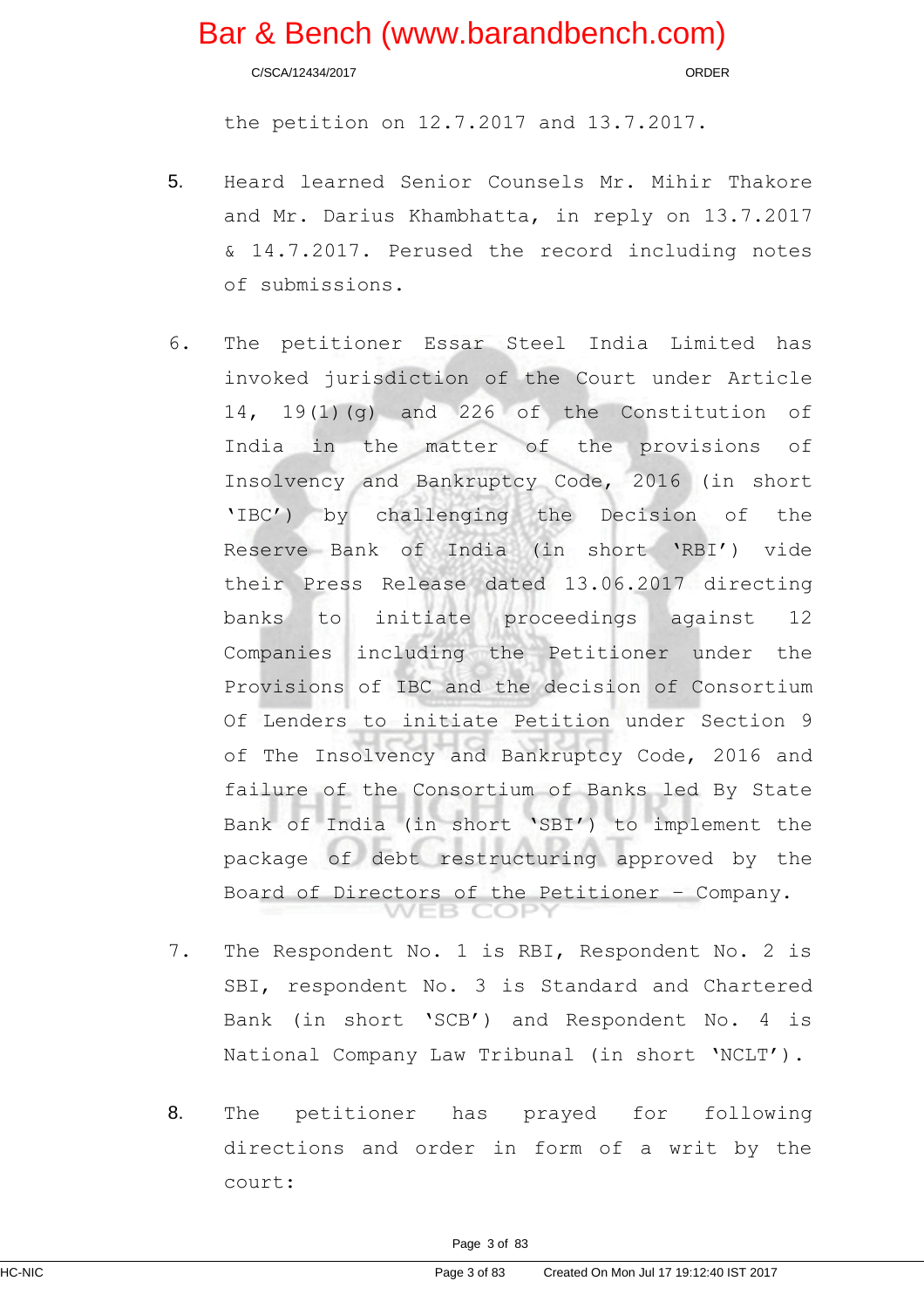C/SCA/12434/2017 ORDER

the petition on 12.7.2017 and 13.7.2017.

- 5. Heard learned Senior Counsels Mr. Mihir Thakore and Mr. Darius Khambhatta, in reply on 13.7.2017 & 14.7.2017. Perused the record including notes of submissions.
- 6. The petitioner Essar Steel India Limited has invoked jurisdiction of the Court under Article 14, 19(1)(g) and 226 of the Constitution of India in the matter of the provisions of Insolvency and Bankruptcy Code, 2016 (in short 'IBC') by challenging the Decision of the Reserve Bank of India (in short 'RBI') vide their Press Release dated 13.06.2017 directing banks to initiate proceedings against 12 Companies including the Petitioner under the Provisions of IBC and the decision of Consortium Of Lenders to initiate Petition under Section 9 of The Insolvency and Bankruptcy Code, 2016 and failure of the Consortium of Banks led By State Bank of India (in short 'SBI') to implement the package of debt restructuring approved by the Board of Directors of the Petitioner – Company.
- 7. The Respondent No. 1 is RBI, Respondent No. 2 is SBI, respondent No. 3 is Standard and Chartered Bank (in short 'SCB') and Respondent No. 4 is National Company Law Tribunal (in short 'NCLT').
- 8. The petitioner has prayed for following directions and order in form of a writ by the court: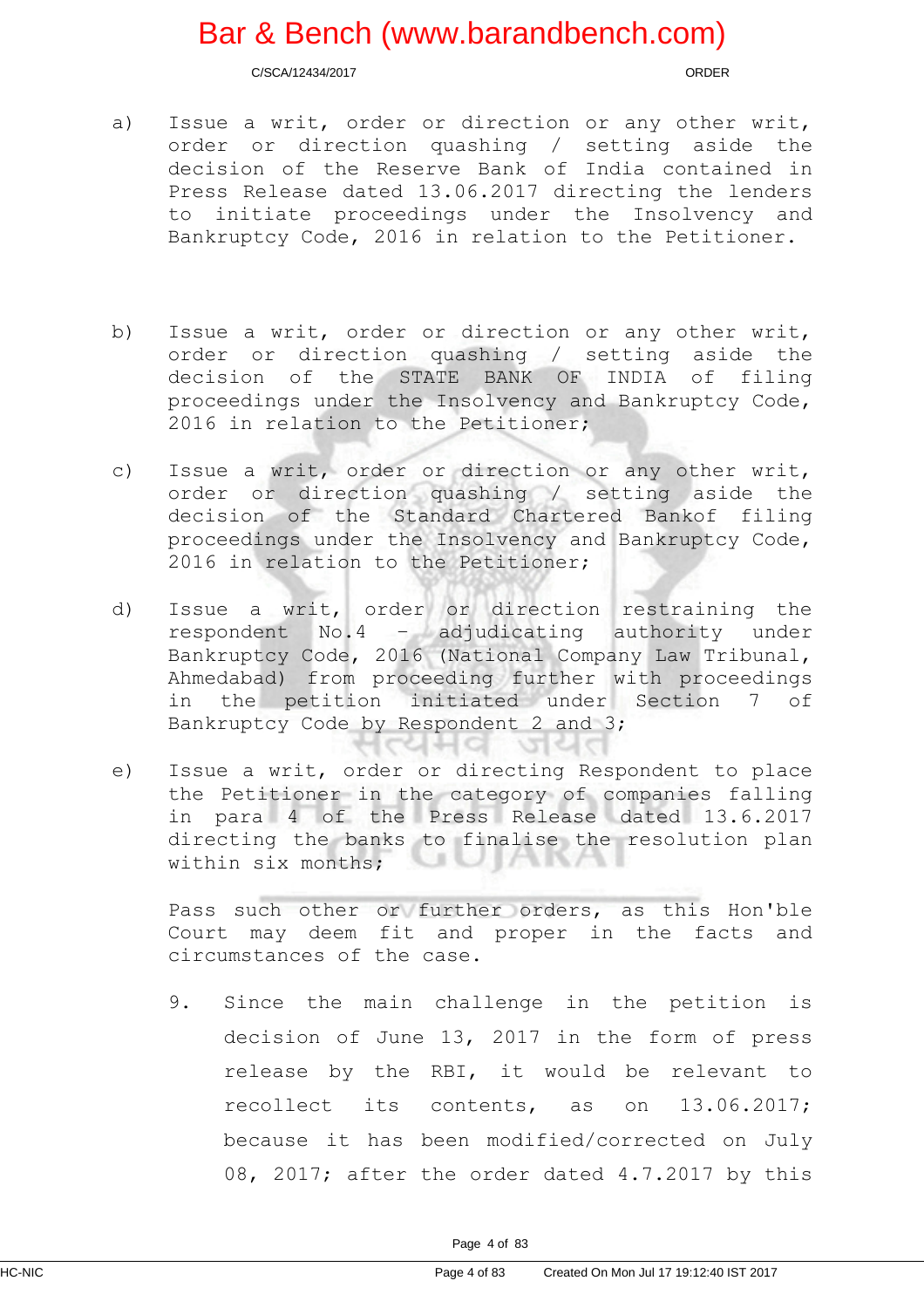C/SCA/12434/2017 ORDER

- a) Issue a writ, order or direction or any other writ, order or direction quashing / setting aside the decision of the Reserve Bank of India contained in Press Release dated 13.06.2017 directing the lenders to initiate proceedings under the Insolvency and Bankruptcy Code, 2016 in relation to the Petitioner.
- b) Issue a writ, order or direction or any other writ, order or direction quashing / setting aside the decision of the STATE BANK OF INDIA of filing proceedings under the Insolvency and Bankruptcy Code, 2016 in relation to the Petitioner;
- c) Issue a writ, order or direction or any other writ, order or direction quashing / setting aside the decision of the Standard Chartered Bankof filing proceedings under the Insolvency and Bankruptcy Code, 2016 in relation to the Petitioner;
- d) Issue a writ, order or direction restraining the respondent No.4 – adjudicating authority under Bankruptcy Code, 2016 (National Company Law Tribunal, Ahmedabad) from proceeding further with proceedings in the petition initiated under Section 7 of Bankruptcy Code by Respondent 2 and 3;
- e) Issue a writ, order or directing Respondent to place the Petitioner in the category of companies falling in para 4 of the Press Release dated 13.6.2017 directing the banks to finalise the resolution plan within six months;

 $C4H9$ 

Pass such other or further orders, as this Hon'ble Court may deem fit and proper in the facts and circumstances of the case.

जयत

9. Since the main challenge in the petition is decision of June 13, 2017 in the form of press release by the RBI, it would be relevant to recollect its contents, as on 13.06.2017; because it has been modified/corrected on July 08, 2017; after the order dated 4.7.2017 by this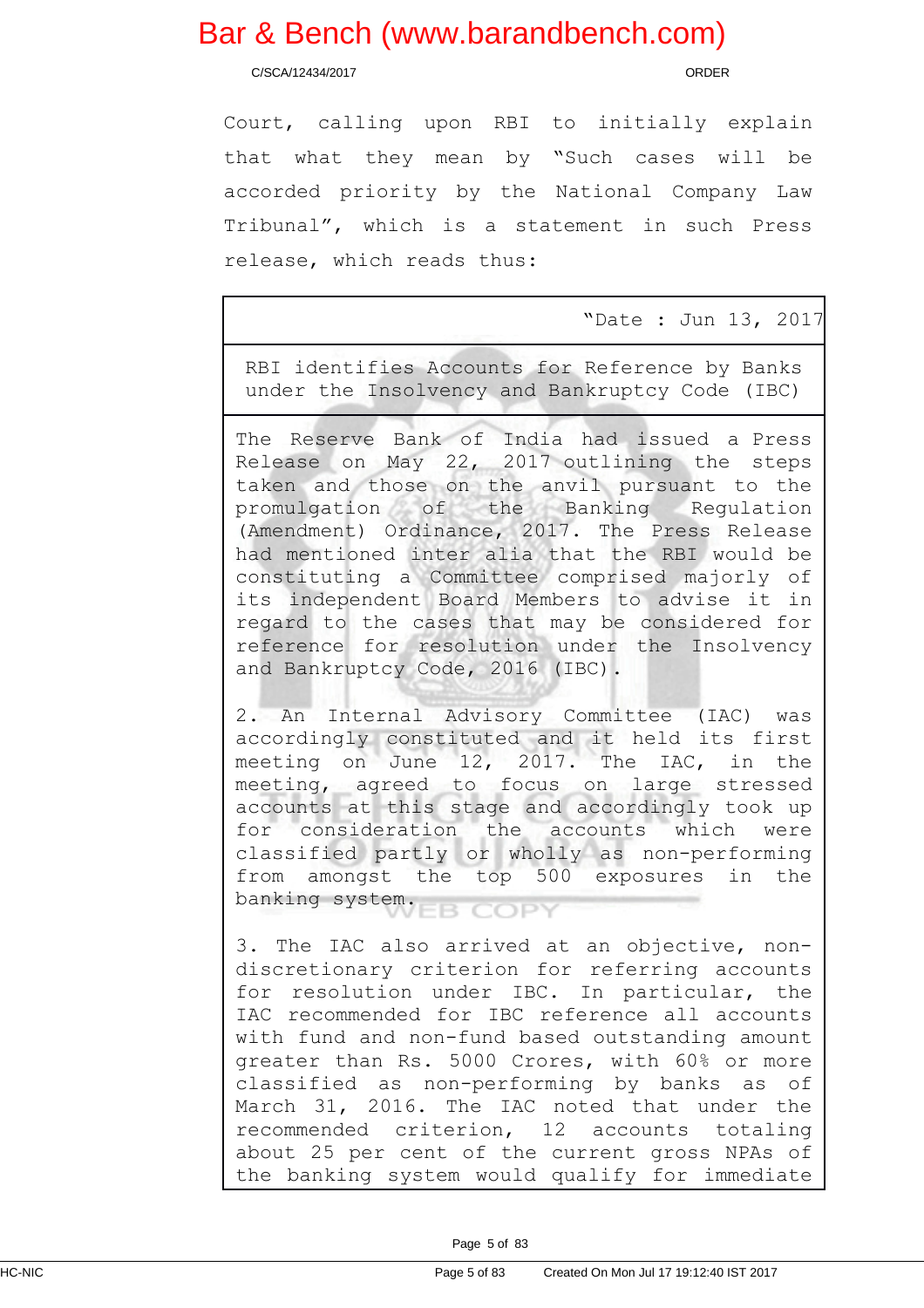C/SCA/12434/2017 ORDER

Court, calling upon RBI to initially explain that what they mean by "Such cases will be accorded priority by the National Company Law Tribunal", which is a statement in such Press release, which reads thus:

"Date : Jun 13, 2017

RBI identifies Accounts for Reference by Banks under the Insolvency and Bankruptcy Code (IBC)

The Reserve Bank of India had issued a Press Release on May 22, 2017 outlining the steps taken and those on the anvil pursuant to the promulgation of the Banking Regulation (Amendment) Ordinance, 2017. The Press Release had mentioned inter alia that the RBI would be constituting a Committee comprised majorly of its independent Board Members to advise it in regard to the cases that may be considered for reference for resolution under the Insolvency and Bankruptcy Code, 2016 (IBC).

2. An Internal Advisory Committee (IAC) was accordingly constituted and it held its first meeting on June 12, 2017. The IAC, in the meeting, agreed to focus on large stressed accounts at this stage and accordingly took up for consideration the accounts which were classified partly or wholly as non-performing from amongst the top 500 exposures in the banking system. B COPY

3. The IAC also arrived at an objective, nondiscretionary criterion for referring accounts for resolution under IBC. In particular, the IAC recommended for IBC reference all accounts with fund and non-fund based outstanding amount greater than Rs. 5000 Crores, with 60% or more classified as non-performing by banks as of March 31, 2016. The IAC noted that under the recommended criterion, 12 accounts totaling about 25 per cent of the current gross NPAs of the banking system would qualify for immediate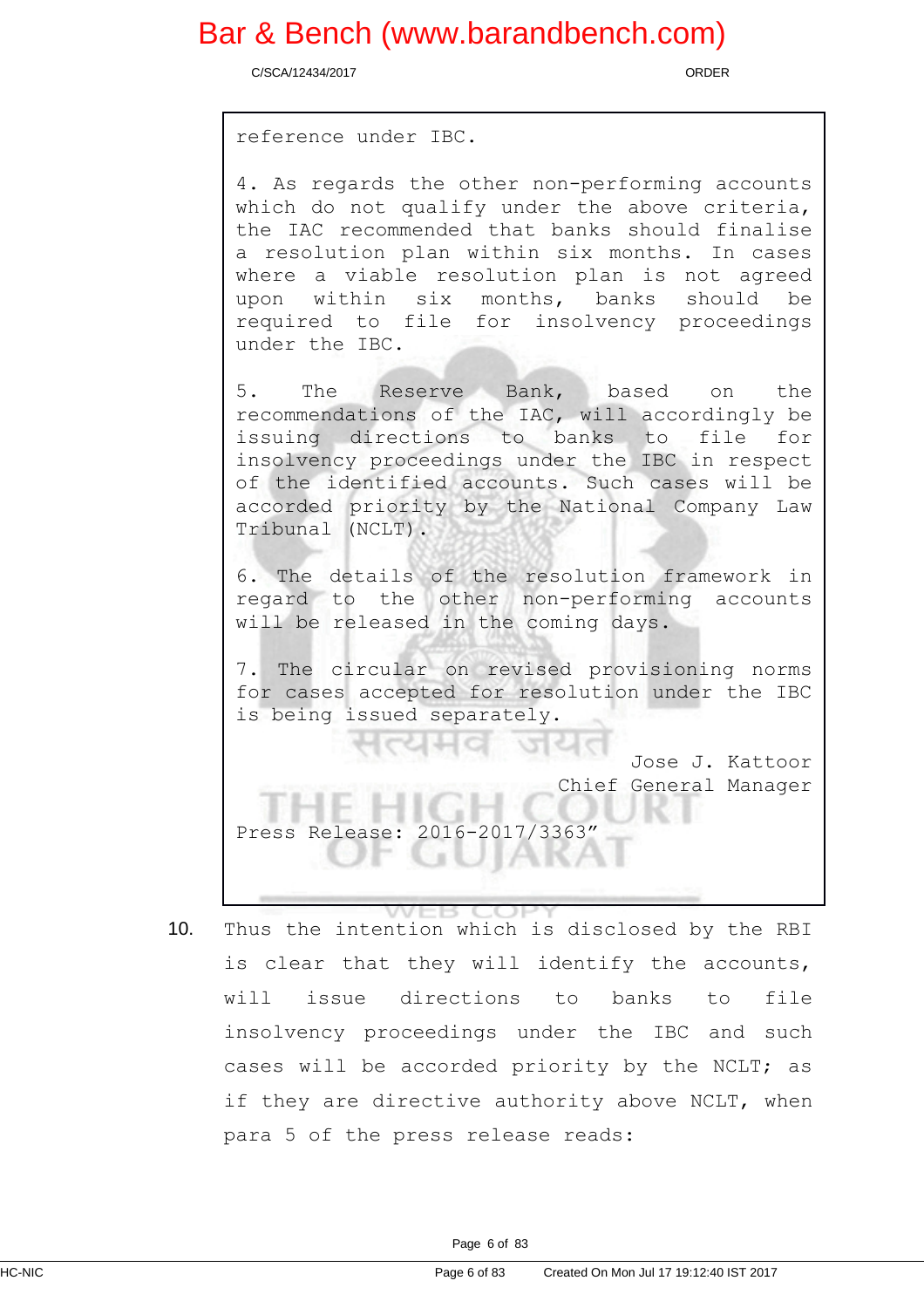C/SCA/12434/2017 ORDER

reference under IBC.

4. As regards the other non-performing accounts which do not qualify under the above criteria, the IAC recommended that banks should finalise a resolution plan within six months. In cases where a viable resolution plan is not agreed upon within six months, banks should be required to file for insolvency proceedings under the IBC.

5. The Reserve Bank, based on the recommendations of the IAC, will accordingly be issuing directions to banks to file for insolvency proceedings under the IBC in respect of the identified accounts. Such cases will be accorded priority by the National Company Law Tribunal (NCLT).

6. The details of the resolution framework in regard to the other non-performing accounts will be released in the coming days.

7. The circular on revised provisioning norms for cases accepted for resolution under the IBC is being issued separately.

> Jose J. Kattoor Chief General Manager

Press Release: 2016-2017/3363"

10. Thus the intention which is disclosed by the RBI is clear that they will identify the accounts, will issue directions to banks to file insolvency proceedings under the IBC and such cases will be accorded priority by the NCLT; as if they are directive authority above NCLT, when para 5 of the press release reads: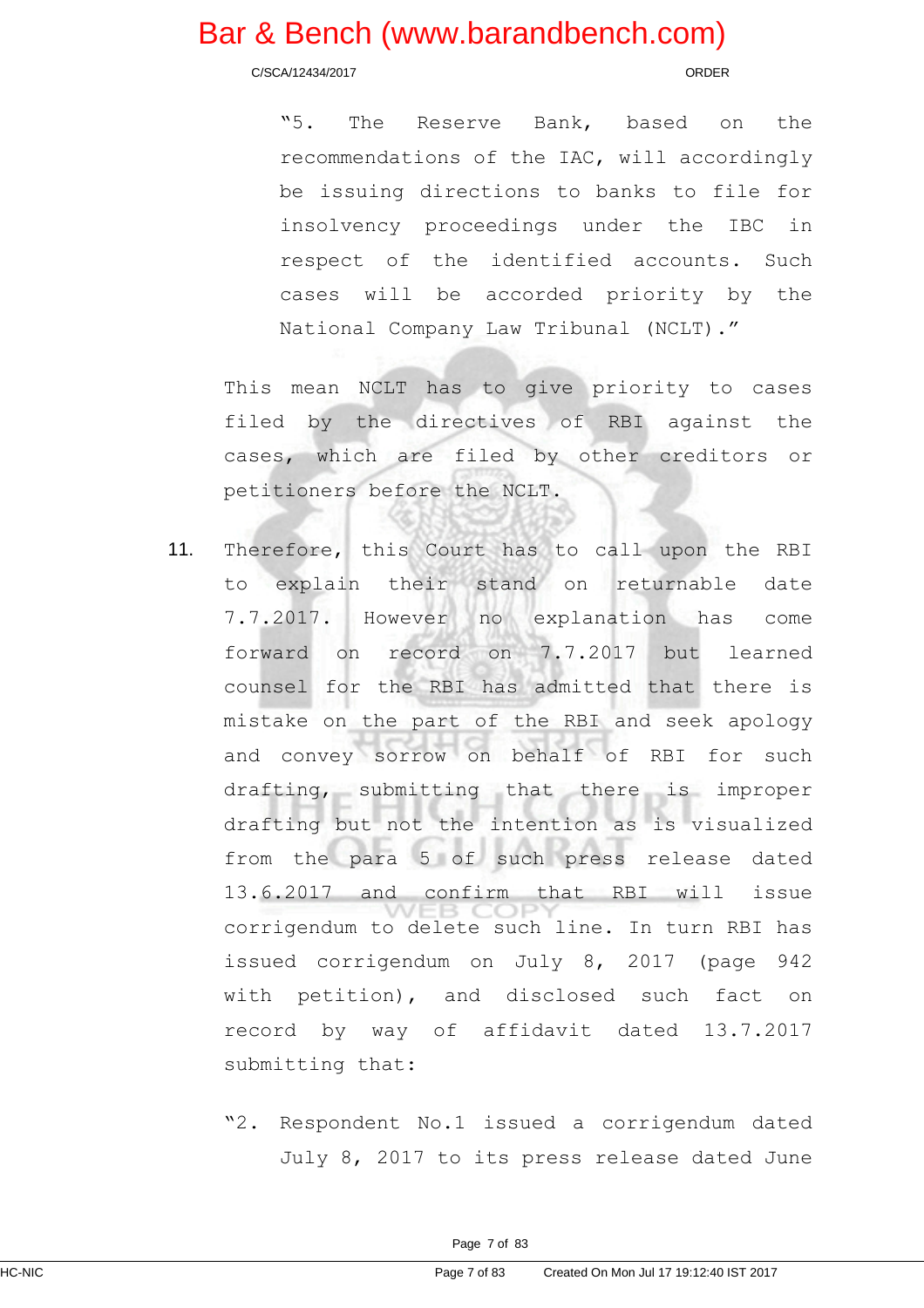C/SCA/12434/2017 ORDER

"5. The Reserve Bank, based on the recommendations of the IAC, will accordingly be issuing directions to banks to file for insolvency proceedings under the IBC in respect of the identified accounts. Such cases will be accorded priority by the National Company Law Tribunal (NCLT)."

This mean NCLT has to give priority to cases filed by the directives of RBI against the cases, which are filed by other creditors or petitioners before the NCLT.

- 11. Therefore, this Court has to call upon the RBI to explain their stand on returnable date 7.7.2017. However no explanation has come forward on record on 7.7.2017 but learned counsel for the RBI has admitted that there is mistake on the part of the RBI and seek apology and convey sorrow on behalf of RBI for such drafting, submitting that there is improper drafting but not the intention as is visualized from the para 5 of such press release dated 13.6.2017 and confirm that RBI will issue corrigendum to delete such line. In turn RBI has issued corrigendum on July 8, 2017 (page 942 with petition), and disclosed such fact on record by way of affidavit dated 13.7.2017 submitting that:
	- "2. Respondent No.1 issued a corrigendum dated July 8, 2017 to its press release dated June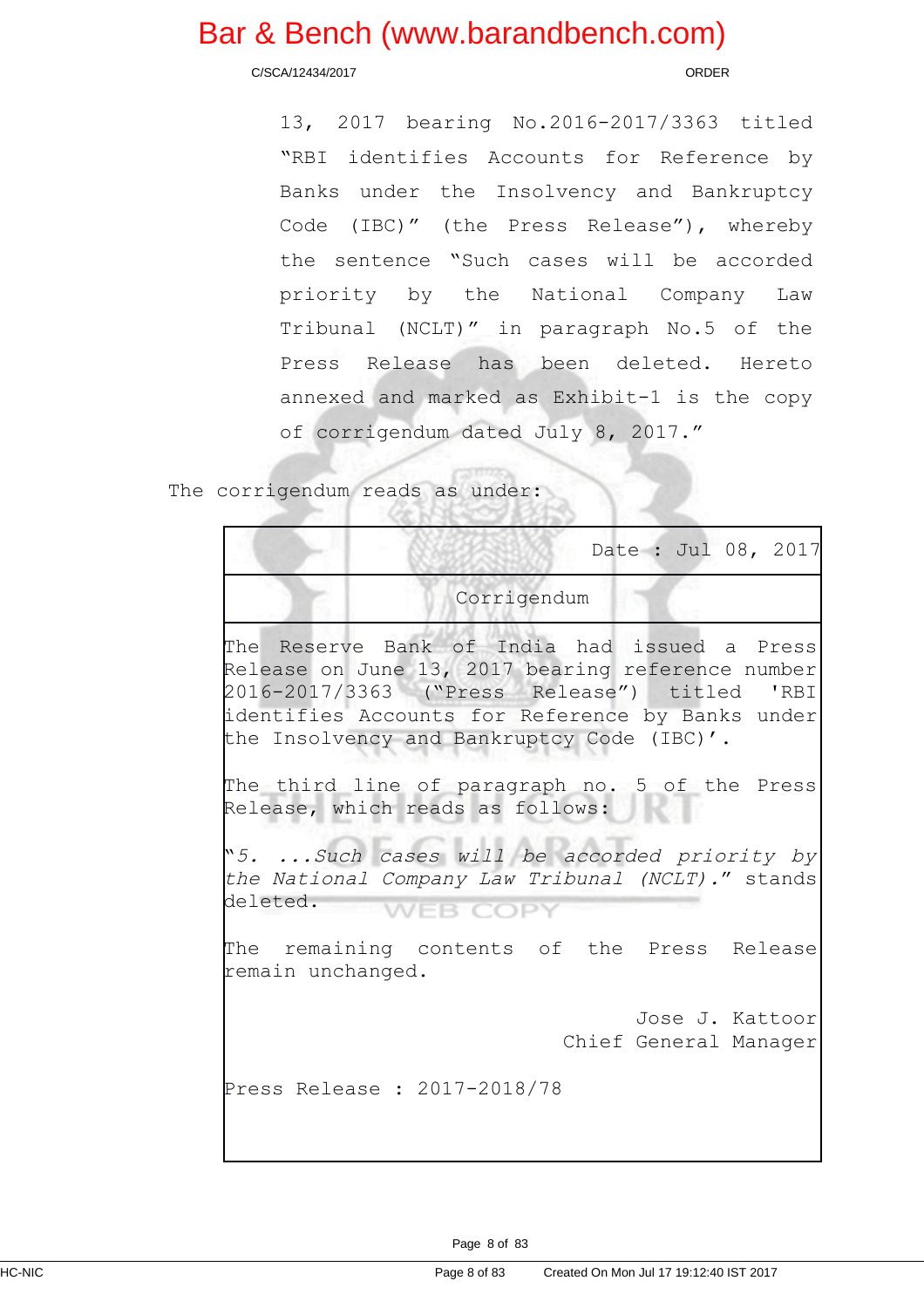C/SCA/12434/2017 ORDER

13, 2017 bearing No.2016-2017/3363 titled "RBI identifies Accounts for Reference by Banks under the Insolvency and Bankruptcy Code (IBC)" (the Press Release"), whereby the sentence "Such cases will be accorded priority by the National Company Law Tribunal (NCLT)" in paragraph No.5 of the Press Release has been deleted. Hereto annexed and marked as Exhibit-1 is the copy of corrigendum dated July 8, 2017."

The corrigendum reads as under:

|                                                                                                                                                                                                                                                                                                        |  |  | Date : Jul 08, 2017                      |
|--------------------------------------------------------------------------------------------------------------------------------------------------------------------------------------------------------------------------------------------------------------------------------------------------------|--|--|------------------------------------------|
| Corrigendum                                                                                                                                                                                                                                                                                            |  |  |                                          |
| The Reserve Bank of India had issued a Press <br>Release on June 13, 2017 bearing reference number<br>2016-2017/3363 ("Press Release") titled 'RBI<br>identifies Accounts for Reference by Banks under<br>the Insolvency and Bankruptcy Code (IBC)'.<br>The third line of paragraph no. 5 of the Press |  |  |                                          |
| Release, which reads as follows:                                                                                                                                                                                                                                                                       |  |  |                                          |
| "5. Such cases will be accorded priority by<br>the National Company Law Tribunal (NCLT)." stands<br>deleted. WEB COP\                                                                                                                                                                                  |  |  |                                          |
| The remaining contents of the Press Release<br>remain unchanged.                                                                                                                                                                                                                                       |  |  |                                          |
|                                                                                                                                                                                                                                                                                                        |  |  | Jose J. Kattoor<br>Chief General Manager |
| Press Release : 2017-2018/78                                                                                                                                                                                                                                                                           |  |  |                                          |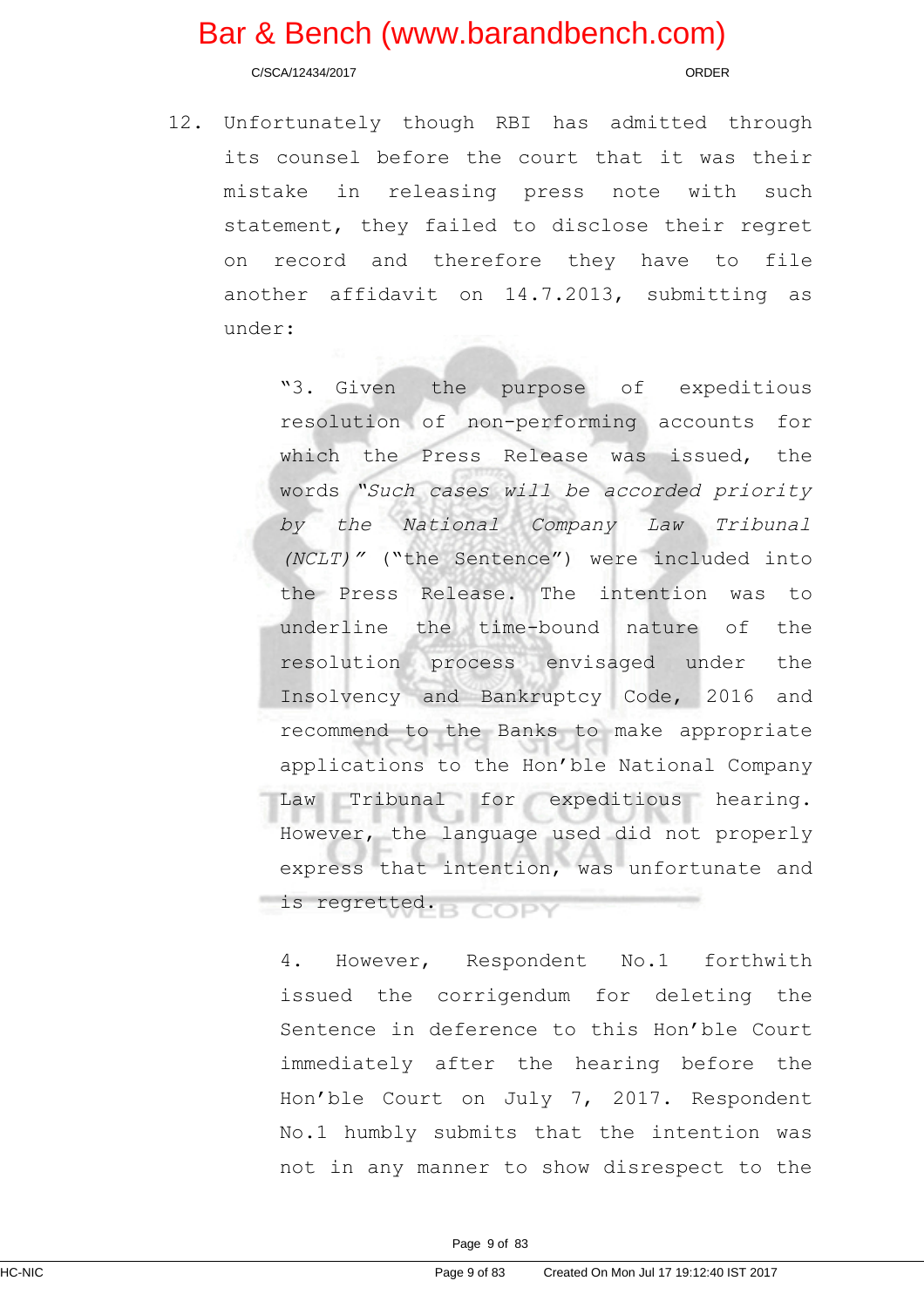C/SCA/12434/2017 ORDER

12. Unfortunately though RBI has admitted through its counsel before the court that it was their mistake in releasing press note with such statement, they failed to disclose their regret on record and therefore they have to file another affidavit on 14.7.2013, submitting as under:

> "3. Given the purpose of expeditious resolution of non-performing accounts for which the Press Release was issued, the words "Such cases will be accorded priority by the National Company Law Tribunal (NCLT)" ("the Sentence") were included into the Press Release. The intention was to underline the time-bound nature of the resolution process envisaged under the Insolvency and Bankruptcy Code, 2016 and recommend to the Banks to make appropriate applications to the Hon'ble National Company Law Tribunal for expeditious hearing. However, the language used did not properly express that intention, was unfortunate and is regretted.

4. However, Respondent No.1 forthwith issued the corrigendum for deleting the Sentence in deference to this Hon'ble Court immediately after the hearing before the Hon'ble Court on July 7, 2017. Respondent No.1 humbly submits that the intention was not in any manner to show disrespect to the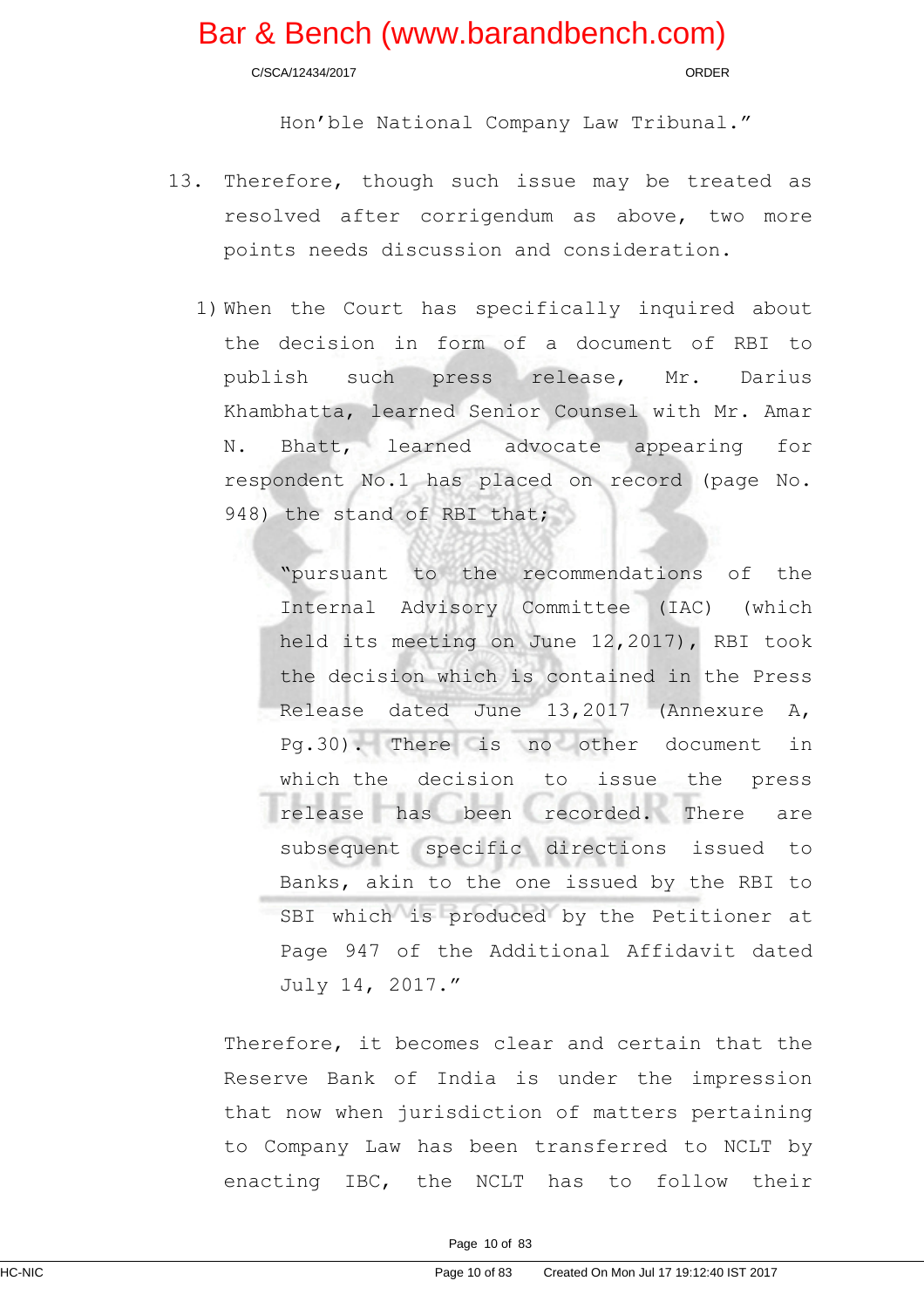C/SCA/12434/2017 ORDER

Hon'ble National Company Law Tribunal."

- 13. Therefore, though such issue may be treated as resolved after corrigendum as above, two more points needs discussion and consideration.
	- 1) When the Court has specifically inquired about the decision in form of a document of RBI to publish such press release, Mr. Darius Khambhatta, learned Senior Counsel with Mr. Amar N. Bhatt, learned advocate appearing for respondent No.1 has placed on record (page No. 948) the stand of RBI that;

"pursuant to the recommendations of the Internal Advisory Committee (IAC) (which held its meeting on June 12,2017), RBI took the decision which is contained in the Press Release dated June 13,2017 (Annexure A, Pg.30). There is no other document in which the decision to issue the press release has been recorded. There are subsequent specific directions issued to Banks, akin to the one issued by the RBI to SBI which is produced by the Petitioner at Page 947 of the Additional Affidavit dated July 14, 2017."

Therefore, it becomes clear and certain that the Reserve Bank of India is under the impression that now when jurisdiction of matters pertaining to Company Law has been transferred to NCLT by enacting IBC, the NCLT has to follow their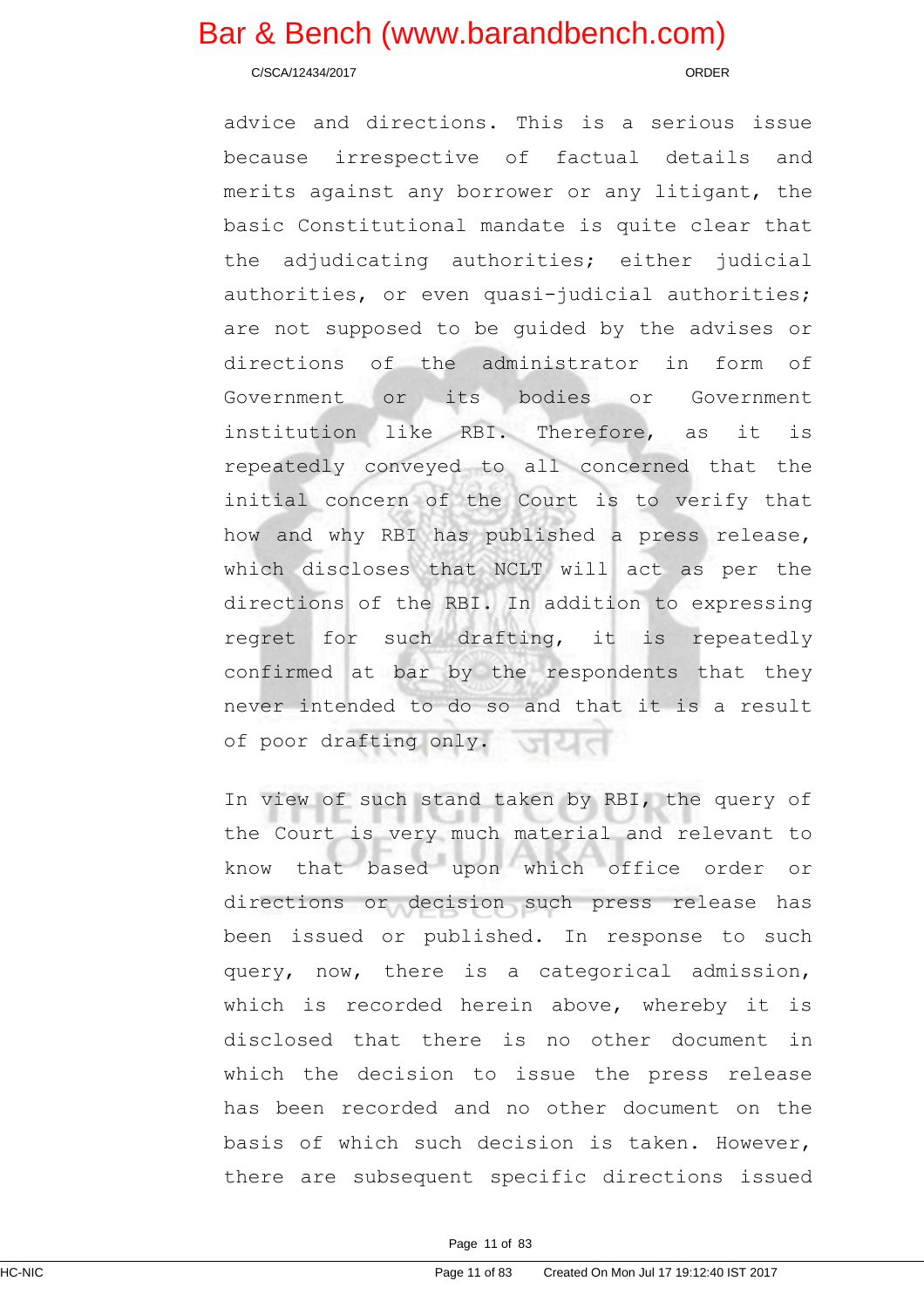C/SCA/12434/2017 ORDER

advice and directions. This is a serious issue because irrespective of factual details and merits against any borrower or any litigant, the basic Constitutional mandate is quite clear that the adjudicating authorities; either judicial authorities, or even quasi-judicial authorities; are not supposed to be guided by the advises or directions of the administrator in form of Government or its bodies or Government institution like RBI. Therefore, as it is repeatedly conveyed to all concerned that the initial concern of the Court is to verify that how and why RBI has published a press release, which discloses that NCLT will act as per the directions of the RBI. In addition to expressing regret for such drafting, it is repeatedly confirmed at bar by the respondents that they never intended to do so and that it is a result of poor drafting only.

In view of such stand taken by RBI, the query of the Court is very much material and relevant to know that based upon which office order or directions or decision such press release has been issued or published. In response to such query, now, there is a categorical admission, which is recorded herein above, whereby it is disclosed that there is no other document in which the decision to issue the press release has been recorded and no other document on the basis of which such decision is taken. However, there are subsequent specific directions issued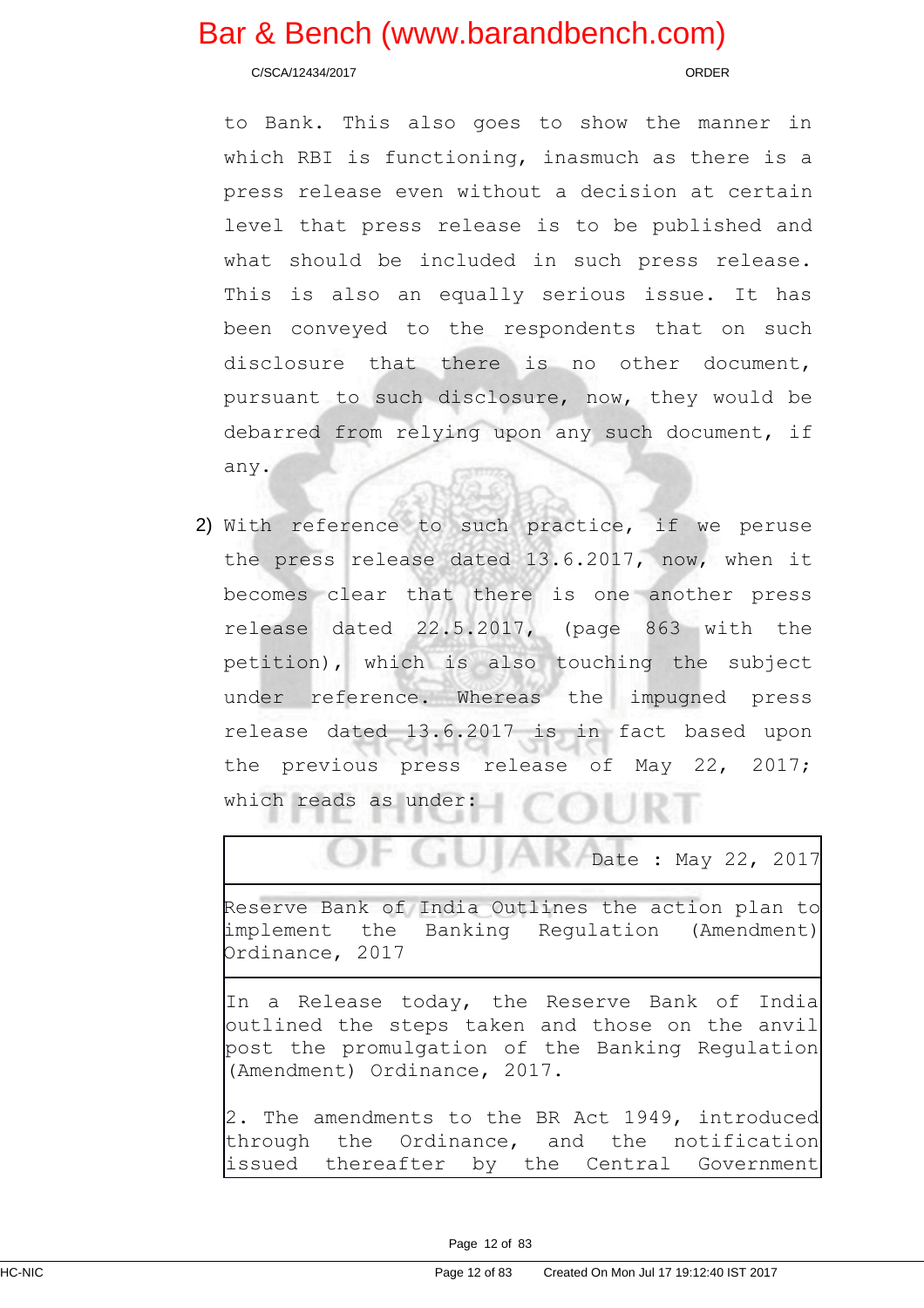C/SCA/12434/2017 ORDER

to Bank. This also goes to show the manner in which RBI is functioning, inasmuch as there is a press release even without a decision at certain level that press release is to be published and what should be included in such press release. This is also an equally serious issue. It has been conveyed to the respondents that on such disclosure that there is no other document, pursuant to such disclosure, now, they would be debarred from relying upon any such document, if any.

2) With reference to such practice, if we peruse the press release dated 13.6.2017, now, when it becomes clear that there is one another press release dated 22.5.2017, (page 863 with the petition), which is also touching the subject under reference. Whereas the impugned press release dated 13.6.2017 is in fact based upon the previous press release of May 22, 2017; which reads as under:

Date : May 22, 2017

Reserve Bank of India Outlines the action plan to implement the Banking Regulation (Amendment) Ordinance, 2017

In a Release today, the Reserve Bank of India outlined the steps taken and those on the anvil post the promulgation of the Banking Regulation (Amendment) Ordinance, 2017.

2. The amendments to the BR Act 1949, introduced through the Ordinance, and the notification issued thereafter by the Central Government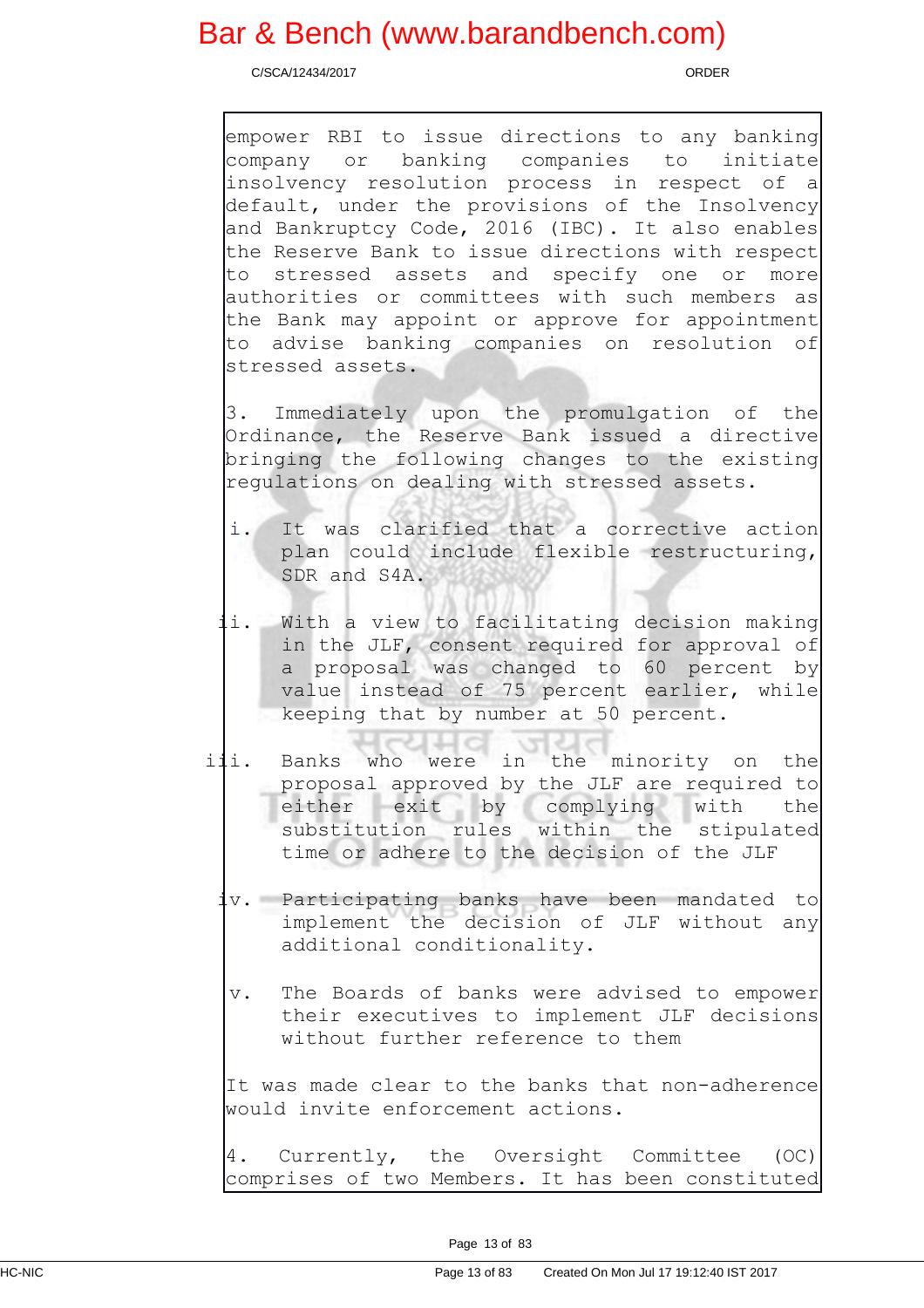C/SCA/12434/2017 ORDER

empower RBI to issue directions to any banking company or banking companies to initiate insolvency resolution process in respect of a default, under the provisions of the Insolvency and Bankruptcy Code, 2016 (IBC). It also enables the Reserve Bank to issue directions with respect to stressed assets and specify one or more authorities or committees with such members as the Bank may appoint or approve for appointment to advise banking companies on resolution of stressed assets.

3. Immediately upon the promulgation of the Ordinance, the Reserve Bank issued a directive bringing the following changes to the existing regulations on dealing with stressed assets.

- i. It was clarified that a corrective action plan could include flexible restructuring, SDR and S4A.
- ii. With a view to facilitating decision making in the JLF, consent required for approval of a proposal was changed to 60 percent by value instead of 75 percent earlier, while keeping that by number at 50 percent.
- iii. Banks who were in the minority on the proposal approved by the JLF are required to either exit by complying with the substitution rules within the stipulated time or adhere to the decision of the JLF
	- iv. Participating banks have been mandated to implement the decision of JLF without any additional conditionality.
	- v. The Boards of banks were advised to empower their executives to implement JLF decisions without further reference to them

It was made clear to the banks that non-adherence would invite enforcement actions.

4. Currently, the Oversight Committee (OC) comprises of two Members. It has been constituted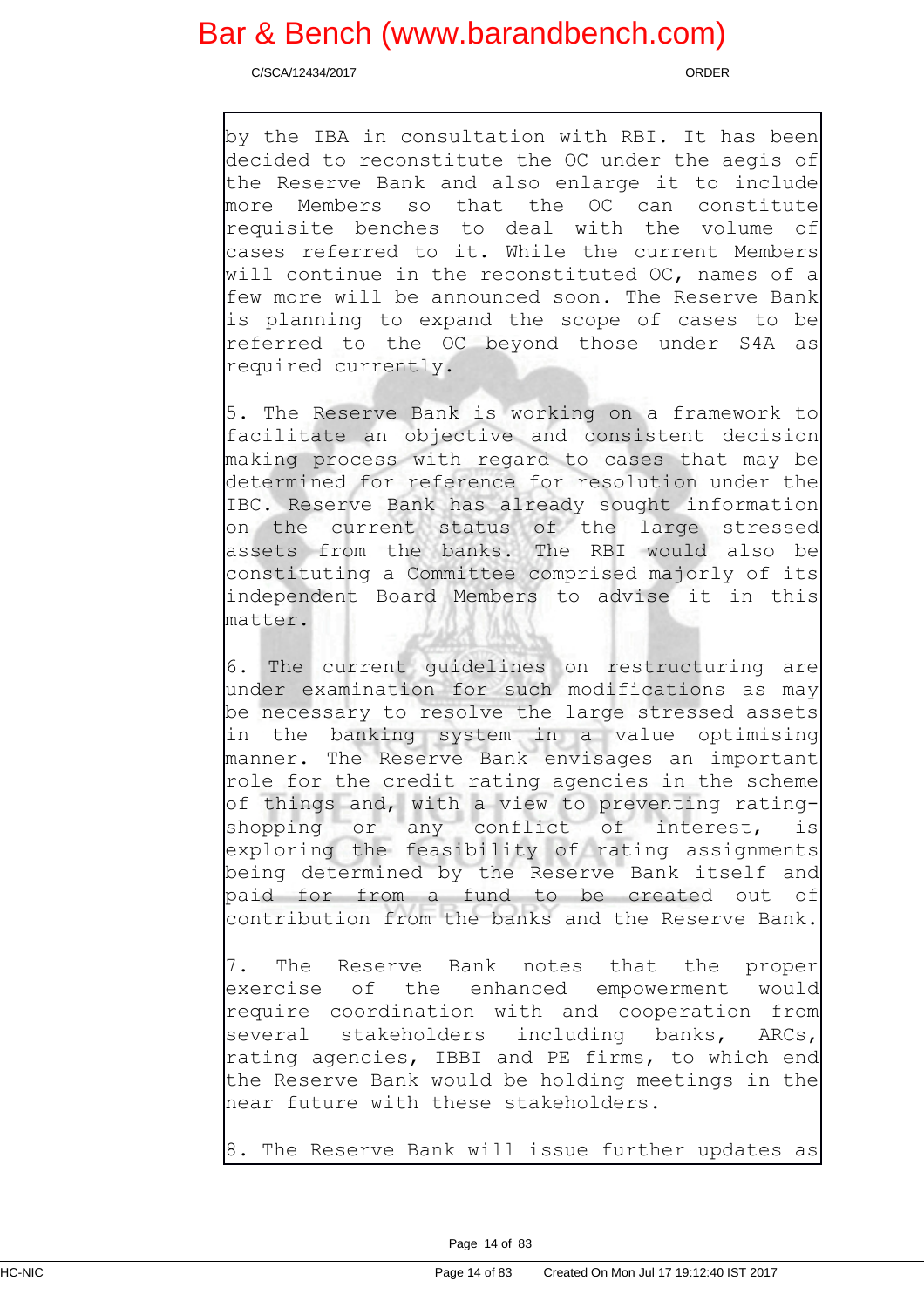C/SCA/12434/2017 ORDER

by the IBA in consultation with RBI. It has been decided to reconstitute the OC under the aegis of the Reserve Bank and also enlarge it to include more Members so that the OC can constitute requisite benches to deal with the volume of cases referred to it. While the current Members will continue in the reconstituted OC, names of a few more will be announced soon. The Reserve Bank is planning to expand the scope of cases to be referred to the OC beyond those under S4A as required currently.

5. The Reserve Bank is working on a framework to facilitate an objective and consistent decision making process with regard to cases that may be determined for reference for resolution under the IBC. Reserve Bank has already sought information on the current status of the large stressed assets from the banks. The RBI would also be constituting a Committee comprised majorly of its independent Board Members to advise it in this matter.

6. The current guidelines on restructuring are under examination for such modifications as may be necessary to resolve the large stressed assets in the banking system in a value optimising manner. The Reserve Bank envisages an important role for the credit rating agencies in the scheme of things and, with a view to preventing rating-<br>shopping or any conflict of interest, is shopping or any conflict of interest, is exploring the feasibility of rating assignments being determined by the Reserve Bank itself and paid for from a fund to be created out of contribution from the banks and the Reserve Bank.

7. The Reserve Bank notes that the proper exercise of the enhanced empowerment would require coordination with and cooperation from several stakeholders including banks, ARCs, rating agencies, IBBI and PE firms, to which end the Reserve Bank would be holding meetings in the near future with these stakeholders.

8. The Reserve Bank will issue further updates as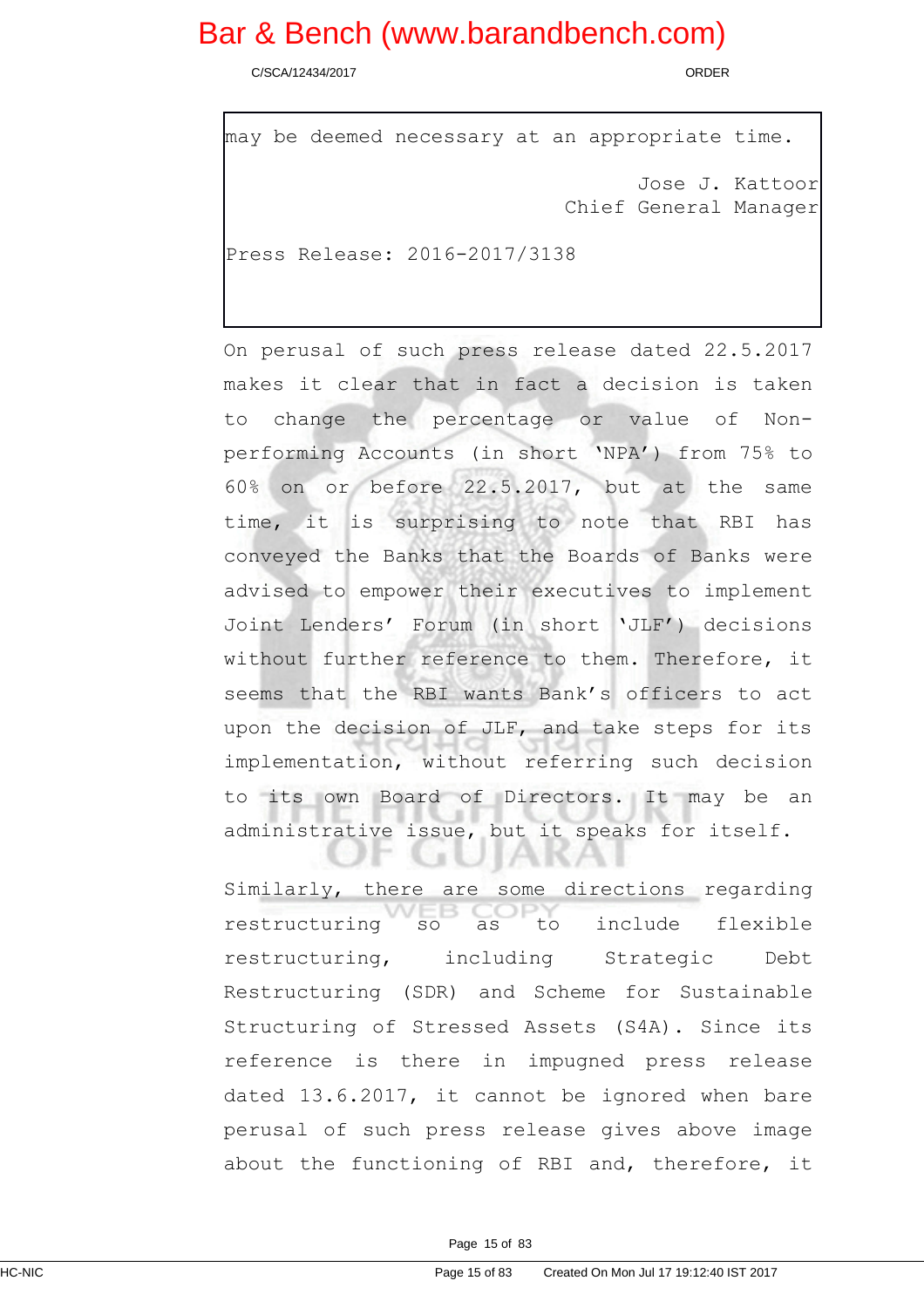C/SCA/12434/2017 ORDER

```
may be deemed necessary at an appropriate time.
                                   Jose J. Kattoor
                            Chief General Manager
Press Release: 2016-2017/3138
```
On perusal of such press release dated 22.5.2017 makes it clear that in fact a decision is taken to change the percentage or value of Nonperforming Accounts (in short 'NPA') from 75% to 60% on or before 22.5.2017, but at the same time, it is surprising to note that RBI has conveyed the Banks that the Boards of Banks were advised to empower their executives to implement Joint Lenders' Forum (in short 'JLF') decisions without further reference to them. Therefore, it seems that the RBI wants Bank's officers to act upon the decision of JLF, and take steps for its implementation, without referring such decision to its own Board of Directors. It may be an administrative issue, but it speaks for itself.

Similarly, there are some directions regarding restructuring so as to include flexible restructuring, including Strategic Debt Restructuring (SDR) and Scheme for Sustainable Structuring of Stressed Assets (S4A). Since its reference is there in impugned press release dated 13.6.2017, it cannot be ignored when bare perusal of such press release gives above image about the functioning of RBI and, therefore, it

**UUMM**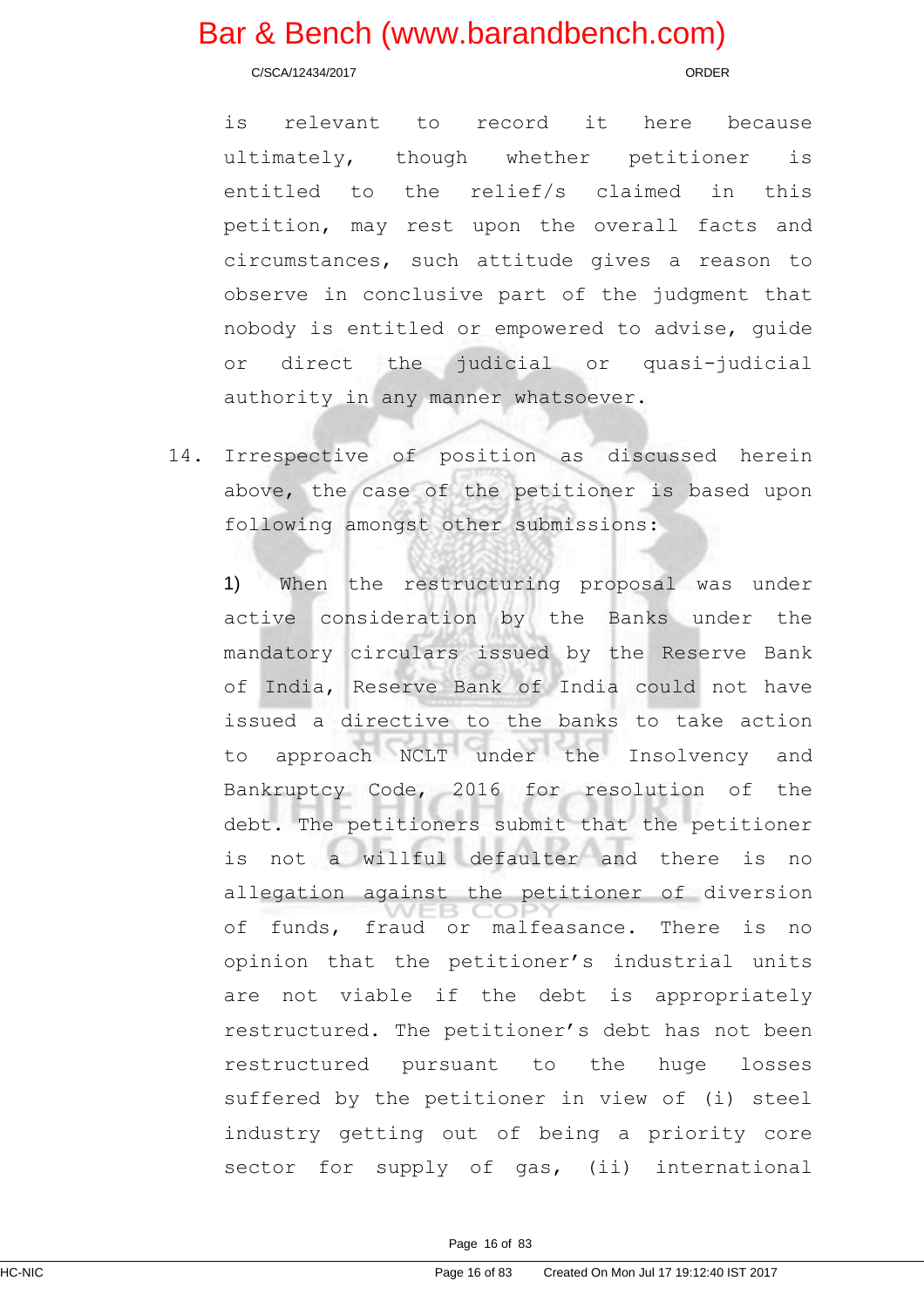C/SCA/12434/2017 ORDER

is relevant to record it here because ultimately, though whether petitioner is entitled to the relief/s claimed in this petition, may rest upon the overall facts and circumstances, such attitude gives a reason to observe in conclusive part of the judgment that nobody is entitled or empowered to advise, guide or direct the judicial or quasi-judicial authority in any manner whatsoever.

14. Irrespective of position as discussed herein above, the case of the petitioner is based upon following amongst other submissions:

1) When the restructuring proposal was under active consideration by the Banks under the mandatory circulars issued by the Reserve Bank of India, Reserve Bank of India could not have issued a directive to the banks to take action to approach NCLT under the Insolvency and Bankruptcy Code, 2016 for resolution of the debt. The petitioners submit that the petitioner is not a willful defaulter and there is no allegation against the petitioner of diversion of funds, fraud or malfeasance. There is no opinion that the petitioner's industrial units are not viable if the debt is appropriately restructured. The petitioner's debt has not been restructured pursuant to the huge losses suffered by the petitioner in view of (i) steel industry getting out of being a priority core sector for supply of gas, (ii) international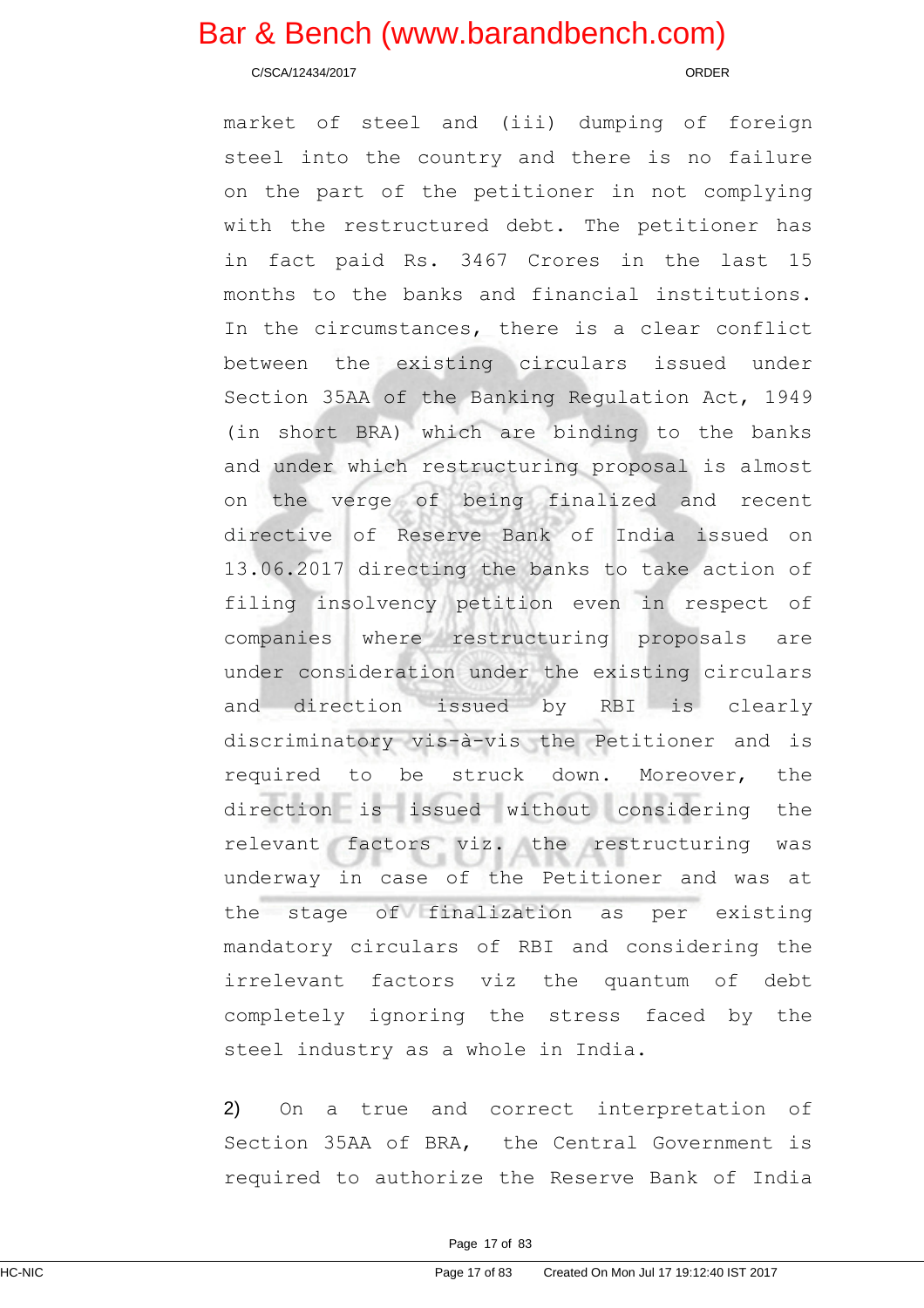C/SCA/12434/2017 ORDER

market of steel and (iii) dumping of foreign steel into the country and there is no failure on the part of the petitioner in not complying with the restructured debt. The petitioner has in fact paid Rs. 3467 Crores in the last 15 months to the banks and financial institutions. In the circumstances, there is a clear conflict between the existing circulars issued under Section 35AA of the Banking Regulation Act, 1949 (in short BRA) which are binding to the banks and under which restructuring proposal is almost on the verge of being finalized and recent directive of Reserve Bank of India issued on 13.06.2017 directing the banks to take action of filing insolvency petition even in respect of companies where restructuring proposals are under consideration under the existing circulars and direction issued by RBI is clearly discriminatory vis-à-vis the Petitioner and is required to be struck down. Moreover, the direction is issued without considering the relevant factors viz. the restructuring was underway in case of the Petitioner and was at the stage of finalization as per existing mandatory circulars of RBI and considering the irrelevant factors viz the quantum of debt completely ignoring the stress faced by the steel industry as a whole in India.

2) On a true and correct interpretation of Section 35AA of BRA, the Central Government is required to authorize the Reserve Bank of India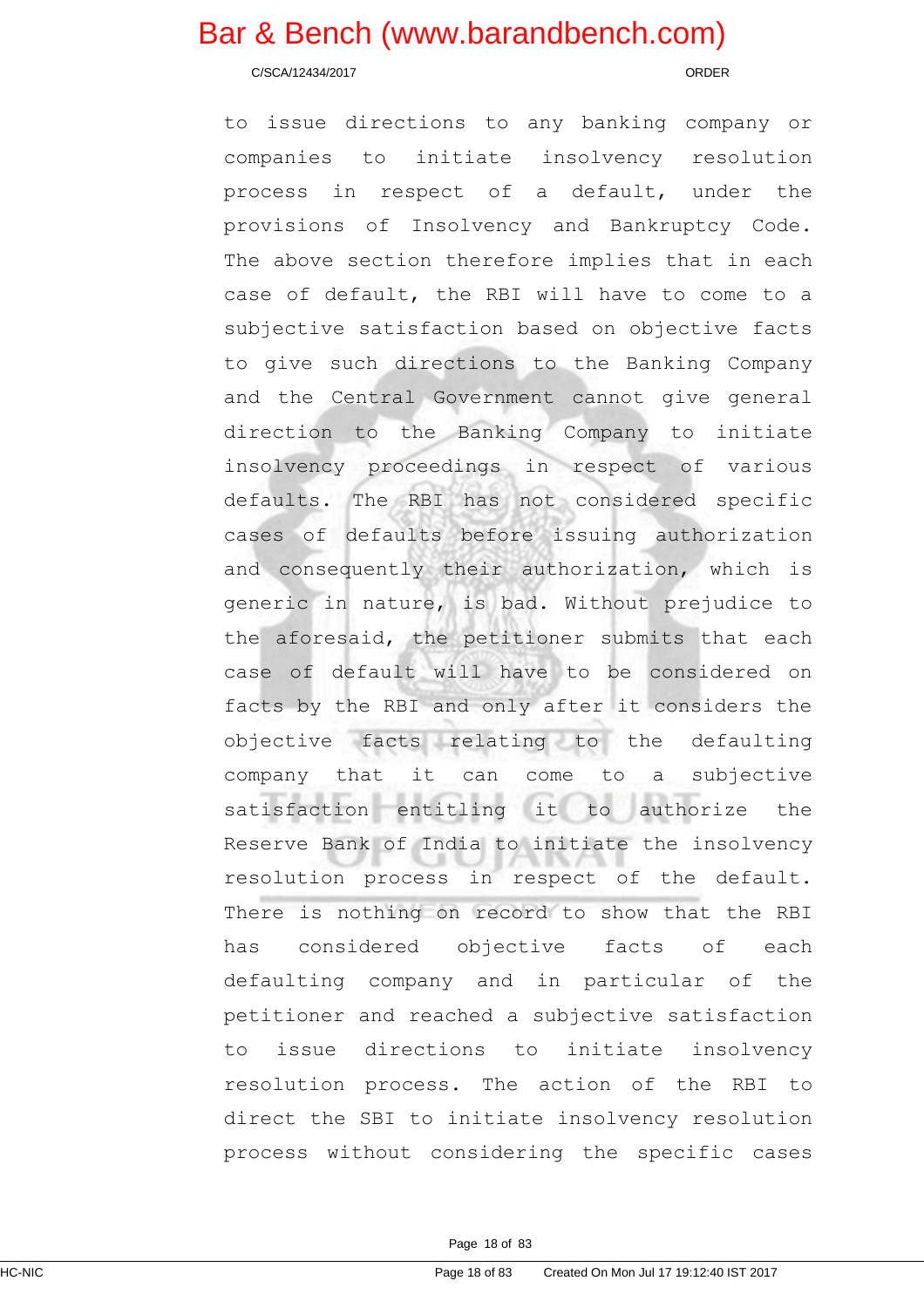C/SCA/12434/2017 ORDER

to issue directions to any banking company or companies to initiate insolvency resolution process in respect of a default, under the provisions of Insolvency and Bankruptcy Code. The above section therefore implies that in each case of default, the RBI will have to come to a subjective satisfaction based on objective facts to give such directions to the Banking Company and the Central Government cannot give general direction to the Banking Company to initiate insolvency proceedings in respect of various defaults. The RBI has not considered specific cases of defaults before issuing authorization and consequently their authorization, which is generic in nature, is bad. Without prejudice to the aforesaid, the petitioner submits that each case of default will have to be considered on facts by the RBI and only after it considers the objective facts relating to the defaulting company that it can come to a subjective satisfaction entitling it to authorize the Reserve Bank of India to initiate the insolvency resolution process in respect of the default. There is nothing on record to show that the RBI has considered objective facts of each defaulting company and in particular of the petitioner and reached a subjective satisfaction to issue directions to initiate insolvency resolution process. The action of the RBI to direct the SBI to initiate insolvency resolution process without considering the specific cases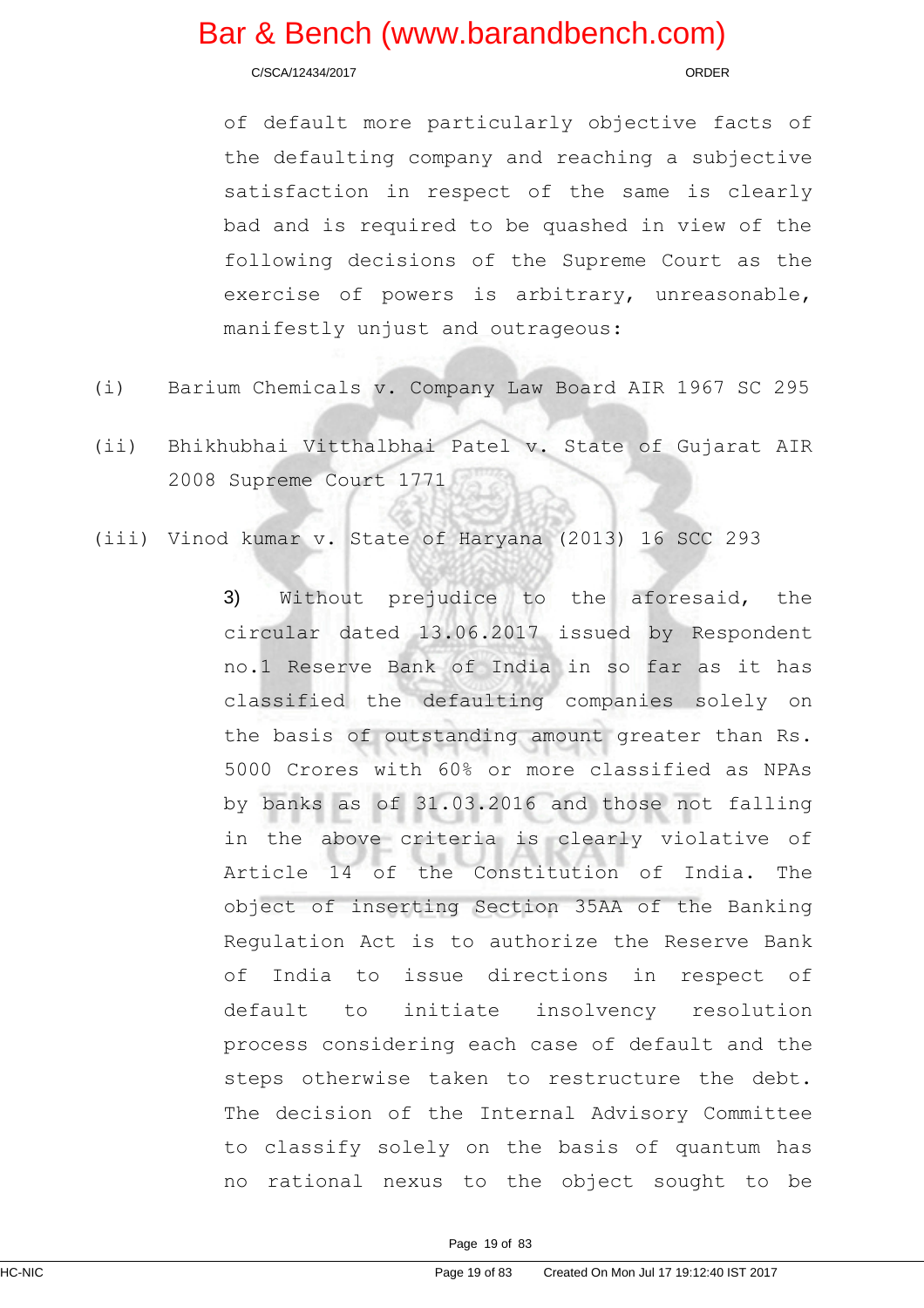C/SCA/12434/2017 ORDER

of default more particularly objective facts of the defaulting company and reaching a subjective satisfaction in respect of the same is clearly bad and is required to be quashed in view of the following decisions of the Supreme Court as the exercise of powers is arbitrary, unreasonable, manifestly unjust and outrageous:

- (i) Barium Chemicals v. Company Law Board AIR 1967 SC 295
- (ii) Bhikhubhai Vitthalbhai Patel v. State of Gujarat AIR 2008 Supreme Court 1771
- (iii) Vinod kumar v. State of Haryana (2013) 16 SCC 293

3) Without prejudice to the aforesaid, the circular dated 13.06.2017 issued by Respondent no.1 Reserve Bank of India in so far as it has classified the defaulting companies solely on the basis of outstanding amount greater than Rs. 5000 Crores with 60% or more classified as NPAs by banks as of 31.03.2016 and those not falling in the above criteria is clearly violative of Article 14 of the Constitution of India. The object of inserting Section 35AA of the Banking Regulation Act is to authorize the Reserve Bank of India to issue directions in respect of default to initiate insolvency resolution process considering each case of default and the steps otherwise taken to restructure the debt. The decision of the Internal Advisory Committee to classify solely on the basis of quantum has no rational nexus to the object sought to be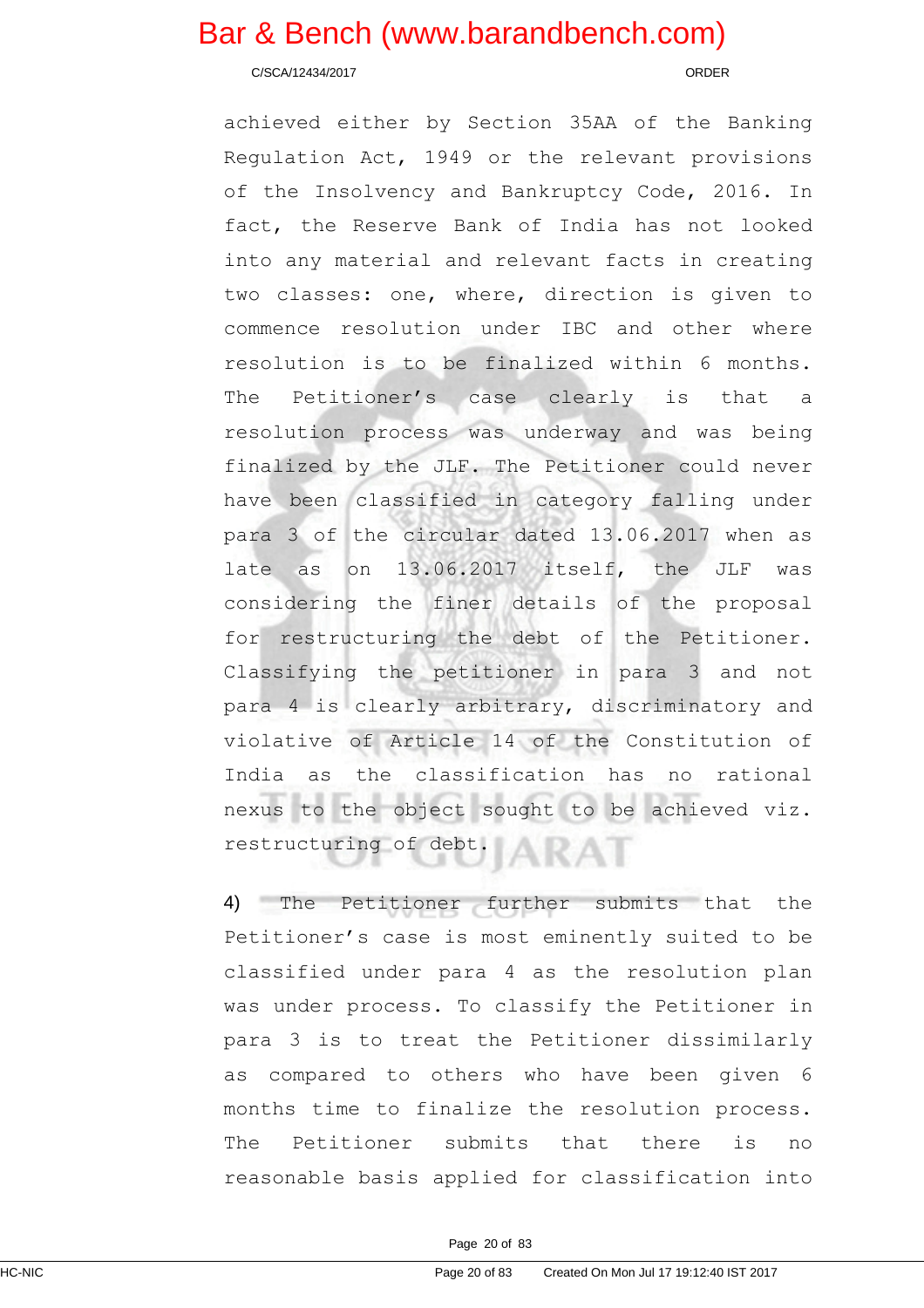C/SCA/12434/2017 ORDER

achieved either by Section 35AA of the Banking Regulation Act, 1949 or the relevant provisions of the Insolvency and Bankruptcy Code, 2016. In fact, the Reserve Bank of India has not looked into any material and relevant facts in creating two classes: one, where, direction is given to commence resolution under IBC and other where resolution is to be finalized within 6 months. The Petitioner's case clearly is that a resolution process was underway and was being finalized by the JLF. The Petitioner could never have been classified in category falling under para 3 of the circular dated 13.06.2017 when as late as on 13.06.2017 itself, the JLF was considering the finer details of the proposal for restructuring the debt of the Petitioner. Classifying the petitioner in para 3 and not para 4 is clearly arbitrary, discriminatory and violative of Article 14 of the Constitution of India as the classification has no rational nexus to the object sought to be achieved viz. restructuring of debt.

4) The Petitioner further submits that the Petitioner's case is most eminently suited to be classified under para 4 as the resolution plan was under process. To classify the Petitioner in para 3 is to treat the Petitioner dissimilarly as compared to others who have been given 6 months time to finalize the resolution process. The Petitioner submits that there is no reasonable basis applied for classification into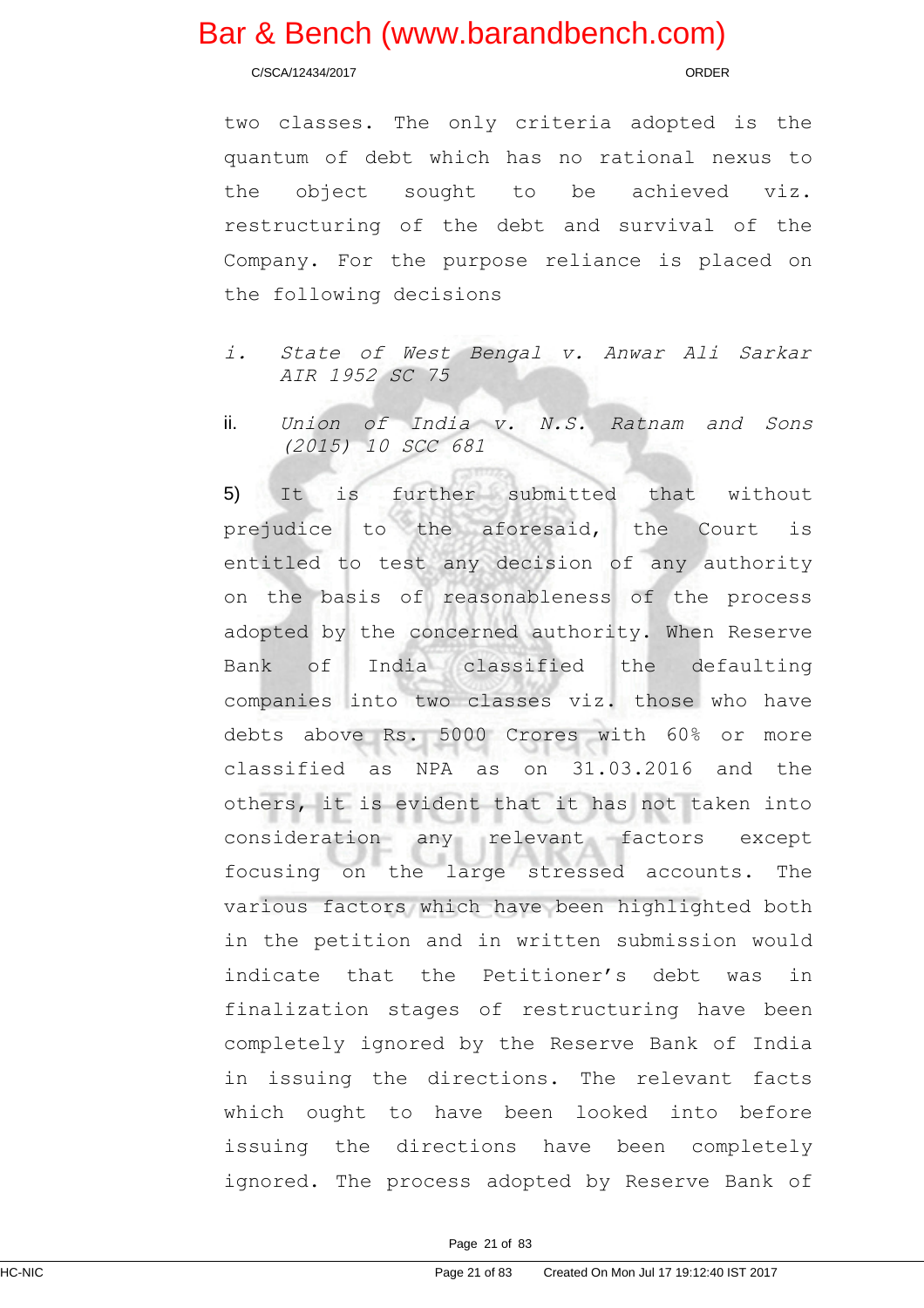C/SCA/12434/2017 ORDER

two classes. The only criteria adopted is the quantum of debt which has no rational nexus to the object sought to be achieved viz. restructuring of the debt and survival of the Company. For the purpose reliance is placed on the following decisions

- i. State of West Bengal v. Anwar Ali Sarkar AIR 1952 SC 75
- ii. Union of India v. N.S. Ratnam and Sons (2015) 10 SCC 681

5) It is further submitted that without prejudice to the aforesaid, the Court is entitled to test any decision of any authority on the basis of reasonableness of the process adopted by the concerned authority. When Reserve Bank of India classified the defaulting companies into two classes viz. those who have debts above Rs. 5000 Crores with 60% or more classified as NPA as on 31.03.2016 and the others, it is evident that it has not taken into consideration any relevant factors except focusing on the large stressed accounts. The various factors which have been highlighted both in the petition and in written submission would indicate that the Petitioner's debt was in finalization stages of restructuring have been completely ignored by the Reserve Bank of India in issuing the directions. The relevant facts which ought to have been looked into before issuing the directions have been completely ignored. The process adopted by Reserve Bank of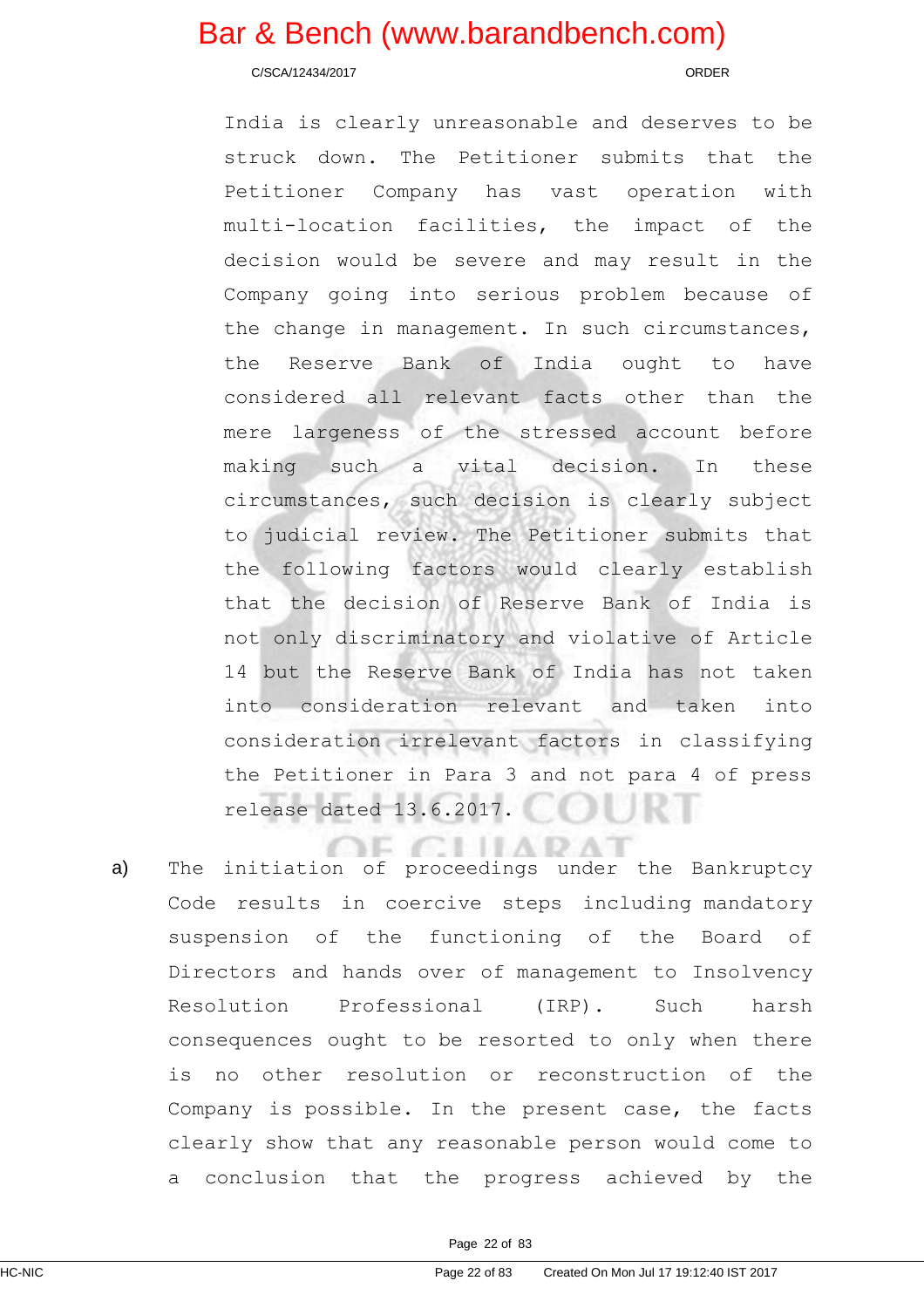C/SCA/12434/2017 ORDER

India is clearly unreasonable and deserves to be struck down. The Petitioner submits that the Petitioner Company has vast operation with multi-location facilities, the impact of the decision would be severe and may result in the Company going into serious problem because of the change in management. In such circumstances, the Reserve Bank of India ought to have considered all relevant facts other than the mere largeness of the stressed account before making such a vital decision. In these circumstances, such decision is clearly subject to judicial review. The Petitioner submits that the following factors would clearly establish that the decision of Reserve Bank of India is not only discriminatory and violative of Article 14 but the Reserve Bank of India has not taken into consideration relevant and taken into consideration irrelevant factors in classifying the Petitioner in Para 3 and not para 4 of press release dated 13.6.2017.

**CLILARAT** a) The initiation of proceedings under the Bankruptcy Code results in coercive steps including mandatory suspension of the functioning of the Board of Directors and hands over of management to Insolvency Resolution Professional (IRP). Such harsh consequences ought to be resorted to only when there is no other resolution or reconstruction of the Company is possible. In the present case, the facts clearly show that any reasonable person would come to a conclusion that the progress achieved by the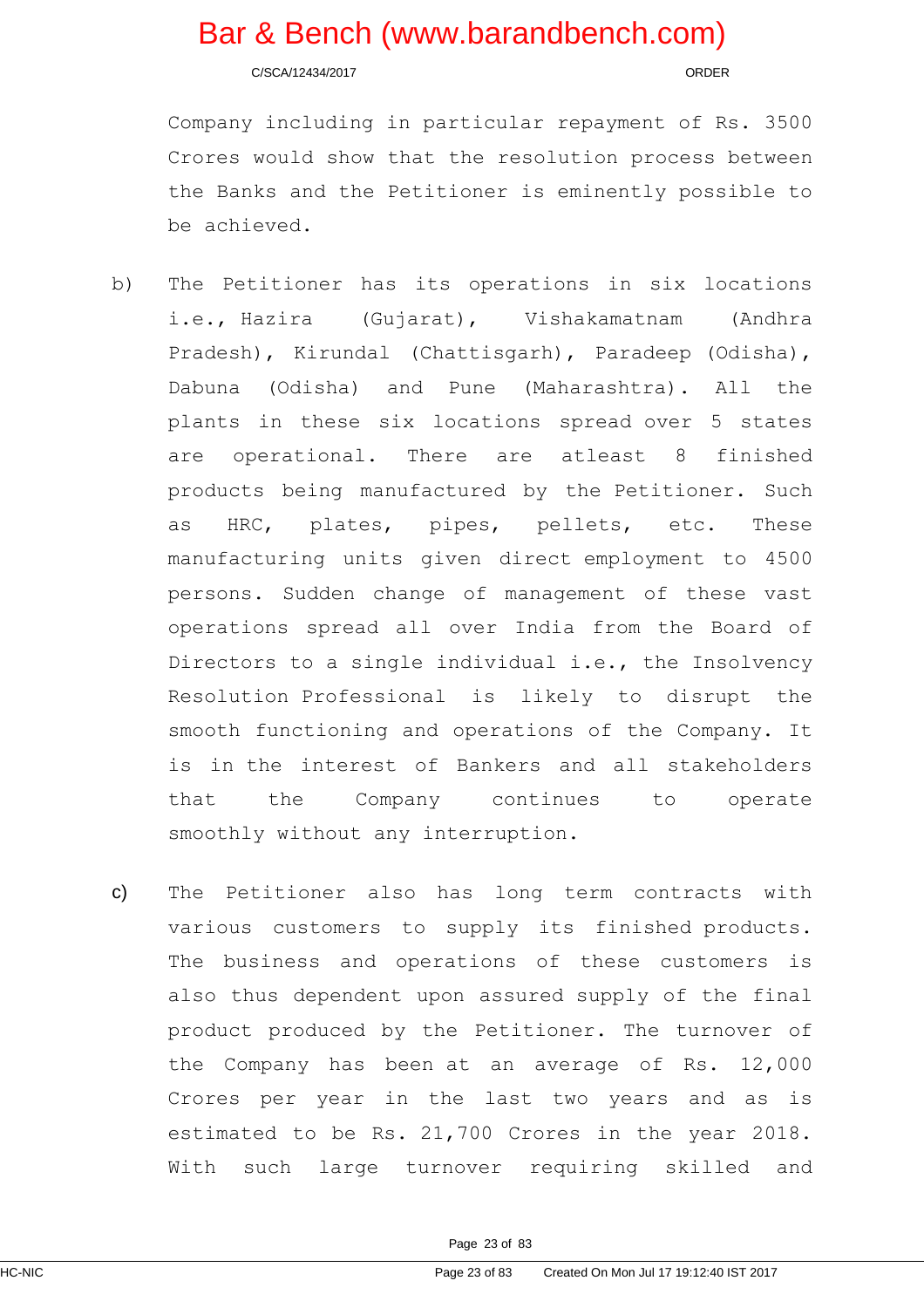C/SCA/12434/2017 ORDER

Company including in particular repayment of Rs. 3500 Crores would show that the resolution process between the Banks and the Petitioner is eminently possible to be achieved.

- b) The Petitioner has its operations in six locations i.e., Hazira (Gujarat), Vishakamatnam (Andhra Pradesh), Kirundal (Chattisgarh), Paradeep (Odisha), Dabuna (Odisha) and Pune (Maharashtra). All the plants in these six locations spread over 5 states are operational. There are atleast 8 finished products being manufactured by the Petitioner. Such as HRC, plates, pipes, pellets, etc. These manufacturing units given direct employment to 4500 persons. Sudden change of management of these vast operations spread all over India from the Board of Directors to a single individual i.e., the Insolvency Resolution Professional is likely to disrupt the smooth functioning and operations of the Company. It is in the interest of Bankers and all stakeholders that the Company continues to operate smoothly without any interruption.
- c) The Petitioner also has long term contracts with various customers to supply its finished products. The business and operations of these customers is also thus dependent upon assured supply of the final product produced by the Petitioner. The turnover of the Company has been at an average of Rs. 12,000 Crores per year in the last two years and as is estimated to be Rs. 21,700 Crores in the year 2018. With such large turnover requiring skilled and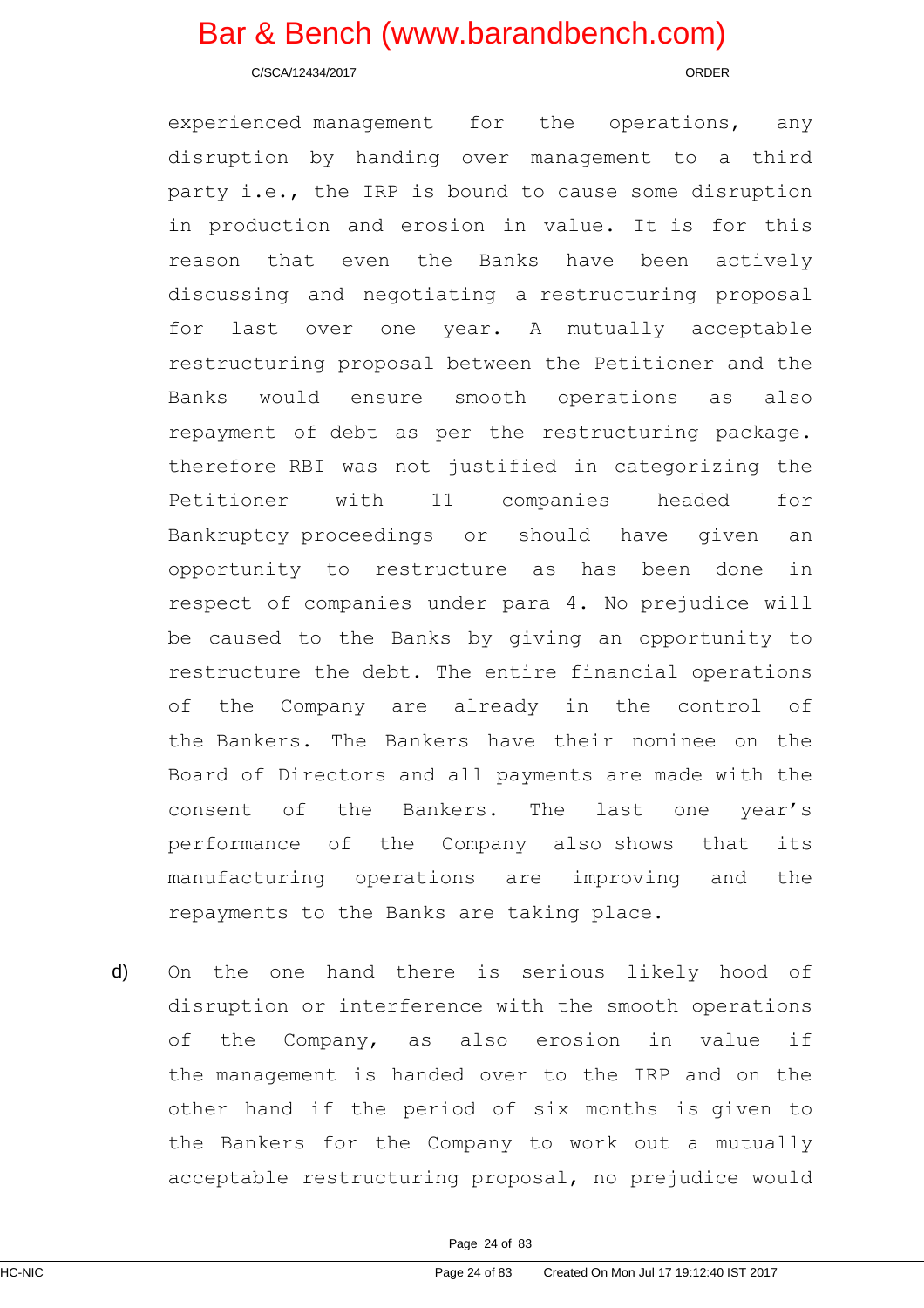C/SCA/12434/2017 ORDER

experienced management for the operations, any disruption by handing over management to a third party i.e., the IRP is bound to cause some disruption in production and erosion in value. It is for this reason that even the Banks have been actively discussing and negotiating a restructuring proposal for last over one year. A mutually acceptable restructuring proposal between the Petitioner and the Banks would ensure smooth operations as also repayment of debt as per the restructuring package. therefore RBI was not justified in categorizing the Petitioner with 11 companies headed for Bankruptcy proceedings or should have given an opportunity to restructure as has been done in respect of companies under para 4. No prejudice will be caused to the Banks by giving an opportunity to restructure the debt. The entire financial operations of the Company are already in the control of the Bankers. The Bankers have their nominee on the Board of Directors and all payments are made with the consent of the Bankers. The last one year's performance of the Company also shows that its manufacturing operations are improving and the repayments to the Banks are taking place.

d) On the one hand there is serious likely hood of disruption or interference with the smooth operations of the Company, as also erosion in value if the management is handed over to the IRP and on the other hand if the period of six months is given to the Bankers for the Company to work out a mutually acceptable restructuring proposal, no prejudice would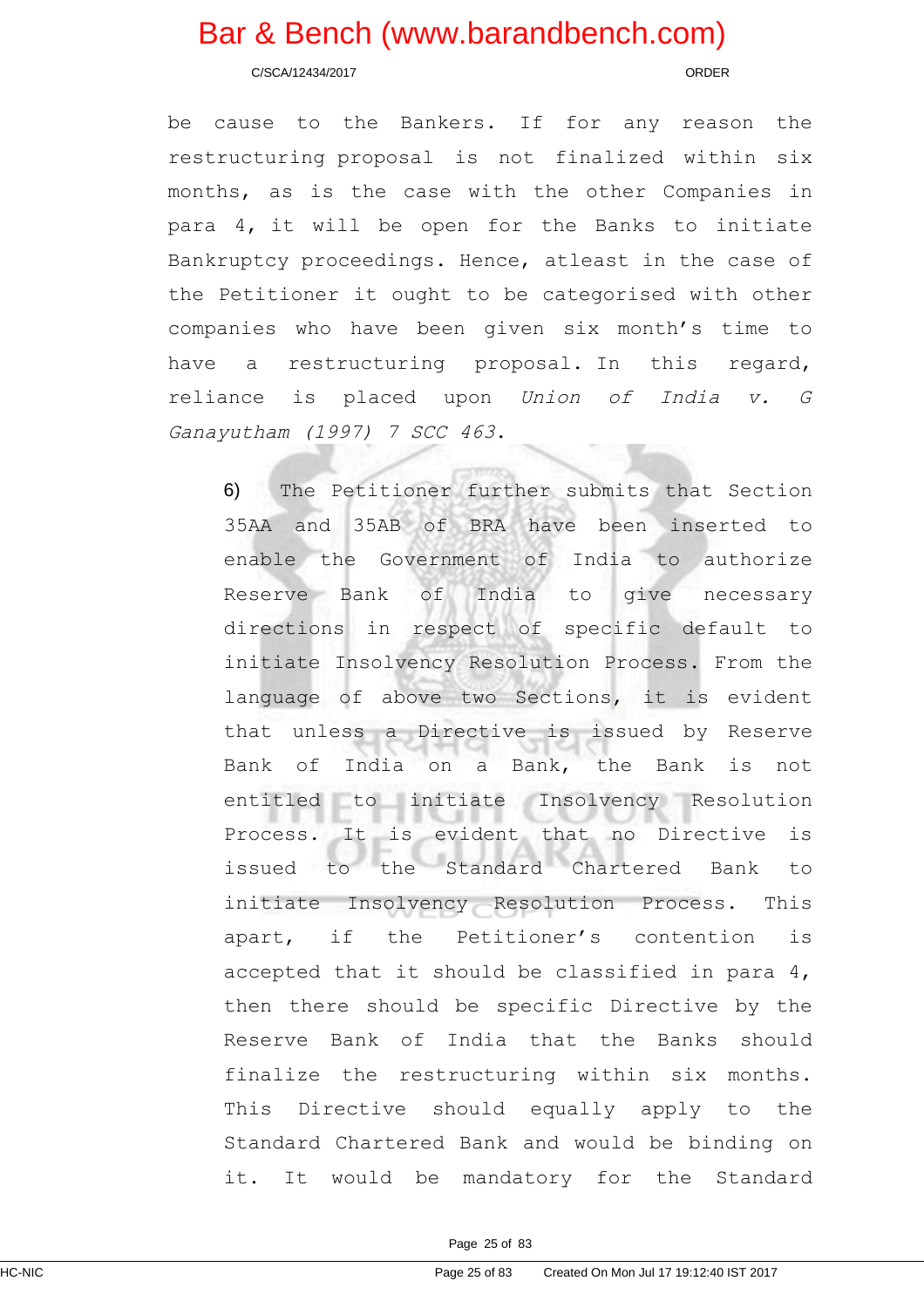C/SCA/12434/2017 ORDER

be cause to the Bankers. If for any reason the restructuring proposal is not finalized within six months, as is the case with the other Companies in para 4, it will be open for the Banks to initiate Bankruptcy proceedings. Hence, atleast in the case of the Petitioner it ought to be categorised with other companies who have been given six month's time to have a restructuring proposal. In this regard, reliance is placed upon Union of India v. <sup>G</sup> Ganayutham (1997) 7 SCC 463.

6) The Petitioner further submits that Section 35AA and 35AB of BRA have been inserted to enable the Government of India to authorize Reserve Bank of India to give necessary directions in respect of specific default to initiate Insolvency Resolution Process. From the language of above two Sections, it is evident that unless a Directive is issued by Reserve Bank of India on a Bank, the Bank is not entitled to initiate Insolvency Resolution Process. It is evident that no Directive is issued to the Standard Chartered Bank to initiate Insolvency Resolution Process. This apart, if the Petitioner's contention is accepted that it should be classified in para 4, then there should be specific Directive by the Reserve Bank of India that the Banks should finalize the restructuring within six months. This Directive should equally apply to the Standard Chartered Bank and would be binding on it. It would be mandatory for the Standard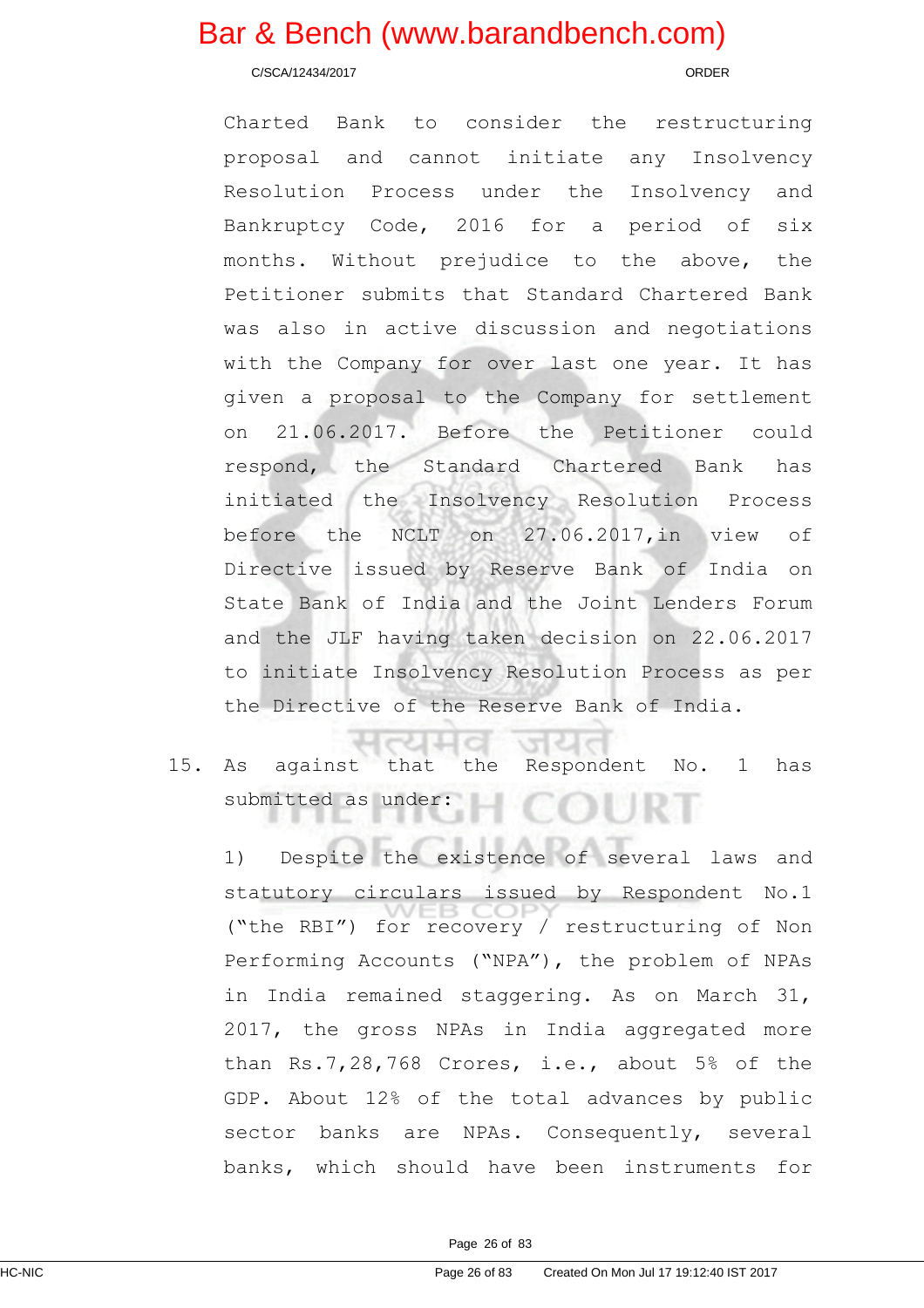C/SCA/12434/2017 ORDER

Charted Bank to consider the restructuring proposal and cannot initiate any Insolvency Resolution Process under the Insolvency and Bankruptcy Code, 2016 for a period of six months. Without prejudice to the above, the Petitioner submits that Standard Chartered Bank was also in active discussion and negotiations with the Company for over last one year. It has given a proposal to the Company for settlement on 21.06.2017. Before the Petitioner could respond, the Standard Chartered Bank has initiated the Insolvency Resolution Process before the NCLT on 27.06.2017,in view of Directive issued by Reserve Bank of India on State Bank of India and the Joint Lenders Forum and the JLF having taken decision on 22.06.2017 to initiate Insolvency Resolution Process as per the Directive of the Reserve Bank of India.

15. As against that the Respondent No. 1 has submitted as under:

w

1) Despite the existence of several laws and statutory circulars issued by Respondent No.1 ("the RBI") for recovery / restructuring of Non Performing Accounts ("NPA"), the problem of NPAs in India remained staggering. As on March 31, 2017, the gross NPAs in India aggregated more than Rs.7,28,768 Crores, i.e., about 5% of the GDP. About 12% of the total advances by public sector banks are NPAs. Consequently, several banks, which should have been instruments for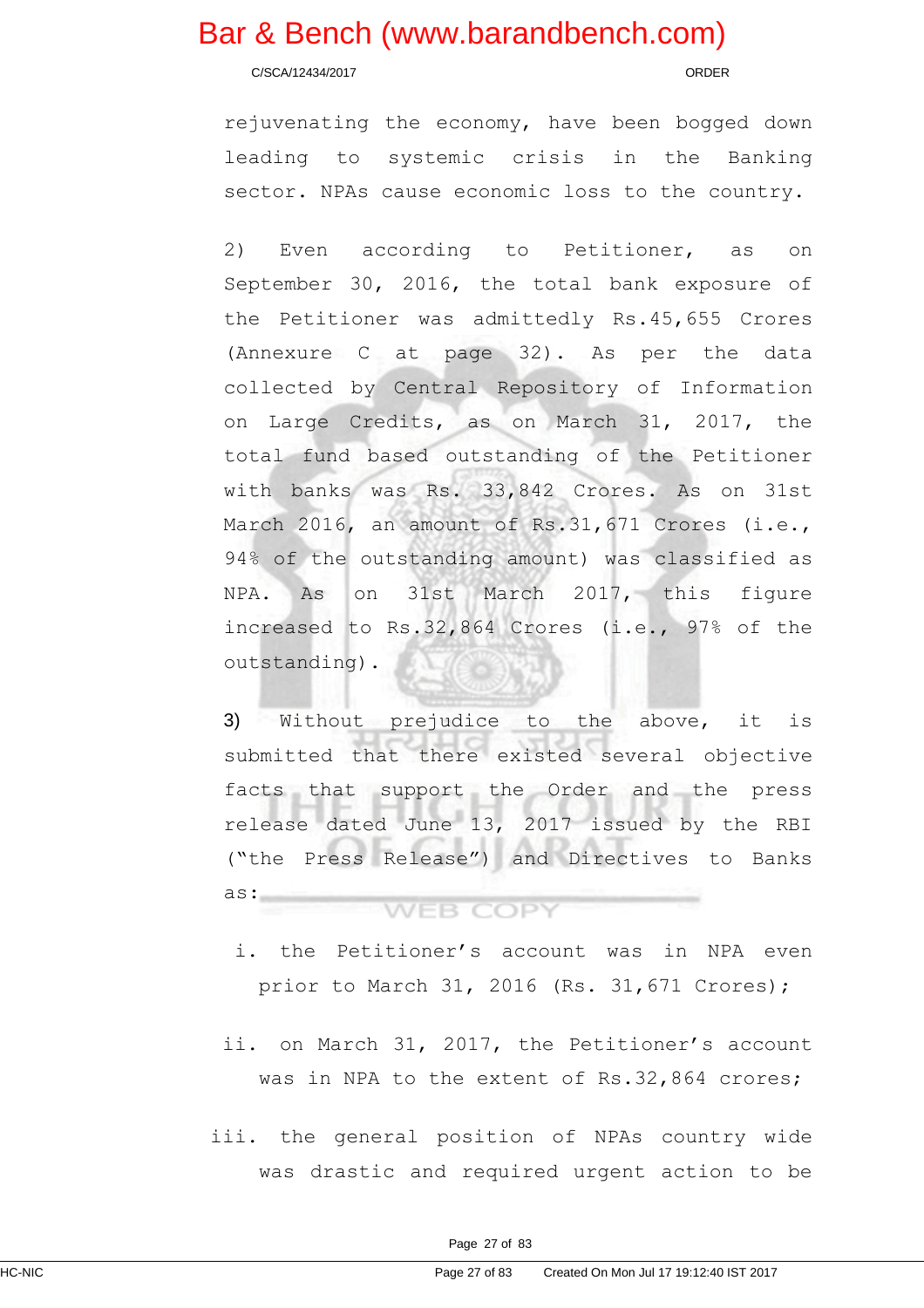C/SCA/12434/2017 ORDER

rejuvenating the economy, have been bogged down leading to systemic crisis in the Banking sector. NPAs cause economic loss to the country.

2) Even according to Petitioner, as on September 30, 2016, the total bank exposure of the Petitioner was admittedly Rs.45,655 Crores (Annexure C at page 32). As per the data collected by Central Repository of Information on Large Credits, as on March 31, 2017, the total fund based outstanding of the Petitioner with banks was Rs. 33,842 Crores. As on 31st March 2016, an amount of Rs.31,671 Crores (i.e., 94% of the outstanding amount) was classified as NPA. As on 31st March 2017, this figure increased to Rs.32,864 Crores (i.e., 97% of the outstanding).

3) Without prejudice to the above, it is submitted that there existed several objective facts that support the Order and the press release dated June 13, 2017 issued by the RBI ("the Press Release") and Directives to Banks as: **WEB COPY** 

### i. the Petitioner's account was in NPA even prior to March 31, 2016 (Rs. 31,671 Crores);

- ii. on March 31, 2017, the Petitioner's account was in NPA to the extent of Rs.32,864 crores;
- iii. the general position of NPAs country wide was drastic and required urgent action to be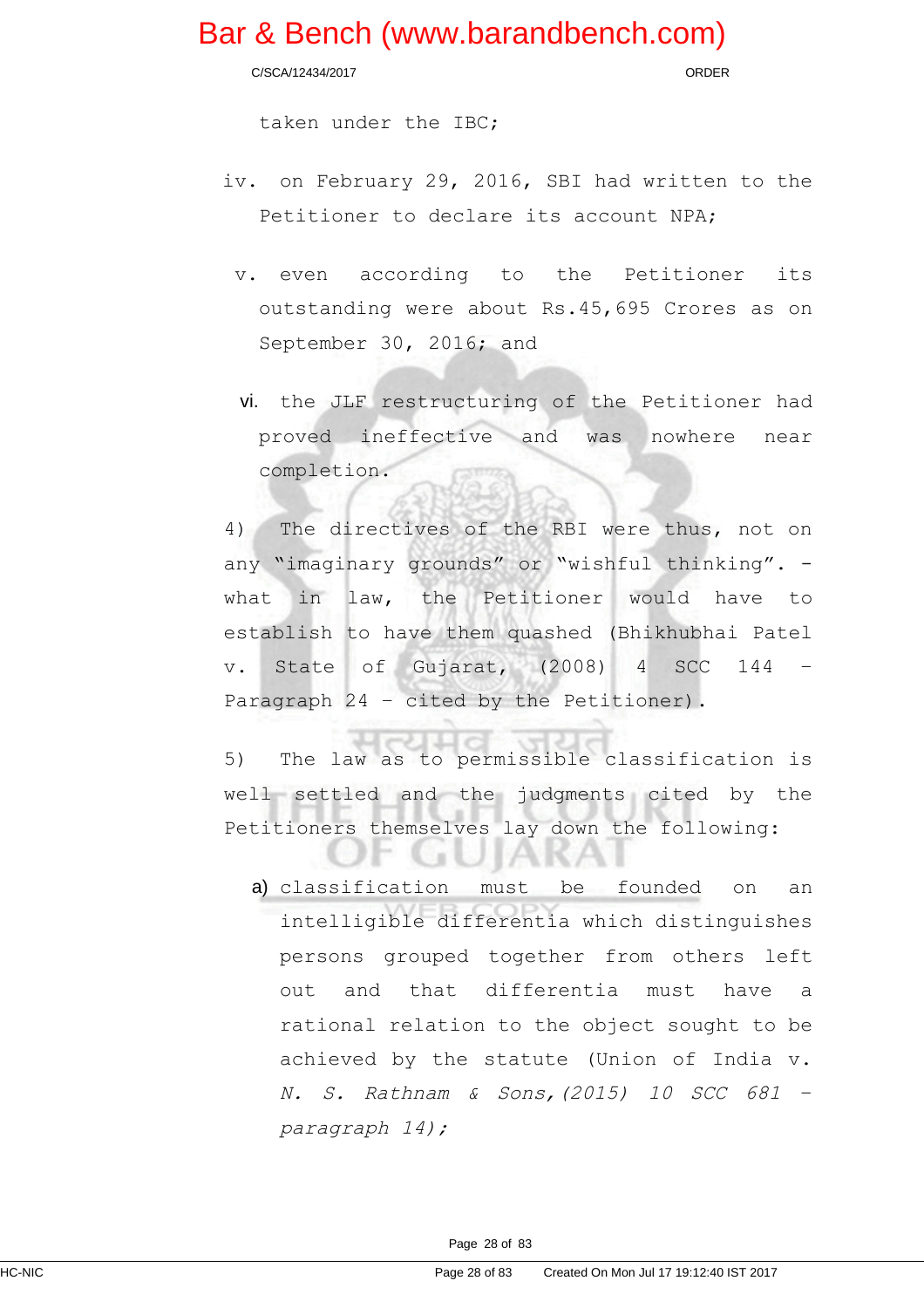C/SCA/12434/2017 ORDER

taken under the IBC;

- iv. on February 29, 2016, SBI had written to the Petitioner to declare its account NPA;
	- v. even according to the Petitioner its outstanding were about Rs.45,695 Crores as on September 30, 2016; and
	- vi. the JLF restructuring of the Petitioner had proved ineffective and was nowhere near completion.

4) The directives of the RBI were thus, not on any "imaginary grounds" or "wishful thinking". what in law, the Petitioner would have to establish to have them quashed (Bhikhubhai Patel v. State of Gujarat, (2008) 4 SCC 144 Paragraph 24 – cited by the Petitioner).

5) The law as to permissible classification is well settled and the judgments cited by the Petitioners themselves lay down the following:

a t

a) classification must be founded on an intelligible differentia which distinguishes persons grouped together from others left out and that differentia must have a rational relation to the object sought to be achieved by the statute (Union of India v. N. S. Rathnam & Sons,(2015) <sup>10</sup> SCC <sup>681</sup> – paragraph 14);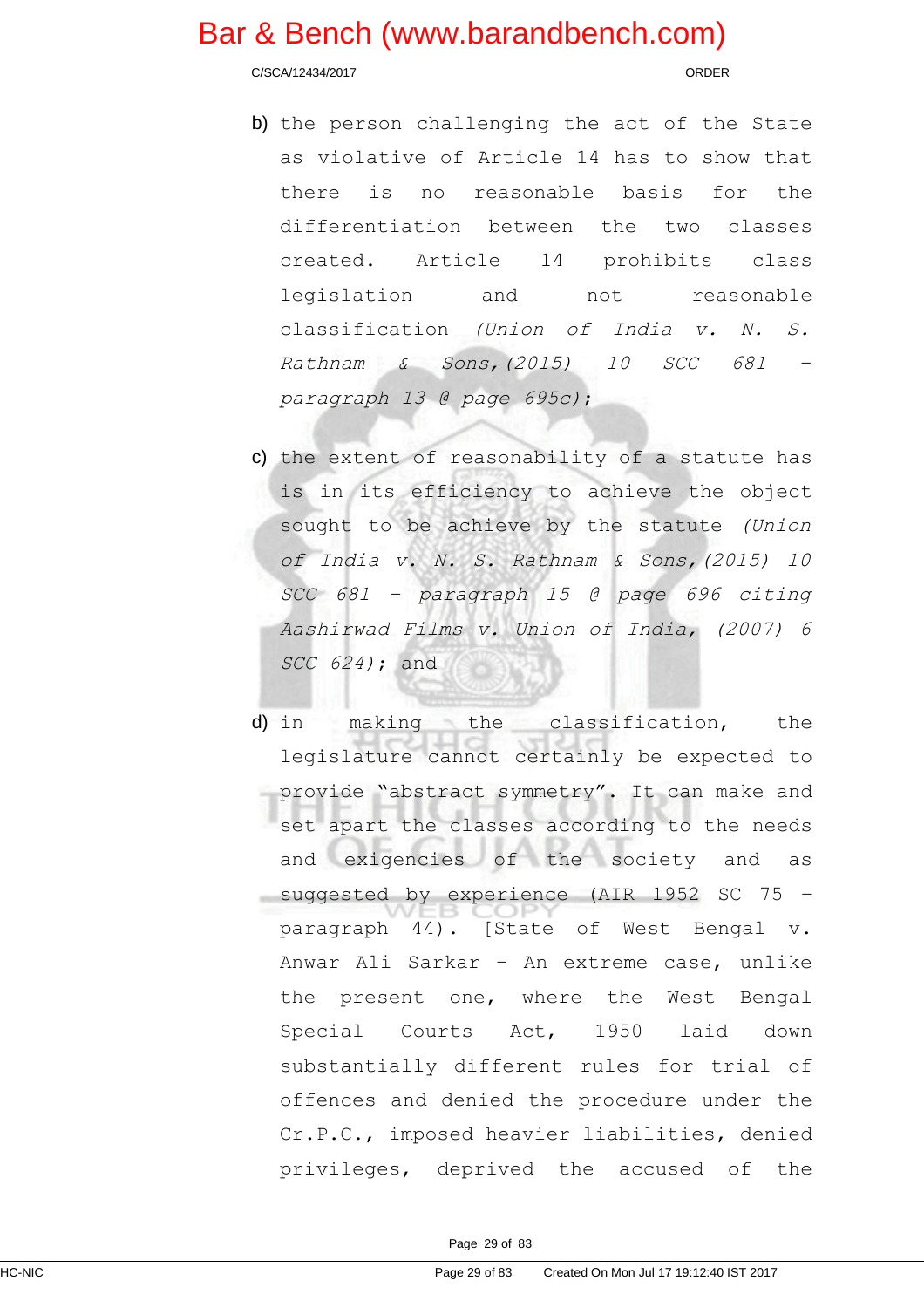C/SCA/12434/2017 ORDER

- b) the person challenging the act of the State as violative of Article 14 has to show that there is no reasonable basis for the differentiation between the two classes created. Article 14 prohibits class legislation and not reasonable classification (Union of India v. N. S. Rathnam & Sons,(2015) <sup>10</sup> SCC <sup>681</sup> – paragraph 13 @ page 695c);
- c) the extent of reasonability of a statute has is in its efficiency to achieve the object sought to be achieve by the statute (Union of India v. N. S. Rathnam & Sons,(2015) 10 SCC <sup>681</sup> – paragraph <sup>15</sup> @ page <sup>696</sup> citing Aashirwad Films v. Union of India, (2007) 6 SCC 624); and
- d) in making the classification, the legislature cannot certainly be expected to provide "abstract symmetry". It can make and set apart the classes according to the needs and exigencies of the society and as suggested by experience (AIR 1952 SC 75 – paragraph 44). [State of West Bengal v. Anwar Ali Sarkar – An extreme case, unlike the present one, where the West Bengal Special Courts Act, 1950 laid down substantially different rules for trial of offences and denied the procedure under the Cr.P.C., imposed heavier liabilities, denied privileges, deprived the accused of the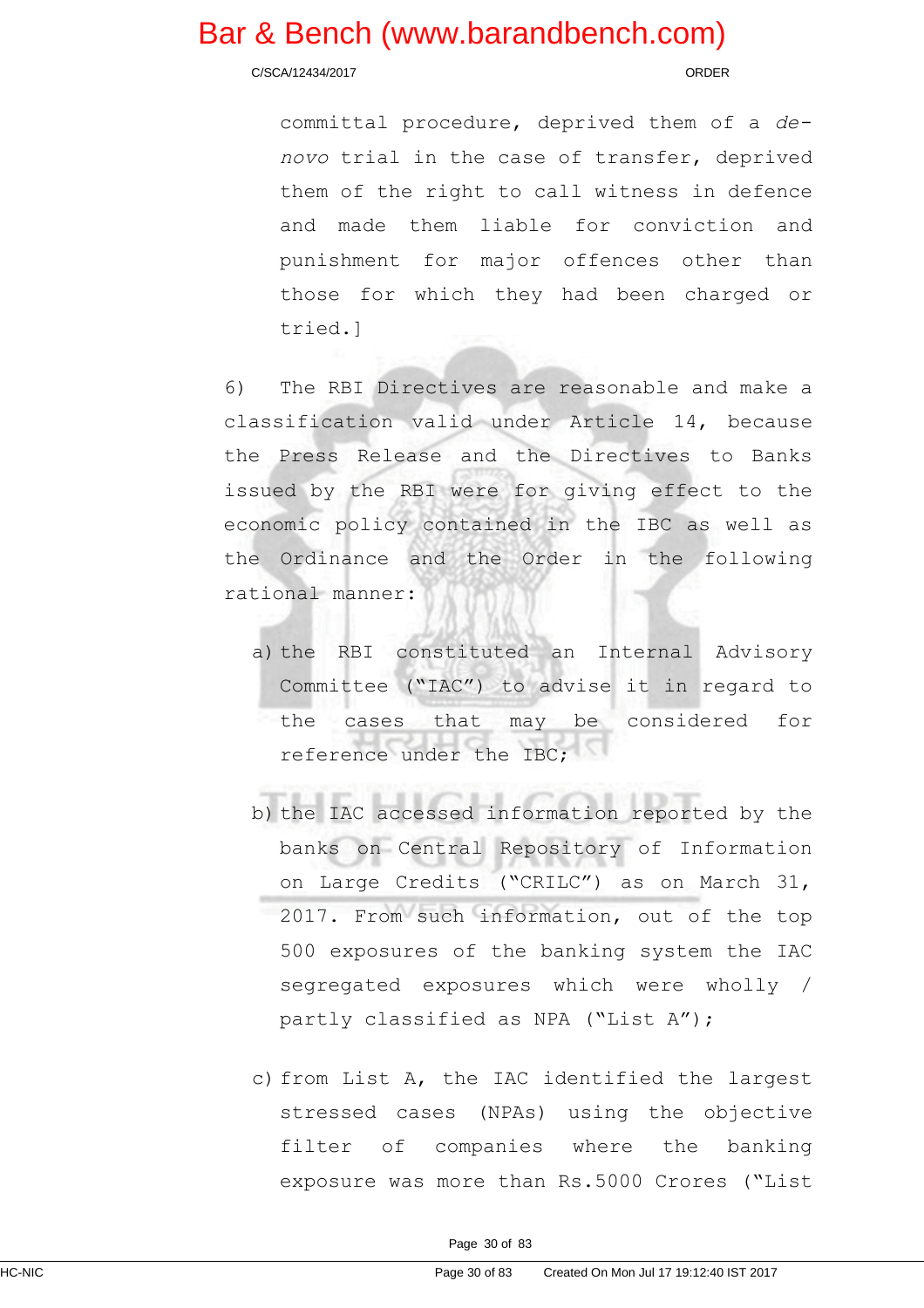C/SCA/12434/2017 ORDER

committal procedure, deprived them of a denovo trial in the case of transfer, deprived them of the right to call witness in defence and made them liable for conviction and punishment for major offences other than those for which they had been charged or tried.]

6) The RBI Directives are reasonable and make a classification valid under Article 14, because the Press Release and the Directives to Banks issued by the RBI were for giving effect to the economic policy contained in the IBC as well as the Ordinance and the Order in the following rational manner:

- a) the RBI constituted an Internal Advisory Committee ("IAC") to advise it in regard to the cases that may be considered for reference under the TBC:
- b) the IAC accessed information reported by the banks on Central Repository of Information on Large Credits ("CRILC") as on March 31, 2017. From such information, out of the top 500 exposures of the banking system the IAC segregated exposures which were wholly / partly classified as NPA ("List A");
- c) from List A, the IAC identified the largest stressed cases (NPAs) using the objective filter of companies where the banking exposure was more than Rs.5000 Crores ("List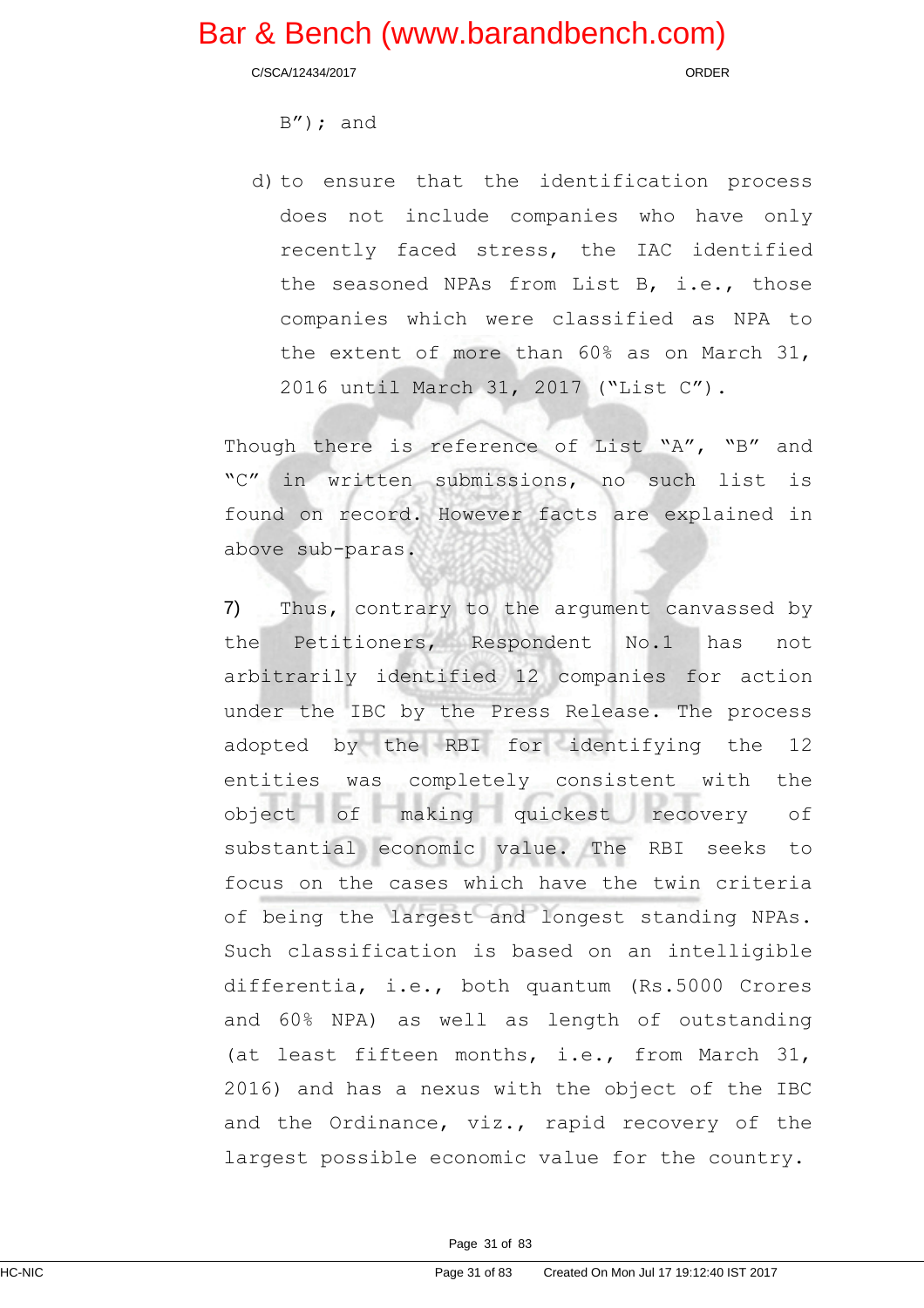C/SCA/12434/2017 ORDER

B"); and

d) to ensure that the identification process does not include companies who have only recently faced stress, the IAC identified the seasoned NPAs from List B, i.e., those companies which were classified as NPA to the extent of more than 60% as on March 31, 2016 until March 31, 2017 ("List C").

Though there is reference of List "A", "B" and "C" in written submissions, no such list is found on record. However facts are explained in above sub-paras.

7) Thus, contrary to the argument canvassed by the Petitioners, Respondent No.1 has not arbitrarily identified 12 companies for action under the IBC by the Press Release. The process adopted by the RBI for identifying the 12 entities was completely consistent with the object of making quickest recovery of substantial economic value. The RBI seeks to focus on the cases which have the twin criteria of being the largest and longest standing NPAs. Such classification is based on an intelligible differentia, i.e., both quantum (Rs.5000 Crores and 60% NPA) as well as length of outstanding (at least fifteen months, i.e., from March 31, 2016) and has a nexus with the object of the IBC and the Ordinance, viz., rapid recovery of the largest possible economic value for the country.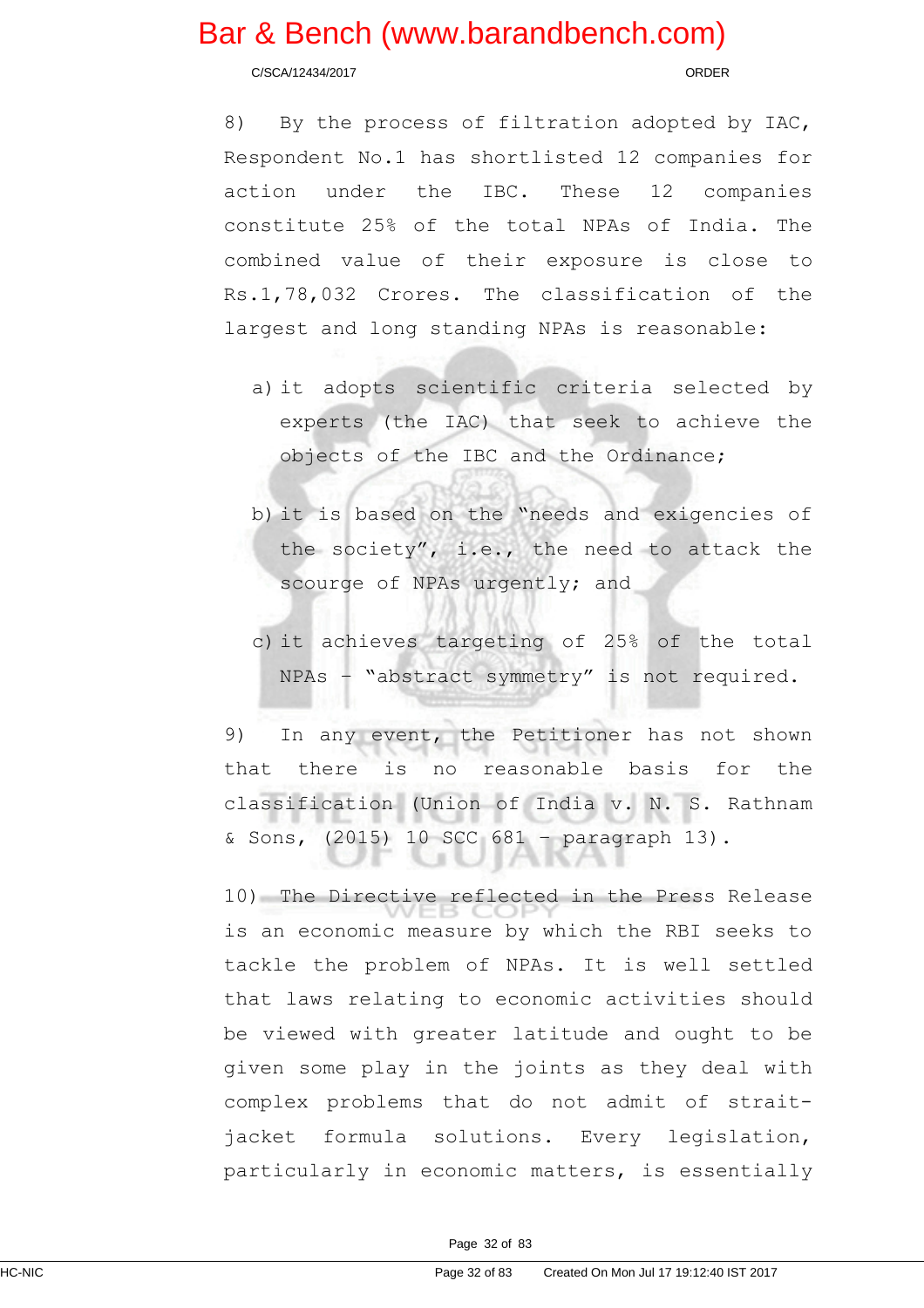C/SCA/12434/2017 ORDER

8) By the process of filtration adopted by IAC, Respondent No.1 has shortlisted 12 companies for action under the IBC. These 12 companies constitute 25% of the total NPAs of India. The combined value of their exposure is close to Rs.1,78,032 Crores. The classification of the largest and long standing NPAs is reasonable:

- a) it adopts scientific criteria selected by experts (the IAC) that seek to achieve the objects of the IBC and the Ordinance;
- b) it is based on the "needs and exigencies of the society", i.e., the need to attack the scourge of NPAs urgently; and
- c) it achieves targeting of 25% of the total NPAs – "abstract symmetry" is not required.

9) In any event, the Petitioner has not shown that there is no reasonable basis for the classification (Union of India v. N. S. Rathnam & Sons, (2015) 10 SCC 681 – paragraph 13).

10) The Directive reflected in the Press Release is an economic measure by which the RBI seeks to tackle the problem of NPAs. It is well settled that laws relating to economic activities should be viewed with greater latitude and ought to be given some play in the joints as they deal with complex problems that do not admit of straitjacket formula solutions. Every legislation, particularly in economic matters, is essentially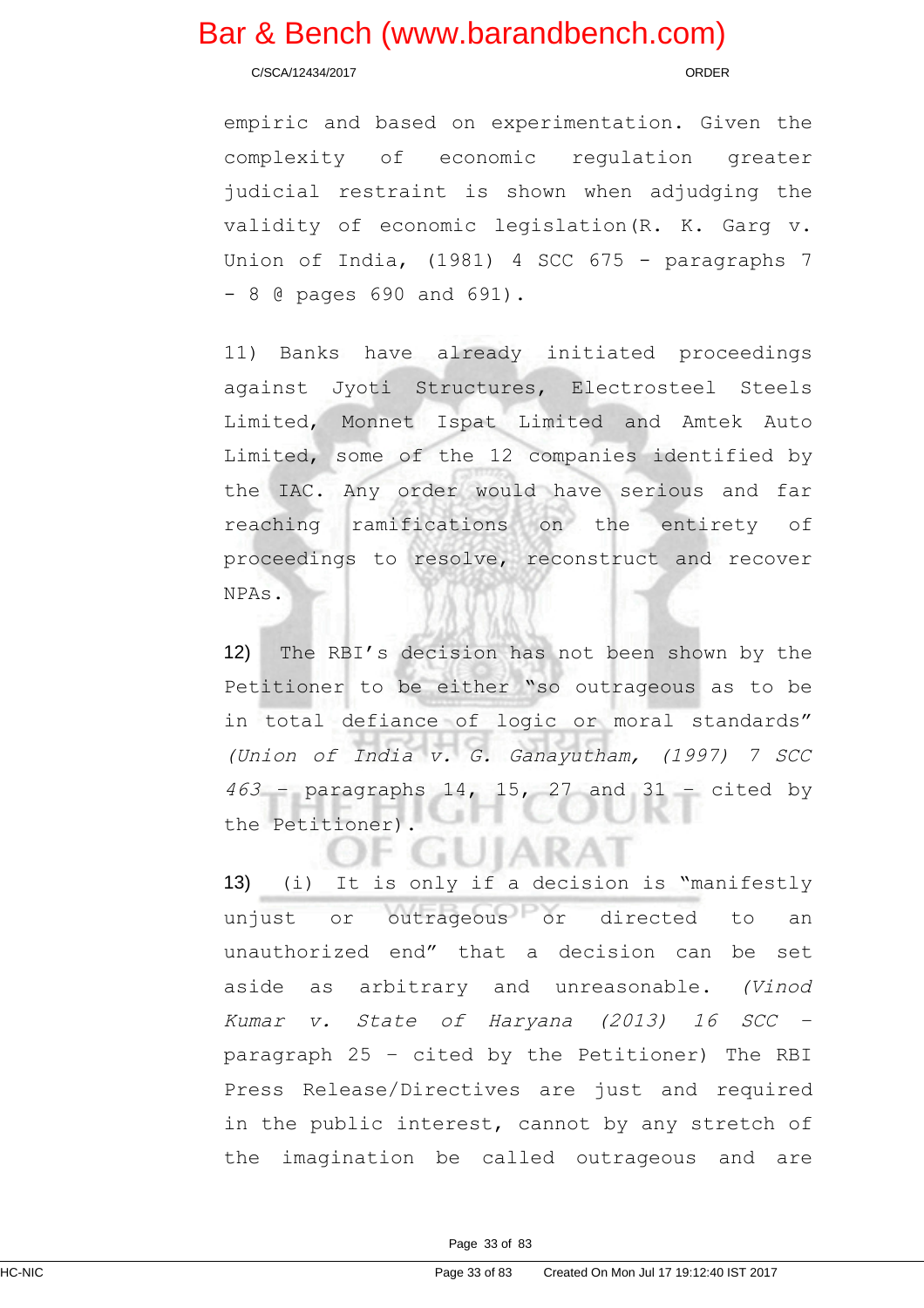C/SCA/12434/2017 ORDER

empiric and based on experimentation. Given the complexity of economic regulation greater judicial restraint is shown when adjudging the validity of economic legislation(R. K. Garg v. Union of India, (1981) 4 SCC 675 - paragraphs 7 - 8 @ pages 690 and 691).

11) Banks have already initiated proceedings against Jyoti Structures, Electrosteel Steels Limited, Monnet Ispat Limited and Amtek Auto Limited, some of the 12 companies identified by the IAC. Any order would have serious and far reaching ramifications on the entirety of proceedings to resolve, reconstruct and recover NPAs.

12) The RBI's decision has not been shown by the Petitioner to be either "so outrageous as to be in total defiance of logic or moral standards" (Union of India v. G. Ganayutham, (1997) 7 SCC  $463$  – paragraphs 14, 15, 27 and 31 – cited by the Petitioner).

80

13) (i) It is only if a decision is "manifestly unjust or outrageous or directed to an unauthorized end" that a decision can be set aside as arbitrary and unreasonable. (Vinod Kumar v. State of Haryana (2013) <sup>16</sup> SCC – paragraph 25 – cited by the Petitioner) The RBI Press Release/Directives are just and required in the public interest, cannot by any stretch of the imagination be called outrageous and are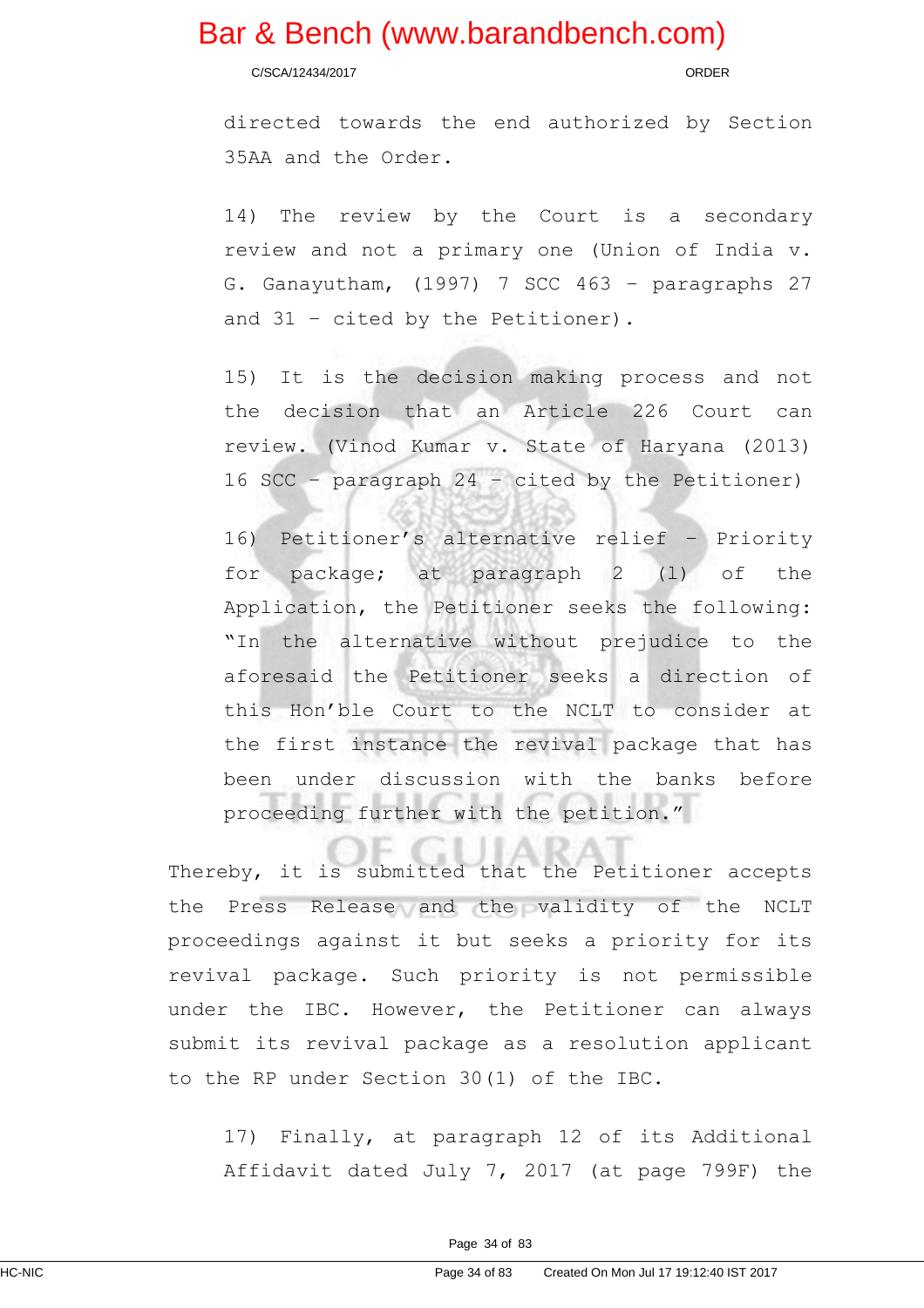C/SCA/12434/2017 ORDER

directed towards the end authorized by Section 35AA and the Order.

14) The review by the Court is a secondary review and not a primary one (Union of India v. G. Ganayutham, (1997) 7 SCC 463 – paragraphs 27 and 31 – cited by the Petitioner).

15) It is the decision making process and not the decision that an Article 226 Court can review. (Vinod Kumar v. State of Haryana (2013) 16 SCC – paragraph 24 – cited by the Petitioner)

16) Petitioner's alternative relief – Priority for package; at paragraph 2 (l) of the Application, the Petitioner seeks the following: "In the alternative without prejudice to the aforesaid the Petitioner seeks a direction of this Hon'ble Court to the NCLT to consider at the first instance the revival package that has been under discussion with the banks before proceeding further with the petition."

Thereby, it is submitted that the Petitioner accepts the Press Release and the validity of the NCLT proceedings against it but seeks a priority for its revival package. Such priority is not permissible under the IBC. However, the Petitioner can always submit its revival package as a resolution applicant to the RP under Section 30(1) of the IBC.

17) Finally, at paragraph 12 of its Additional Affidavit dated July 7, 2017 (at page 799F) the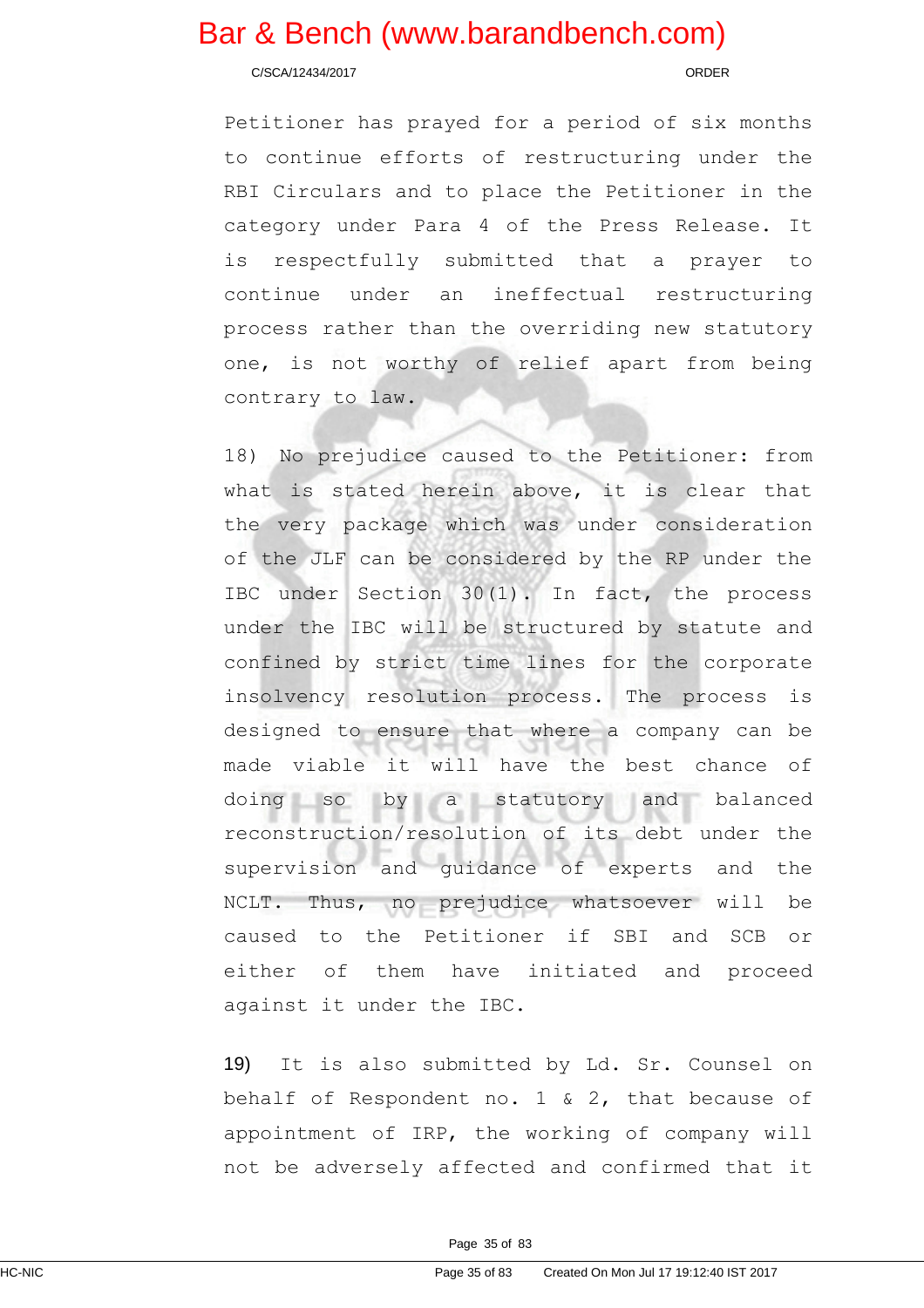C/SCA/12434/2017 ORDER

Petitioner has prayed for a period of six months to continue efforts of restructuring under the RBI Circulars and to place the Petitioner in the category under Para 4 of the Press Release. It is respectfully submitted that a prayer to continue under an ineffectual restructuring process rather than the overriding new statutory one, is not worthy of relief apart from being contrary to law.

18) No prejudice caused to the Petitioner: from what is stated herein above, it is clear that the very package which was under consideration of the JLF can be considered by the RP under the IBC under Section 30(1). In fact, the process under the IBC will be structured by statute and confined by strict time lines for the corporate insolvency resolution process. The process is designed to ensure that where a company can be made viable it will have the best chance of doing so by a statutory and balanced reconstruction/resolution of its debt under the supervision and guidance of experts and the NCLT. Thus, no prejudice whatsoever will be caused to the Petitioner if SBI and SCB or either of them have initiated and proceed against it under the IBC.

19) It is also submitted by Ld. Sr. Counsel on behalf of Respondent no. 1 & 2, that because of appointment of IRP, the working of company will not be adversely affected and confirmed that it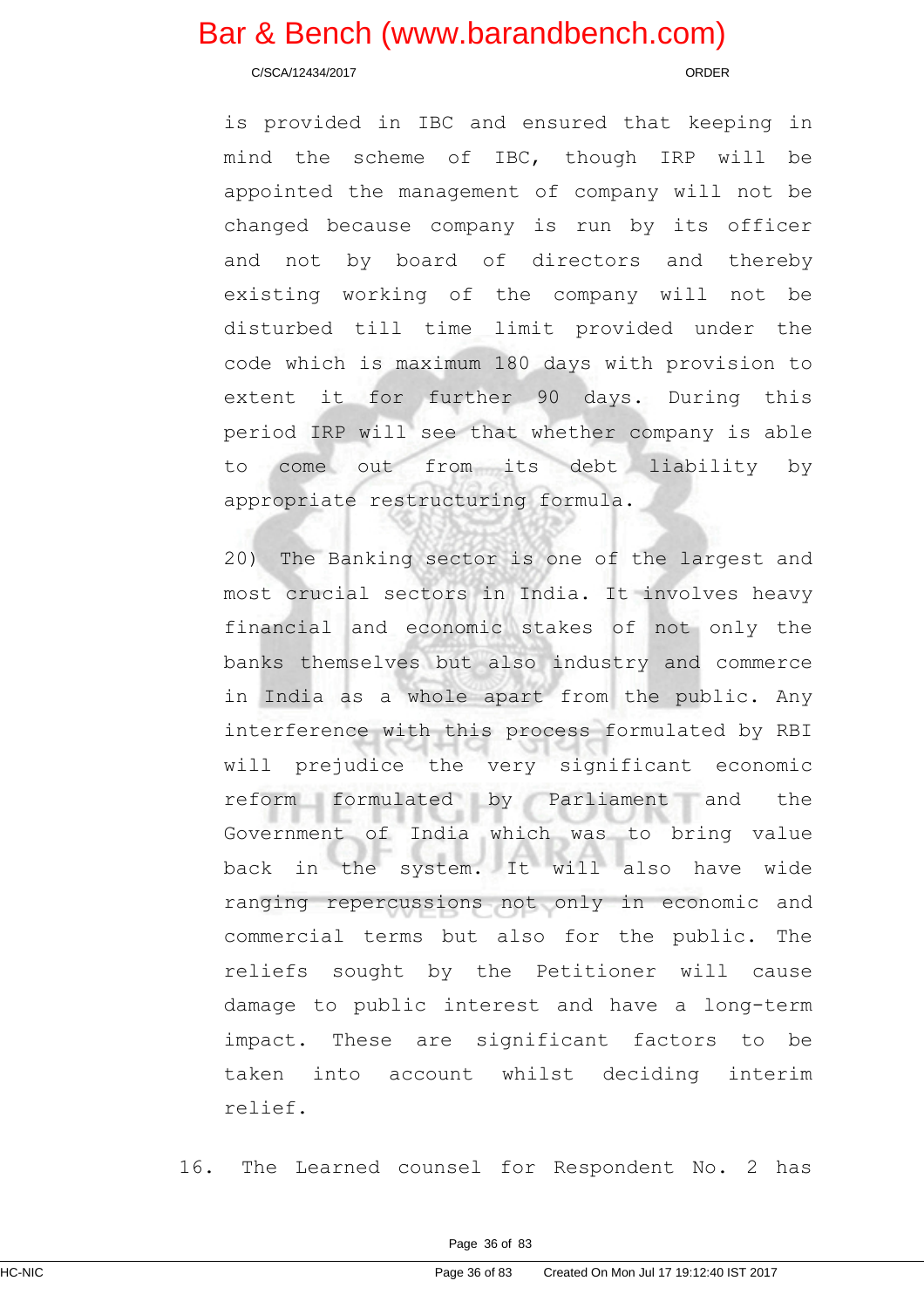C/SCA/12434/2017 ORDER

is provided in IBC and ensured that keeping in mind the scheme of IBC, though IRP will be appointed the management of company will not be changed because company is run by its officer and not by board of directors and thereby existing working of the company will not be disturbed till time limit provided under the code which is maximum 180 days with provision to extent it for further 90 days. During this period IRP will see that whether company is able to come out from its debt liability by appropriate restructuring formula.

20) The Banking sector is one of the largest and most crucial sectors in India. It involves heavy financial and economic stakes of not only the banks themselves but also industry and commerce in India as a whole apart from the public. Any interference with this process formulated by RBI will prejudice the very significant economic reform formulated by Parliament and the Government of India which was to bring value back in the system. It will also have wide ranging repercussions not only in economic and commercial terms but also for the public. The reliefs sought by the Petitioner will cause damage to public interest and have a long-term impact. These are significant factors to be taken into account whilst deciding interim relief.

16. The Learned counsel for Respondent No. 2 has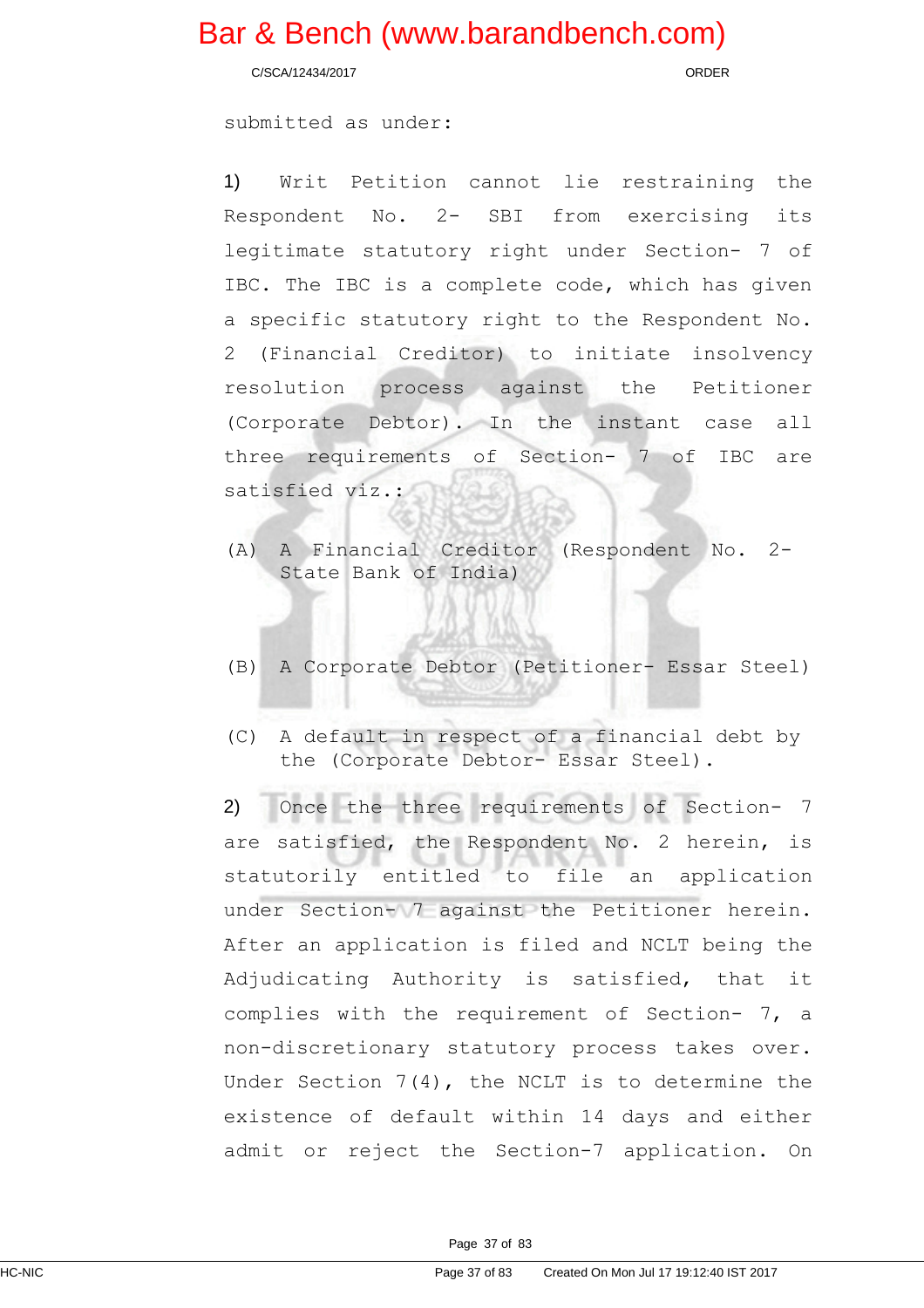C/SCA/12434/2017 ORDER

submitted as under:

1) Writ Petition cannot lie restraining the Respondent No. 2- SBI from exercising its legitimate statutory right under Section- 7 of IBC. The IBC is a complete code, which has given a specific statutory right to the Respondent No. 2 (Financial Creditor) to initiate insolvency resolution process against the Petitioner (Corporate Debtor). In the instant case all three requirements of Section- 7 of IBC are satisfied viz.:

- (A) A Financial Creditor (Respondent No. 2- State Bank of India)
- (B) A Corporate Debtor (Petitioner- Essar Steel)
- (C) A default in respect of a financial debt by the (Corporate Debtor- Essar Steel).

2) Once the three requirements of Section- 7 are satisfied, the Respondent No. 2 herein, is statutorily entitled to file an application under Section- 7 against the Petitioner herein. After an application is filed and NCLT being the Adjudicating Authority is satisfied, that it complies with the requirement of Section- 7, a non-discretionary statutory process takes over. Under Section 7(4), the NCLT is to determine the existence of default within 14 days and either admit or reject the Section-7 application. On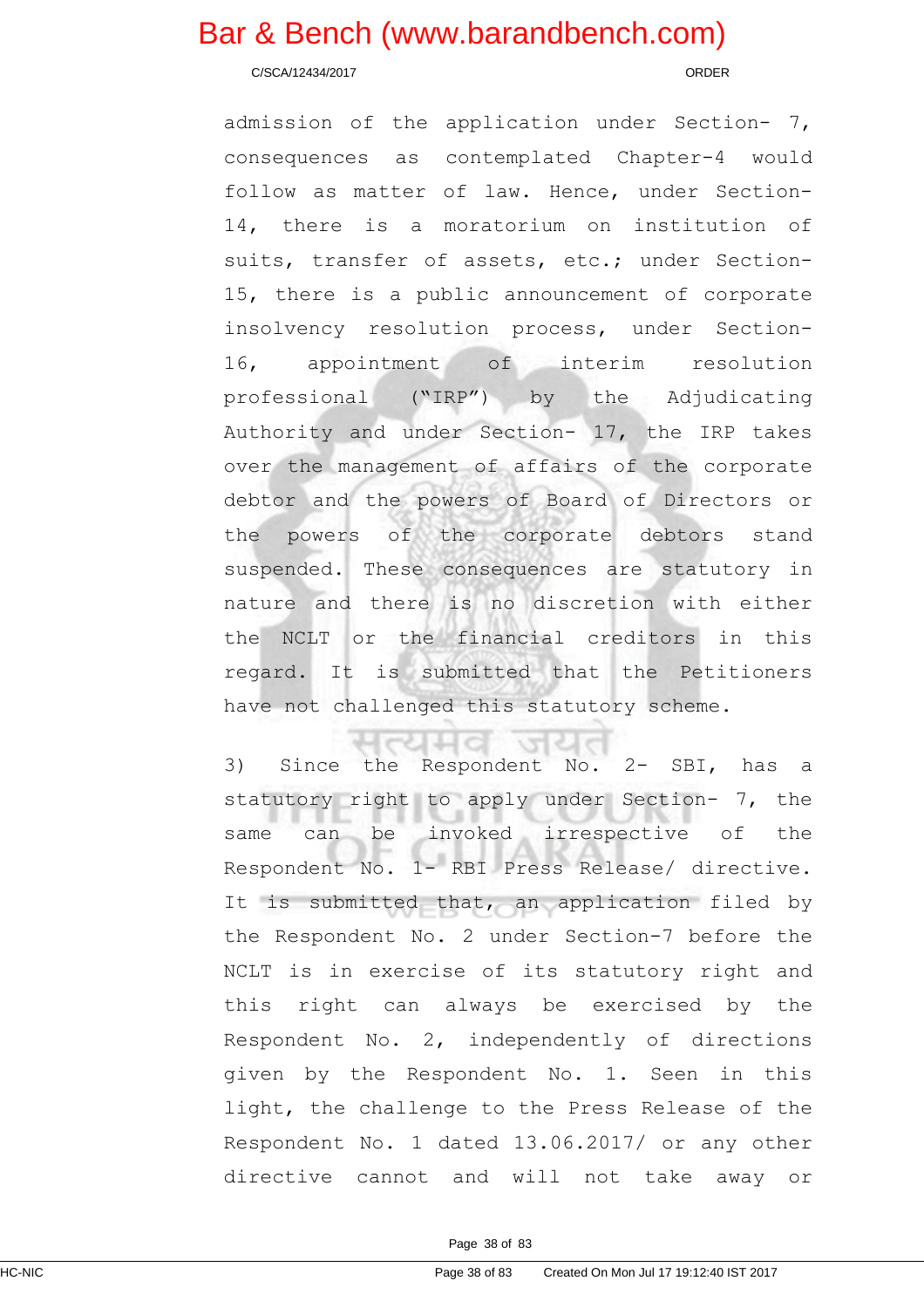C/SCA/12434/2017 ORDER

admission of the application under Section- 7, consequences as contemplated Chapter-4 would follow as matter of law. Hence, under Section-14, there is a moratorium on institution of suits, transfer of assets, etc.; under Section-15, there is a public announcement of corporate insolvency resolution process, under Section-16, appointment of interim resolution professional ("IRP") by the Adjudicating Authority and under Section- 17, the IRP takes over the management of affairs of the corporate debtor and the powers of Board of Directors or the powers of the corporate debtors stand suspended. These consequences are statutory in nature and there is no discretion with either the NCLT or the financial creditors in this regard. It is submitted that the Petitioners have not challenged this statutory scheme.

3) Since the Respondent No. 2- SBI, has a statutory right to apply under Section- 7, the same can be invoked irrespective of the Respondent No. 1- RBI Press Release/ directive. It is submitted that, an application filed by the Respondent No. 2 under Section-7 before the NCLT is in exercise of its statutory right and this right can always be exercised by the Respondent No. 2, independently of directions given by the Respondent No. 1. Seen in this light, the challenge to the Press Release of the Respondent No. 1 dated 13.06.2017/ or any other directive cannot and will not take away or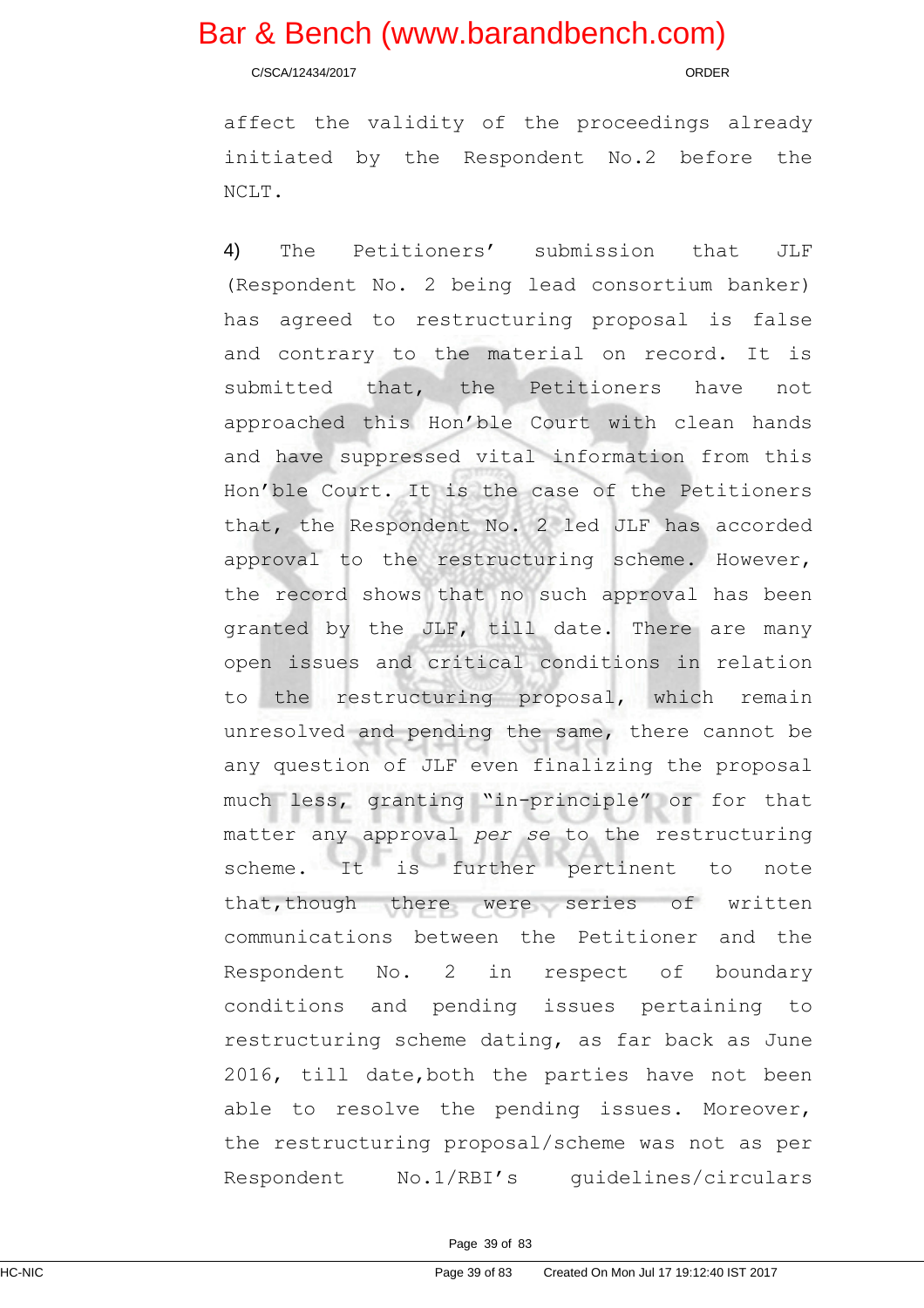C/SCA/12434/2017 ORDER

affect the validity of the proceedings already initiated by the Respondent No.2 before the NCLT.

4) The Petitioners' submission that JLF (Respondent No. 2 being lead consortium banker) has agreed to restructuring proposal is false and contrary to the material on record. It is submitted that, the Petitioners have not approached this Hon'ble Court with clean hands and have suppressed vital information from this Hon'ble Court. It is the case of the Petitioners that, the Respondent No. 2 led JLF has accorded approval to the restructuring scheme. However, the record shows that no such approval has been granted by the JLF, till date. There are many open issues and critical conditions in relation to the restructuring proposal, which remain unresolved and pending the same, there cannot be any question of JLF even finalizing the proposal much less, granting "in-principle" or for that matter any approval per se to the restructuring scheme. It is further pertinent to note that,though there were series of written communications between the Petitioner and the Respondent No. 2 in respect of boundary conditions and pending issues pertaining to restructuring scheme dating, as far back as June 2016, till date,both the parties have not been able to resolve the pending issues. Moreover, the restructuring proposal/scheme was not as per Respondent No.1/RBI's guidelines/circulars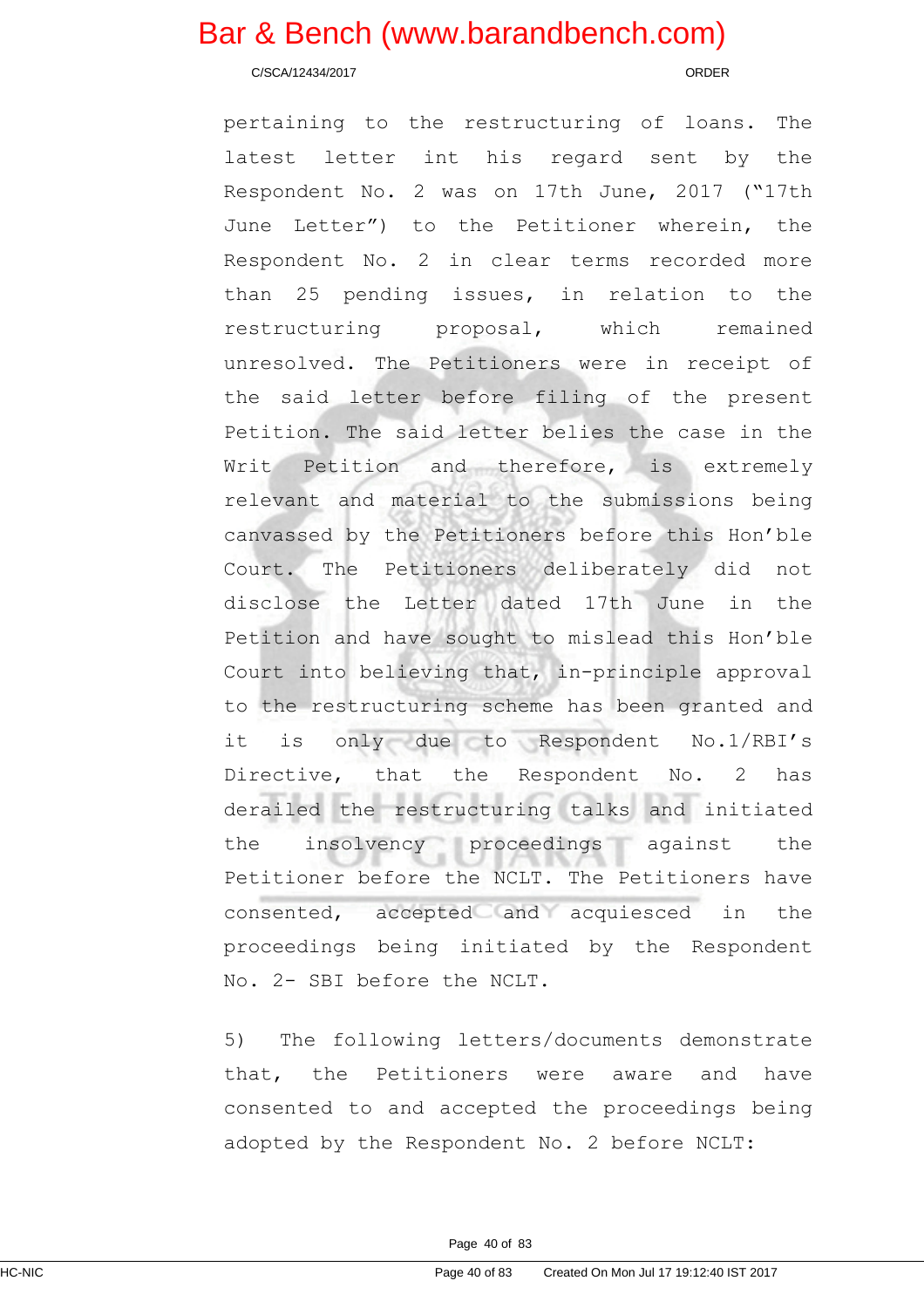C/SCA/12434/2017 ORDER

pertaining to the restructuring of loans. The latest letter int his regard sent by the Respondent No. 2 was on 17th June, 2017 ("17th June Letter") to the Petitioner wherein, the Respondent No. 2 in clear terms recorded more than 25 pending issues, in relation to the restructuring proposal, which remained unresolved. The Petitioners were in receipt of the said letter before filing of the present Petition. The said letter belies the case in the Writ Petition and therefore, is extremely relevant and material to the submissions being canvassed by the Petitioners before this Hon'ble Court. The Petitioners deliberately did not disclose the Letter dated 17th June in the Petition and have sought to mislead this Hon'ble Court into believing that, in-principle approval to the restructuring scheme has been granted and it is only due to Respondent No.1/RBI's Directive, that the Respondent No. 2 has derailed the restructuring talks and initiated the insolvency proceedings against the Petitioner before the NCLT. The Petitioners have consented, accepted and acquiesced in the proceedings being initiated by the Respondent No. 2- SBI before the NCLT.

5) The following letters/documents demonstrate that, the Petitioners were aware and have consented to and accepted the proceedings being adopted by the Respondent No. 2 before NCLT: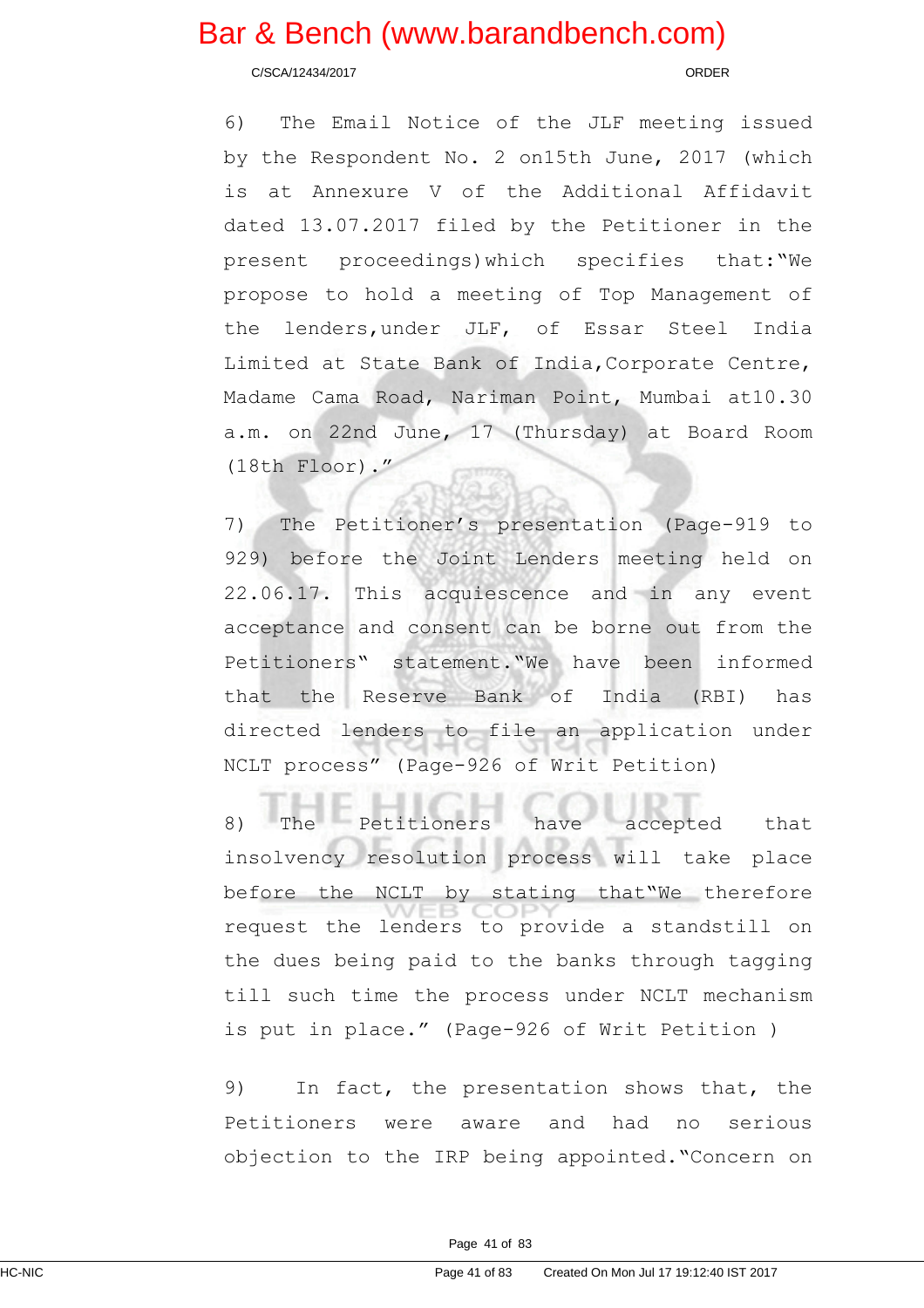C/SCA/12434/2017 ORDER

6) The Email Notice of the JLF meeting issued by the Respondent No. 2 on15th June, 2017 (which is at Annexure V of the Additional Affidavit dated 13.07.2017 filed by the Petitioner in the present proceedings)which specifies that:"We propose to hold a meeting of Top Management of the lenders,under JLF, of Essar Steel India Limited at State Bank of India,Corporate Centre, Madame Cama Road, Nariman Point, Mumbai at10.30 a.m. on 22nd June, 17 (Thursday) at Board Room (18th Floor)."

7) The Petitioner's presentation (Page-919 to 929) before the Joint Lenders meeting held on 22.06.17. This acquiescence and in any event acceptance and consent can be borne out from the Petitioners" statement."We have been informed that the Reserve Bank of India (RBI) has directed lenders to file an application under NCLT process" (Page-926 of Writ Petition)

8) The Petitioners have accepted that insolvency resolution process will take place before the NCLT by stating that"We therefore request the lenders to provide a standstill on the dues being paid to the banks through tagging till such time the process under NCLT mechanism is put in place." (Page-926 of Writ Petition )

9) In fact, the presentation shows that, the Petitioners were aware and had no serious objection to the IRP being appointed."Concern on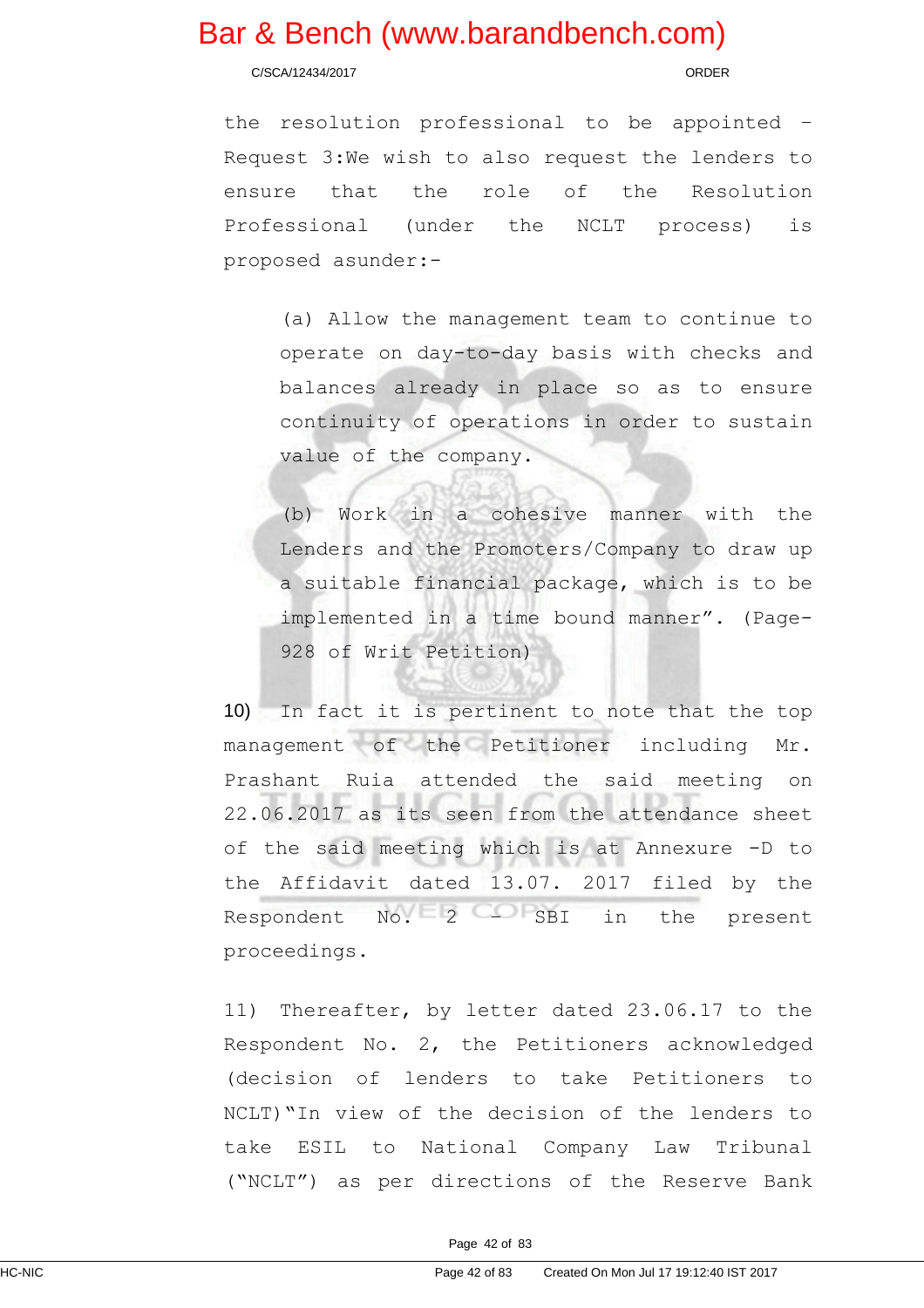C/SCA/12434/2017 ORDER

the resolution professional to be appointed – Request 3:We wish to also request the lenders to ensure that the role of the Resolution Professional (under the NCLT process) is proposed asunder:-

(a) Allow the management team to continue to operate on day-to-day basis with checks and balances already in place so as to ensure continuity of operations in order to sustain value of the company.

(b) Work in a cohesive manner with the Lenders and the Promoters/Company to draw up a suitable financial package, which is to be implemented in a time bound manner". (Page-928 of Writ Petition)

10) In fact it is pertinent to note that the top management of the Petitioner including Mr. Prashant Ruia attended the said meeting on 22.06.2017 as its seen from the attendance sheet of the said meeting which is at Annexure -D to the Affidavit dated 13.07. 2017 filed by the Respondent No. 2 – SBI in the present proceedings.

11) Thereafter, by letter dated 23.06.17 to the Respondent No. 2, the Petitioners acknowledged (decision of lenders to take Petitioners to NCLT)"In view of the decision of the lenders to take ESIL to National Company Law Tribunal ("NCLT") as per directions of the Reserve Bank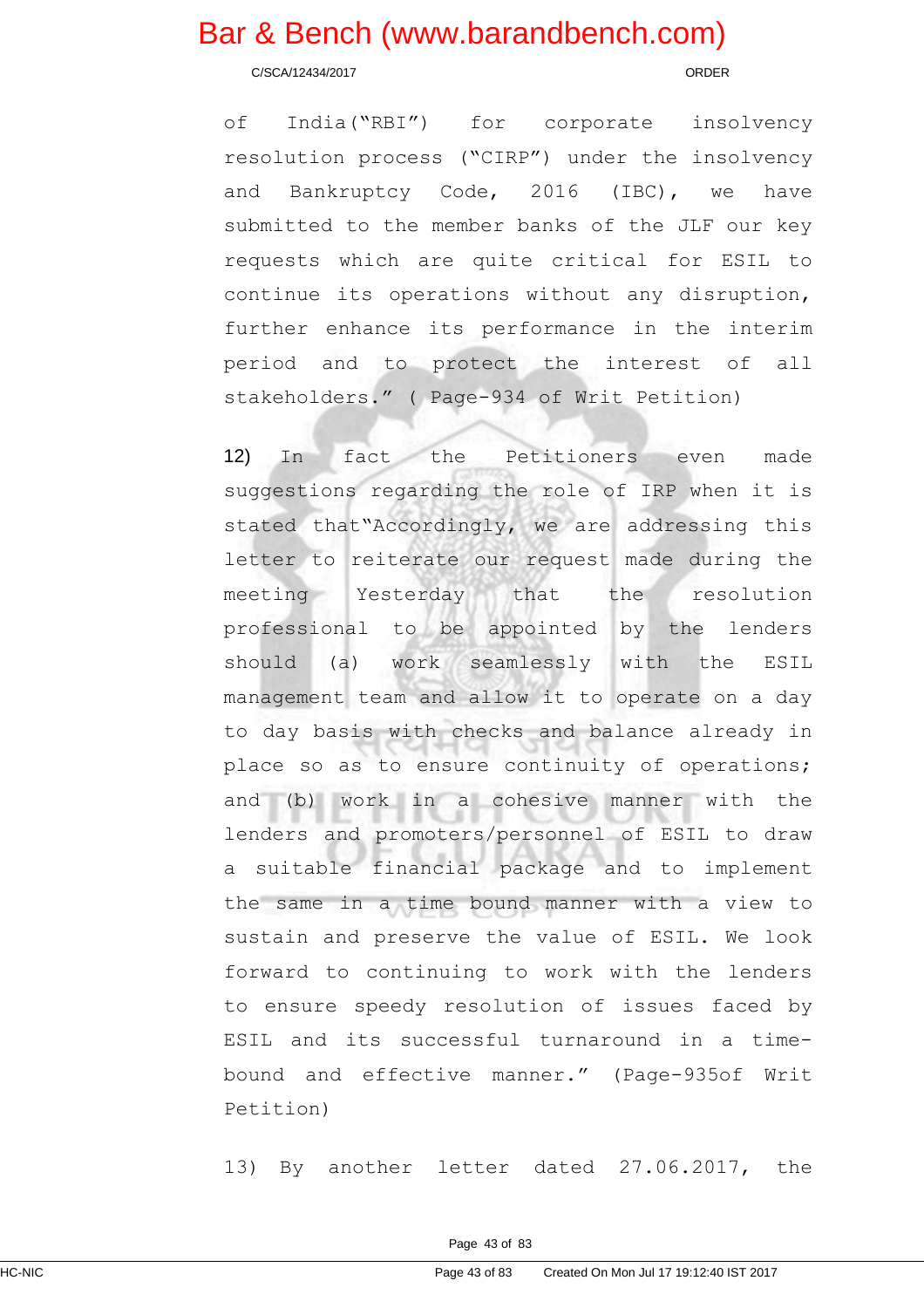C/SCA/12434/2017 ORDER

of India("RBI") for corporate insolvency resolution process ("CIRP") under the insolvency and Bankruptcy Code, 2016 (IBC), we have submitted to the member banks of the JLF our key requests which are quite critical for ESIL to continue its operations without any disruption, further enhance its performance in the interim period and to protect the interest of all stakeholders." ( Page-934 of Writ Petition)

12) In fact the Petitioners even made suggestions regarding the role of IRP when it is stated that"Accordingly, we are addressing this letter to reiterate our request made during the meeting Yesterday that the resolution professional to be appointed by the lenders should (a) work seamlessly with the ESIL management team and allow it to operate on a day to day basis with checks and balance already in place so as to ensure continuity of operations; and (b) work in a cohesive manner with the lenders and promoters/personnel of ESIL to draw a suitable financial package and to implement the same in a time bound manner with a view to sustain and preserve the value of ESIL. We look forward to continuing to work with the lenders to ensure speedy resolution of issues faced by ESIL and its successful turnaround in a timebound and effective manner." (Page-935of Writ Petition)

13) By another letter dated 27.06.2017, the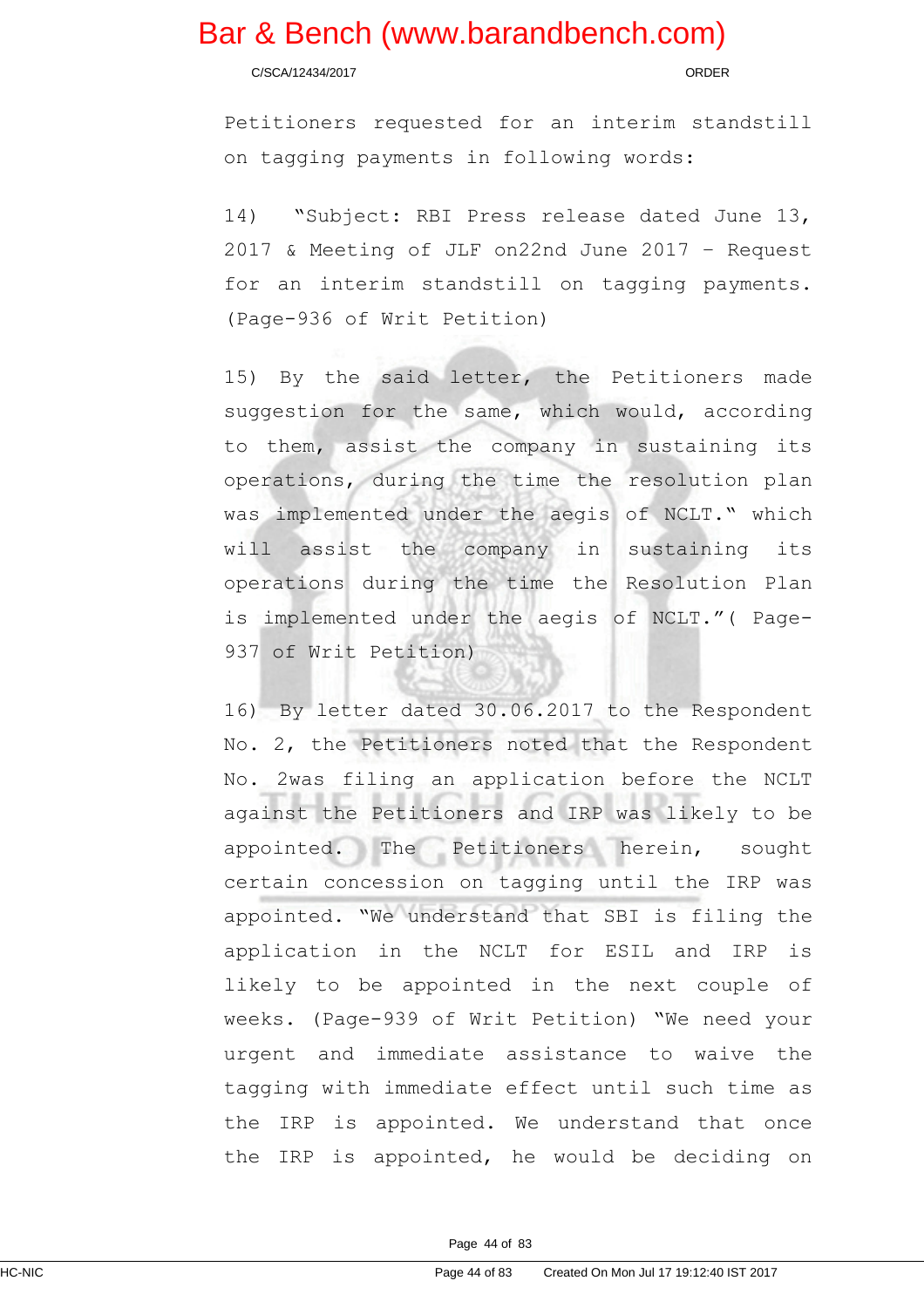C/SCA/12434/2017 ORDER

Petitioners requested for an interim standstill on tagging payments in following words:

14) "Subject: RBI Press release dated June 13, 2017 & Meeting of JLF on22nd June 2017 – Request for an interim standstill on tagging payments. (Page-936 of Writ Petition)

15) By the said letter, the Petitioners made suggestion for the same, which would, according to them, assist the company in sustaining its operations, during the time the resolution plan was implemented under the aegis of NCLT." which will assist the company in sustaining its operations during the time the Resolution Plan is implemented under the aegis of NCLT."( Page-937 of Writ Petition)

16) By letter dated 30.06.2017 to the Respondent No. 2, the Petitioners noted that the Respondent No. 2was filing an application before the NCLT against the Petitioners and IRP was likely to be appointed. The Petitioners herein, sought certain concession on tagging until the IRP was appointed. "We understand that SBI is filing the application in the NCLT for ESIL and IRP is likely to be appointed in the next couple of weeks. (Page-939 of Writ Petition) "We need your urgent and immediate assistance to waive the tagging with immediate effect until such time as the IRP is appointed. We understand that once the IRP is appointed, he would be deciding on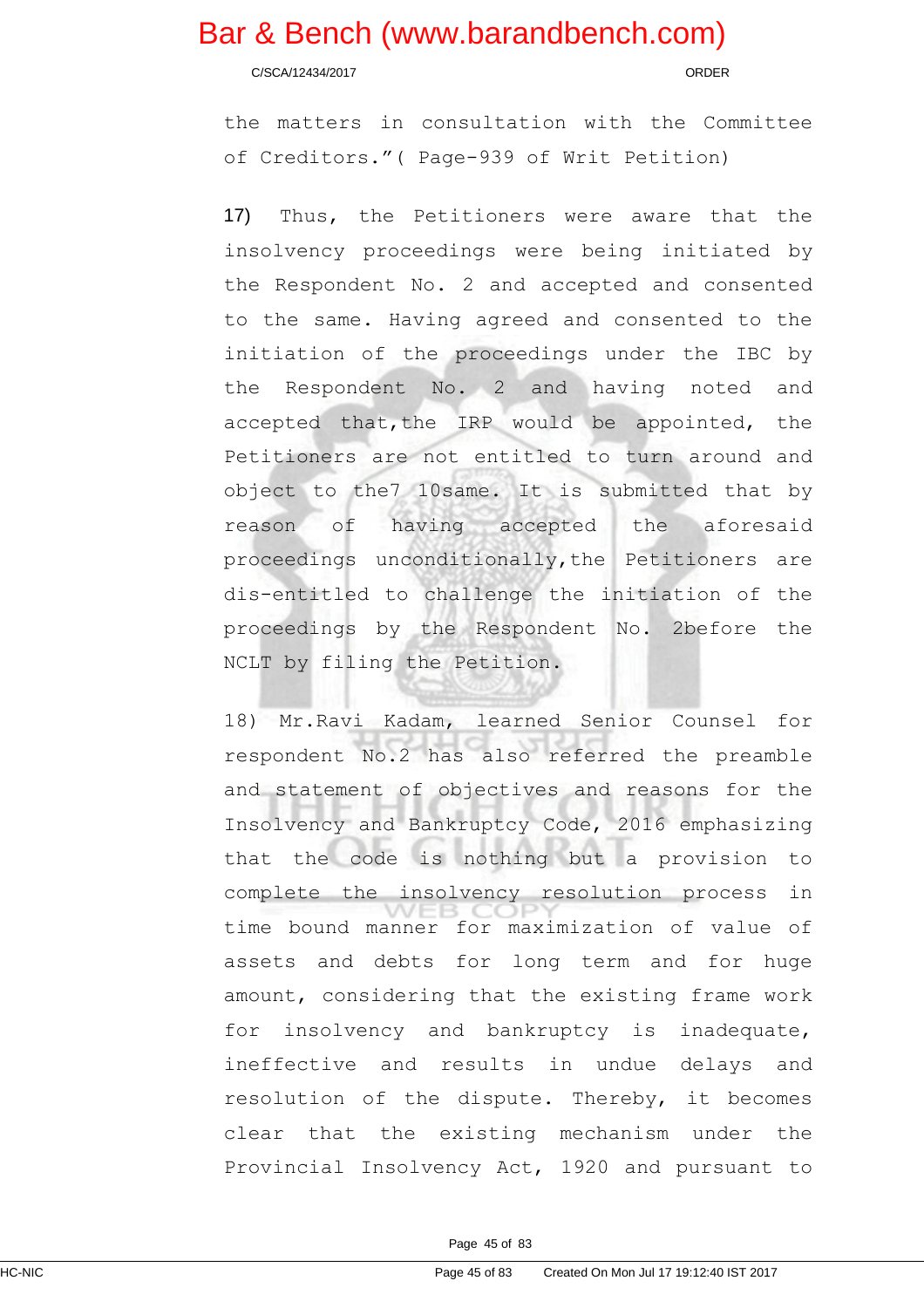C/SCA/12434/2017 ORDER

the matters in consultation with the Committee of Creditors."( Page-939 of Writ Petition)

17) Thus, the Petitioners were aware that the insolvency proceedings were being initiated by the Respondent No. 2 and accepted and consented to the same. Having agreed and consented to the initiation of the proceedings under the IBC by the Respondent No. 2 and having noted and accepted that, the IRP would be appointed, the Petitioners are not entitled to turn around and object to the7 10same. It is submitted that by reason of having accepted the aforesaid proceedings unconditionally,the Petitioners are dis-entitled to challenge the initiation of the proceedings by the Respondent No. 2before the NCLT by filing the Petition.

18) Mr.Ravi Kadam, learned Senior Counsel for respondent No.2 has also referred the preamble and statement of objectives and reasons for the Insolvency and Bankruptcy Code, 2016 emphasizing that the code is nothing but a provision to complete the insolvency resolution process in time bound manner for maximization of value of assets and debts for long term and for huge amount, considering that the existing frame work for insolvency and bankruptcy is inadequate, ineffective and results in undue delays and resolution of the dispute. Thereby, it becomes clear that the existing mechanism under the Provincial Insolvency Act, 1920 and pursuant to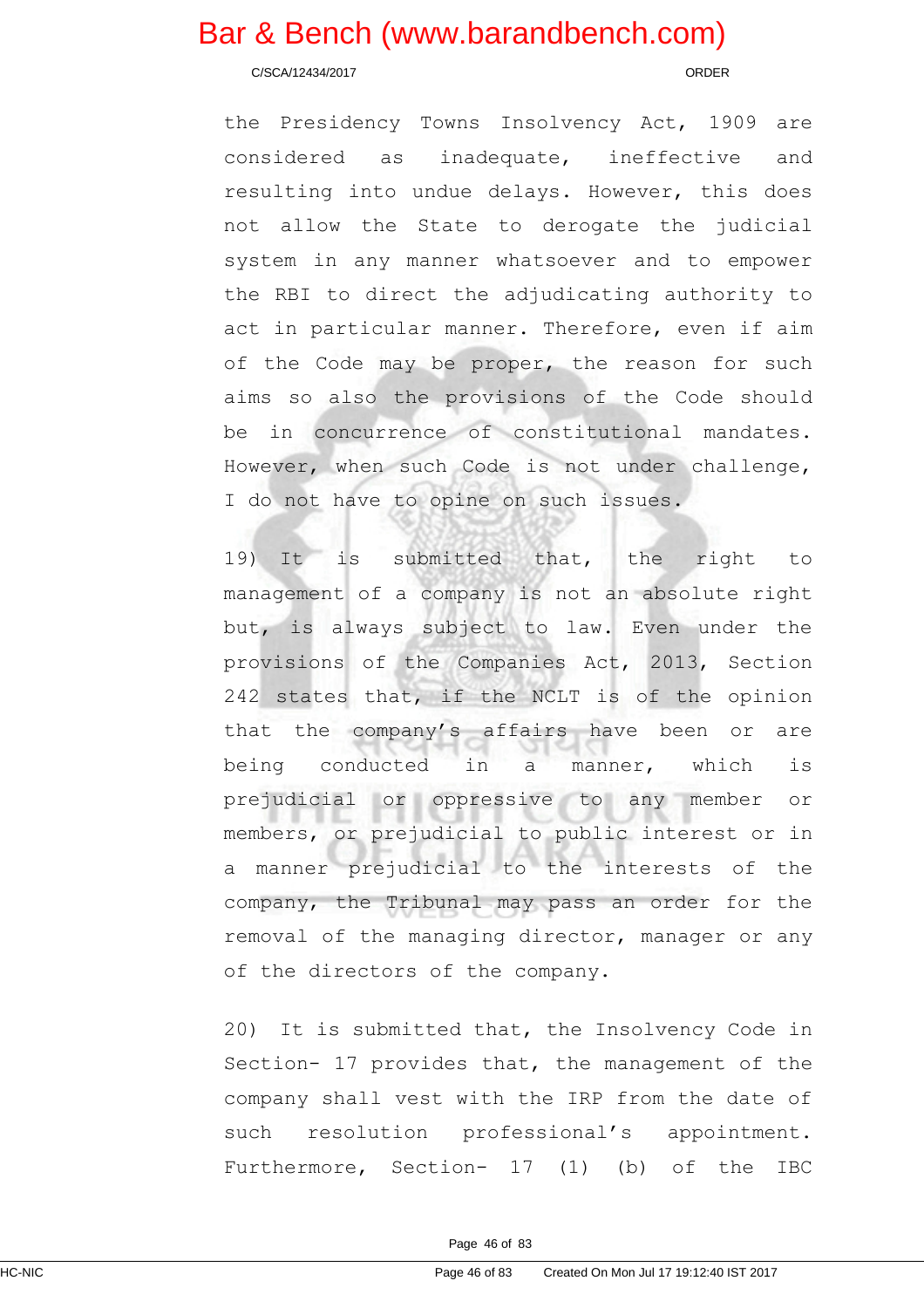C/SCA/12434/2017 ORDER

the Presidency Towns Insolvency Act, 1909 are considered as inadequate, ineffective and resulting into undue delays. However, this does not allow the State to derogate the judicial system in any manner whatsoever and to empower the RBI to direct the adjudicating authority to act in particular manner. Therefore, even if aim of the Code may be proper, the reason for such aims so also the provisions of the Code should be in concurrence of constitutional mandates. However, when such Code is not under challenge, I do not have to opine on such issues.

19) It is submitted that, the right to management of a company is not an absolute right but, is always subject to law. Even under the provisions of the Companies Act, 2013, Section 242 states that, if the NCLT is of the opinion that the company's affairs have been or are being conducted in a manner, which is prejudicial or oppressive to any member or members, or prejudicial to public interest or in a manner prejudicial to the interests of the company, the Tribunal may pass an order for the removal of the managing director, manager or any of the directors of the company.

20) It is submitted that, the Insolvency Code in Section- 17 provides that, the management of the company shall vest with the IRP from the date of such resolution professional's appointment. Furthermore, Section- 17 (1) (b) of the IBC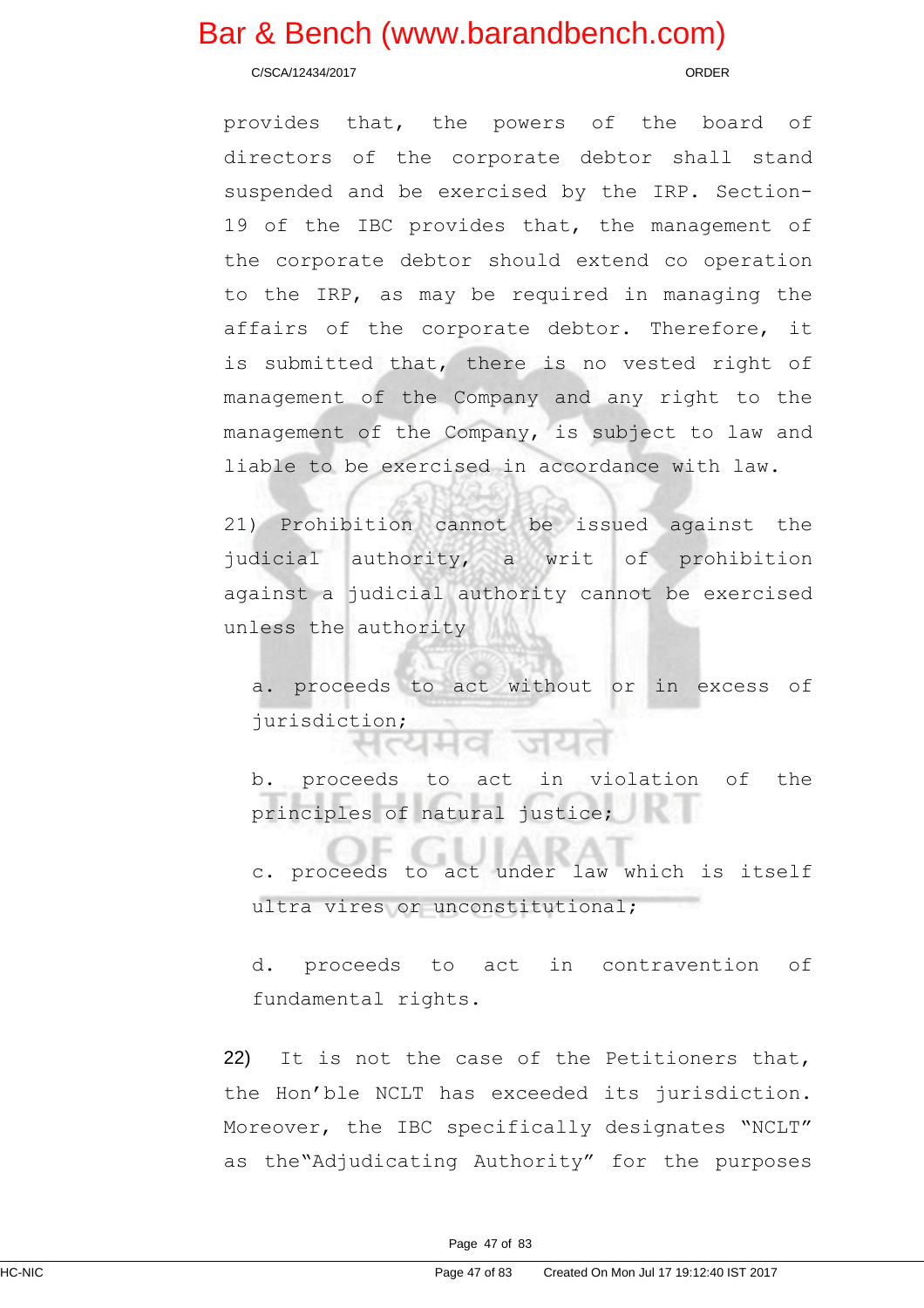C/SCA/12434/2017 ORDER

provides that, the powers of the board of directors of the corporate debtor shall stand suspended and be exercised by the IRP. Section-19 of the IBC provides that, the management of the corporate debtor should extend co operation to the IRP, as may be required in managing the affairs of the corporate debtor. Therefore, it is submitted that, there is no vested right of management of the Company and any right to the management of the Company, is subject to law and liable to be exercised in accordance with law.

21) Prohibition cannot be issued against the judicial authority, a writ of prohibition against a judicial authority cannot be exercised unless the authority

a. proceeds to act without or in excess of jurisdiction;

b. proceeds to act in violation of the principles of natural justice;

c. proceeds to act under law which is itself ultra vires or unconstitutional;

d. proceeds to act in contravention of fundamental rights.

22) It is not the case of the Petitioners that, the Hon'ble NCLT has exceeded its jurisdiction. Moreover, the IBC specifically designates "NCLT" as the"Adjudicating Authority" for the purposes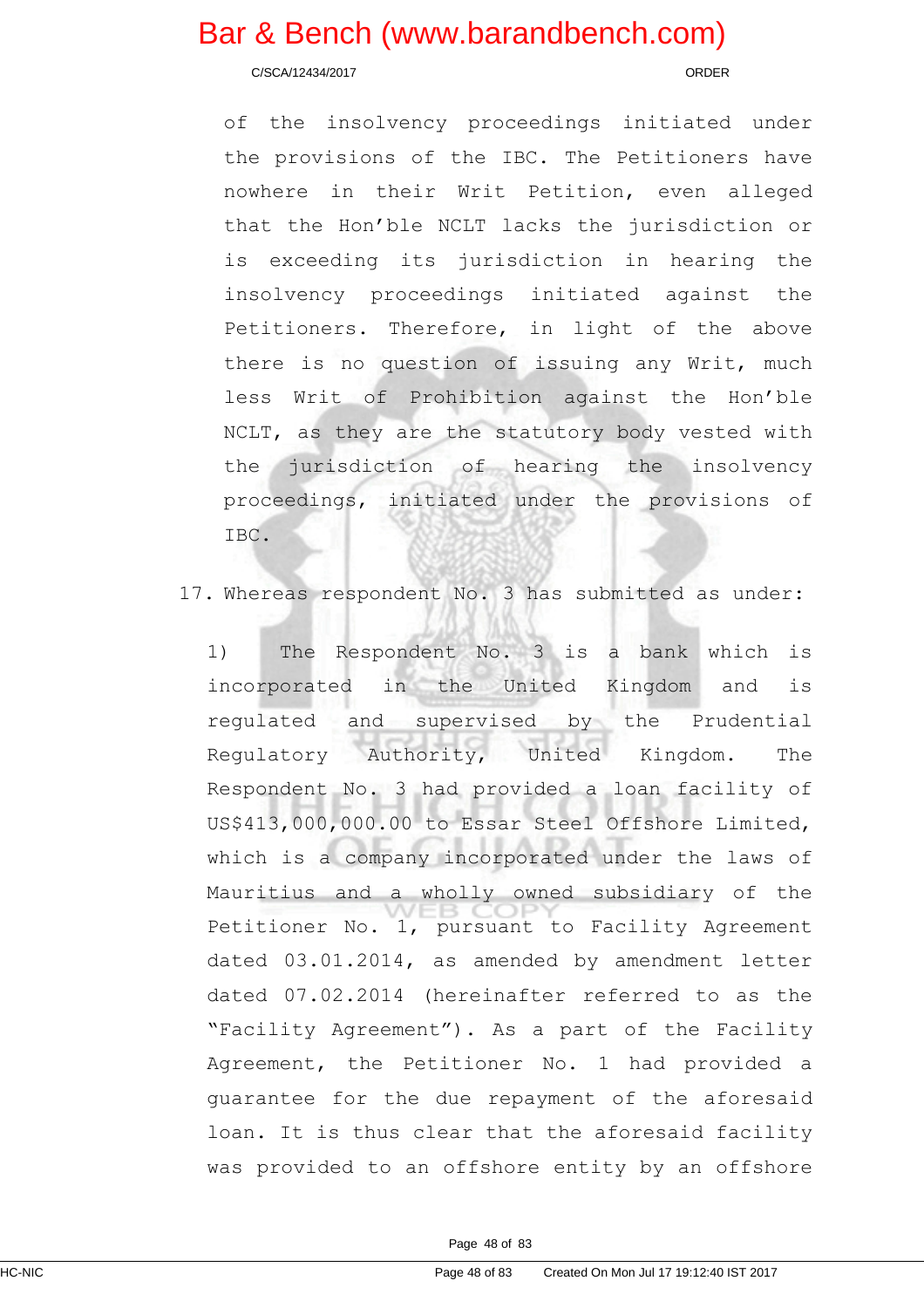C/SCA/12434/2017 ORDER

of the insolvency proceedings initiated under the provisions of the IBC. The Petitioners have nowhere in their Writ Petition, even alleged that the Hon'ble NCLT lacks the jurisdiction or is exceeding its jurisdiction in hearing the insolvency proceedings initiated against the Petitioners. Therefore, in light of the above there is no question of issuing any Writ, much less Writ of Prohibition against the Hon'ble NCLT, as they are the statutory body vested with the jurisdiction of hearing the insolvency proceedings, initiated under the provisions of IBC.

17. Whereas respondent No. 3 has submitted as under:

1) The Respondent No. 3 is a bank which is incorporated in the United Kingdom and is regulated and supervised by the Prudential Regulatory Authority, United Kingdom. The Respondent No. 3 had provided a loan facility of US\$413,000,000.00 to Essar Steel Offshore Limited, which is a company incorporated under the laws of Mauritius and a wholly owned subsidiary of the Petitioner No. 1, pursuant to Facility Agreement dated 03.01.2014, as amended by amendment letter dated 07.02.2014 (hereinafter referred to as the "Facility Agreement"). As a part of the Facility Agreement, the Petitioner No. 1 had provided a guarantee for the due repayment of the aforesaid loan. It is thus clear that the aforesaid facility was provided to an offshore entity by an offshore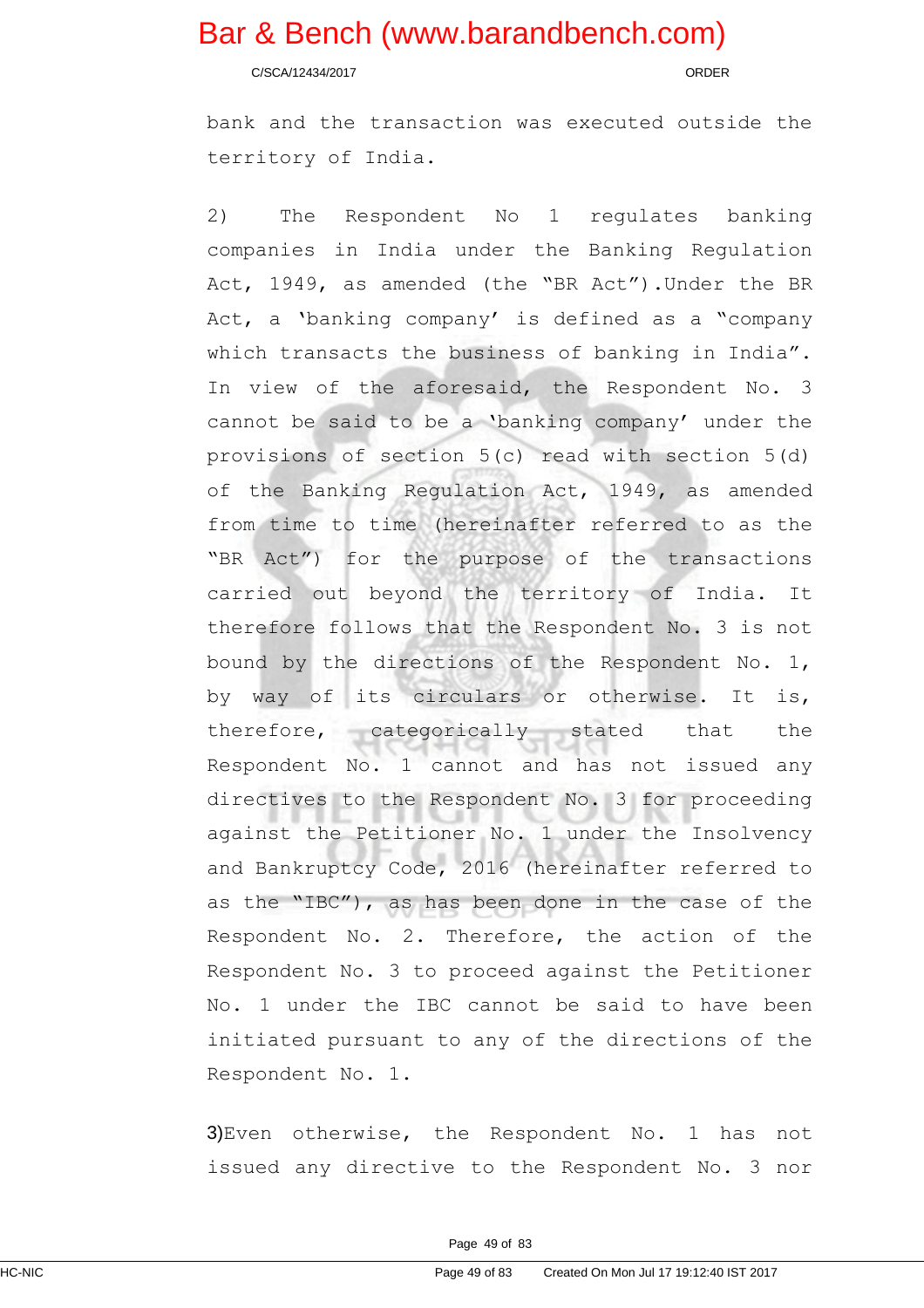C/SCA/12434/2017 ORDER

bank and the transaction was executed outside the territory of India.

2) The Respondent No 1 regulates banking companies in India under the Banking Regulation Act, 1949, as amended (the "BR Act").Under the BR Act, a 'banking company' is defined as a "company which transacts the business of banking in India". In view of the aforesaid, the Respondent No. 3 cannot be said to be a 'banking company' under the provisions of section 5(c) read with section 5(d) of the Banking Regulation Act, 1949, as amended from time to time (hereinafter referred to as the "BR Act") for the purpose of the transactions carried out beyond the territory of India. It therefore follows that the Respondent No. 3 is not bound by the directions of the Respondent No. 1, by way of its circulars or otherwise. It is, therefore, categorically stated that the Respondent No. 1 cannot and has not issued any directives to the Respondent No. 3 for proceeding against the Petitioner No. 1 under the Insolvency and Bankruptcy Code, 2016 (hereinafter referred to as the "IBC"), as has been done in the case of the Respondent No. 2. Therefore, the action of the Respondent No. 3 to proceed against the Petitioner No. 1 under the IBC cannot be said to have been initiated pursuant to any of the directions of the Respondent No. 1.

3)Even otherwise, the Respondent No. 1 has not issued any directive to the Respondent No. 3 nor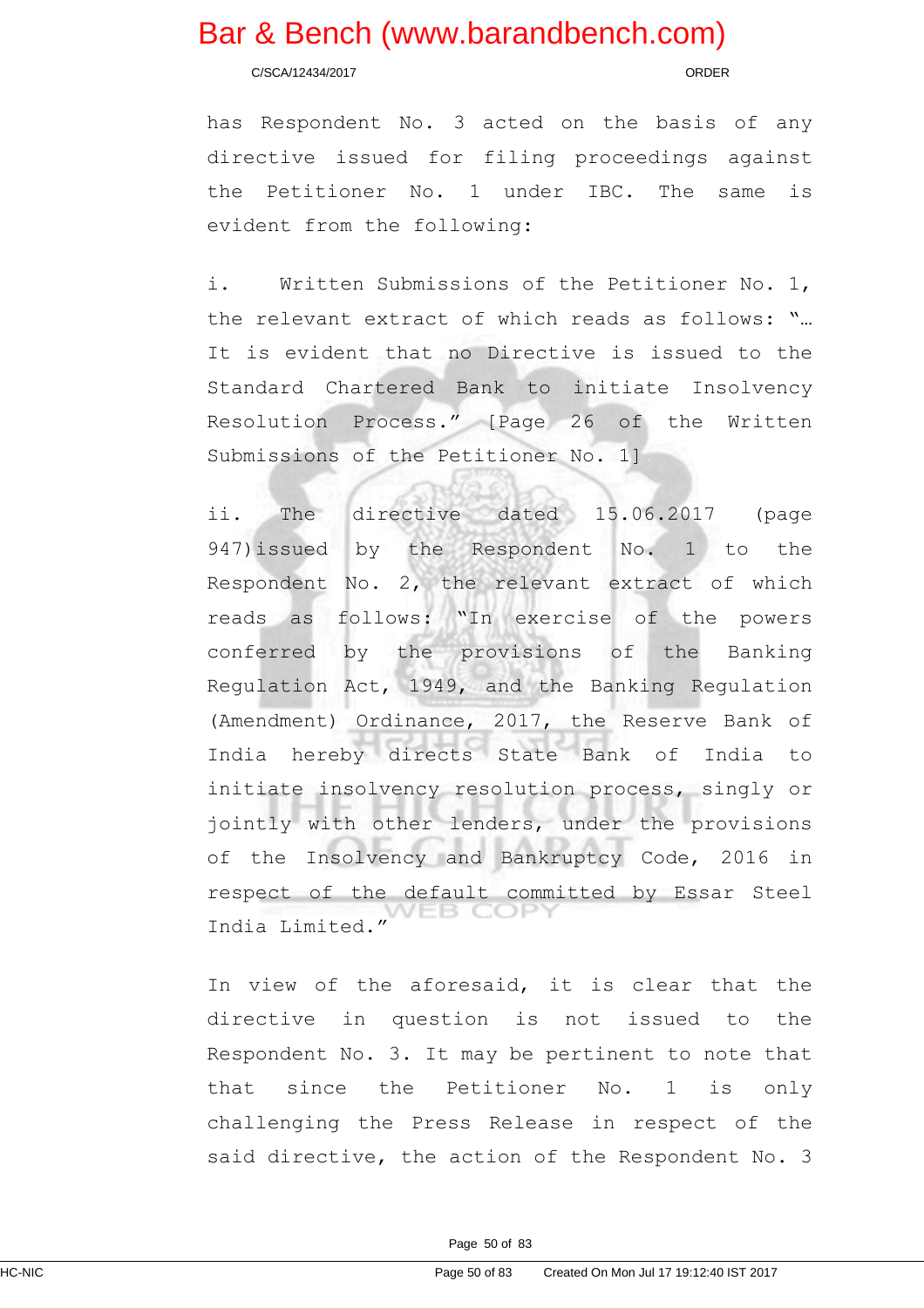C/SCA/12434/2017 ORDER

has Respondent No. 3 acted on the basis of any directive issued for filing proceedings against the Petitioner No. 1 under IBC. The same is evident from the following:

i. Written Submissions of the Petitioner No. 1, the relevant extract of which reads as follows: "… It is evident that no Directive is issued to the Standard Chartered Bank to initiate Insolvency Resolution Process." [Page 26 of the Written Submissions of the Petitioner No. 1]

ii. The directive dated 15.06.2017 (page 947)issued by the Respondent No. 1 to the Respondent No. 2, the relevant extract of which reads as follows: "In exercise of the powers conferred by the provisions of the Banking Regulation Act, 1949, and the Banking Regulation (Amendment) Ordinance, 2017, the Reserve Bank of India hereby directs State Bank of India to initiate insolvency resolution process, singly or jointly with other lenders, under the provisions of the Insolvency and Bankruptcy Code, 2016 in respect of the default committed by Essar Steel B COF India Limited."

In view of the aforesaid, it is clear that the directive in question is not issued to the Respondent No. 3. It may be pertinent to note that that since the Petitioner No. 1 is only challenging the Press Release in respect of the said directive, the action of the Respondent No. 3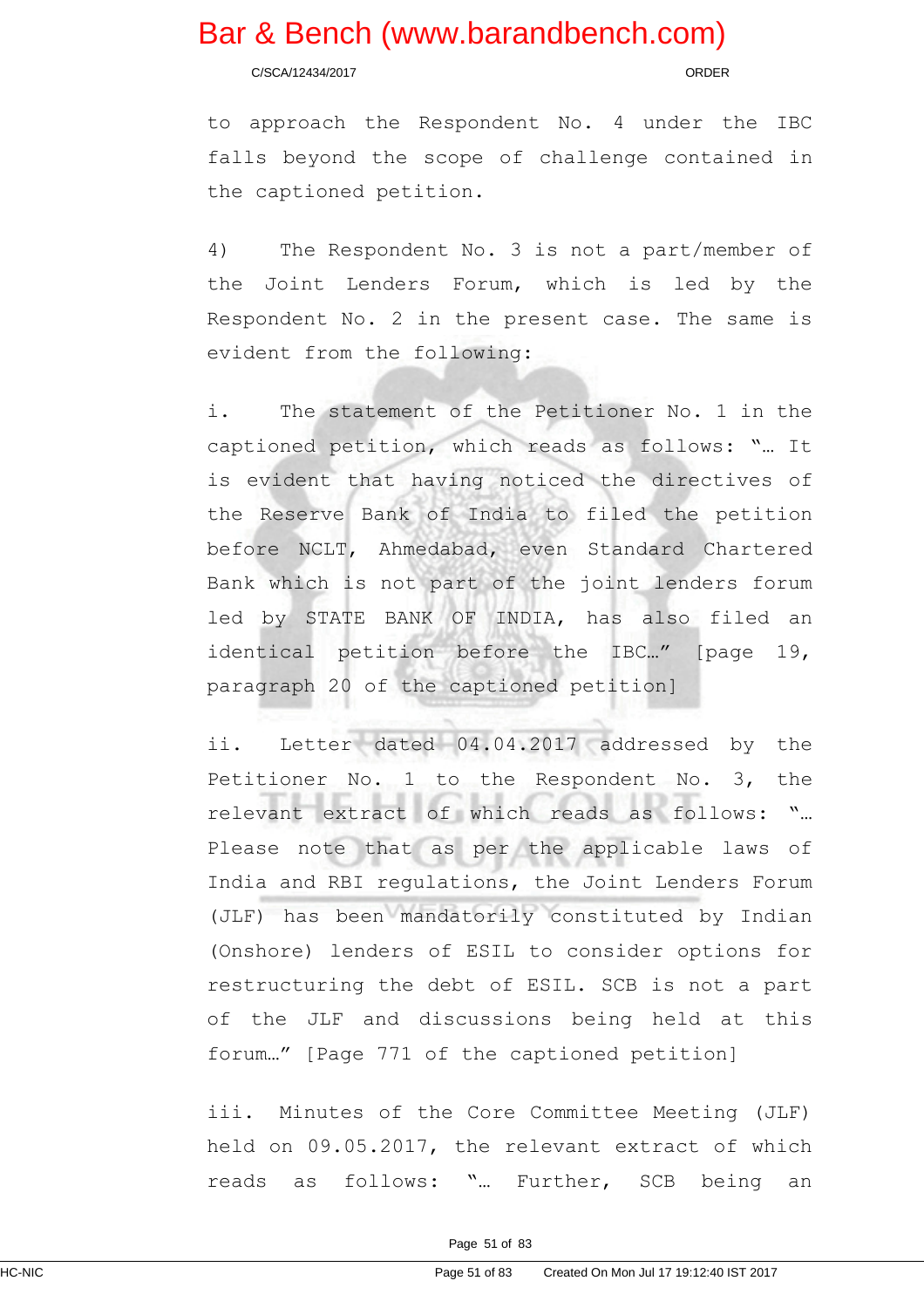C/SCA/12434/2017 ORDER

to approach the Respondent No. 4 under the IBC falls beyond the scope of challenge contained in the captioned petition.

4) The Respondent No. 3 is not a part/member of the Joint Lenders Forum, which is led by the Respondent No. 2 in the present case. The same is evident from the following:

i. The statement of the Petitioner No. 1 in the captioned petition, which reads as follows: "… It is evident that having noticed the directives of the Reserve Bank of India to filed the petition before NCLT, Ahmedabad, even Standard Chartered Bank which is not part of the joint lenders forum led by STATE BANK OF INDIA, has also filed an identical petition before the IBC…" [page 19, paragraph 20 of the captioned petition]

ii. Letter dated 04.04.2017 addressed by the Petitioner No. 1 to the Respondent No. 3, the relevant extract of which reads as follows: "… Please note that as per the applicable laws of India and RBI regulations, the Joint Lenders Forum (JLF) has been mandatorily constituted by Indian (Onshore) lenders of ESIL to consider options for restructuring the debt of ESIL. SCB is not a part of the JLF and discussions being held at this forum…" [Page 771 of the captioned petition]

iii. Minutes of the Core Committee Meeting (JLF) held on 09.05.2017, the relevant extract of which reads as follows: "… Further, SCB being an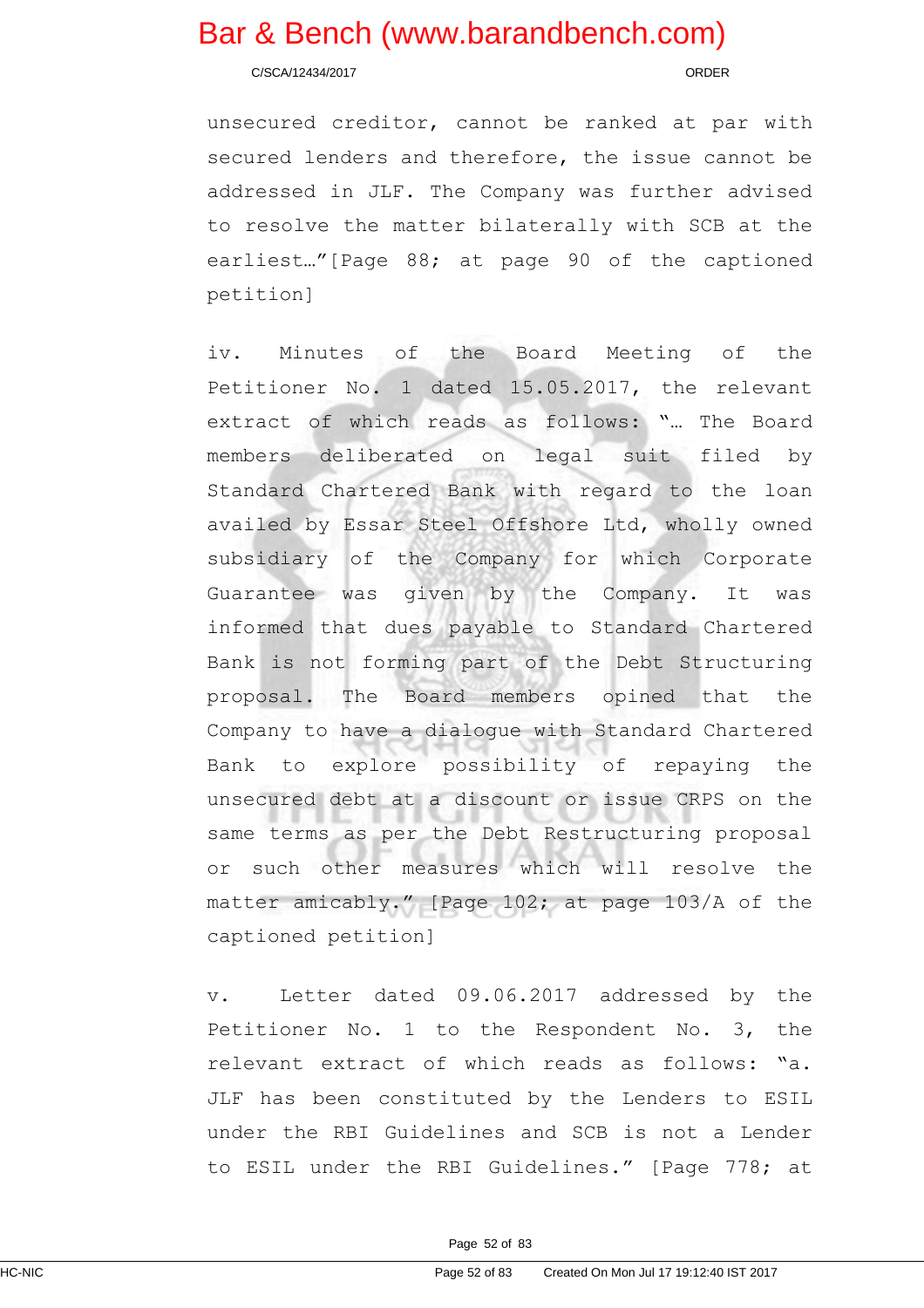C/SCA/12434/2017 ORDER

unsecured creditor, cannot be ranked at par with secured lenders and therefore, the issue cannot be addressed in JLF. The Company was further advised to resolve the matter bilaterally with SCB at the earliest…"[Page 88; at page 90 of the captioned petition]

iv. Minutes of the Board Meeting of the Petitioner No. 1 dated 15.05.2017, the relevant extract of which reads as follows: "… The Board members deliberated on legal suit filed by Standard Chartered Bank with regard to the loan availed by Essar Steel Offshore Ltd, wholly owned subsidiary of the Company for which Corporate Guarantee was given by the Company. It was informed that dues payable to Standard Chartered Bank is not forming part of the Debt Structuring proposal. The Board members opined that the Company to have a dialogue with Standard Chartered Bank to explore possibility of repaying the unsecured debt at a discount or issue CRPS on the same terms as per the Debt Restructuring proposal or such other measures which will resolve the matter amicably." [Page 102; at page 103/A of the captioned petition]

v. Letter dated 09.06.2017 addressed by the Petitioner No. 1 to the Respondent No. 3, the relevant extract of which reads as follows: "a. JLF has been constituted by the Lenders to ESIL under the RBI Guidelines and SCB is not a Lender to ESIL under the RBI Guidelines." [Page 778; at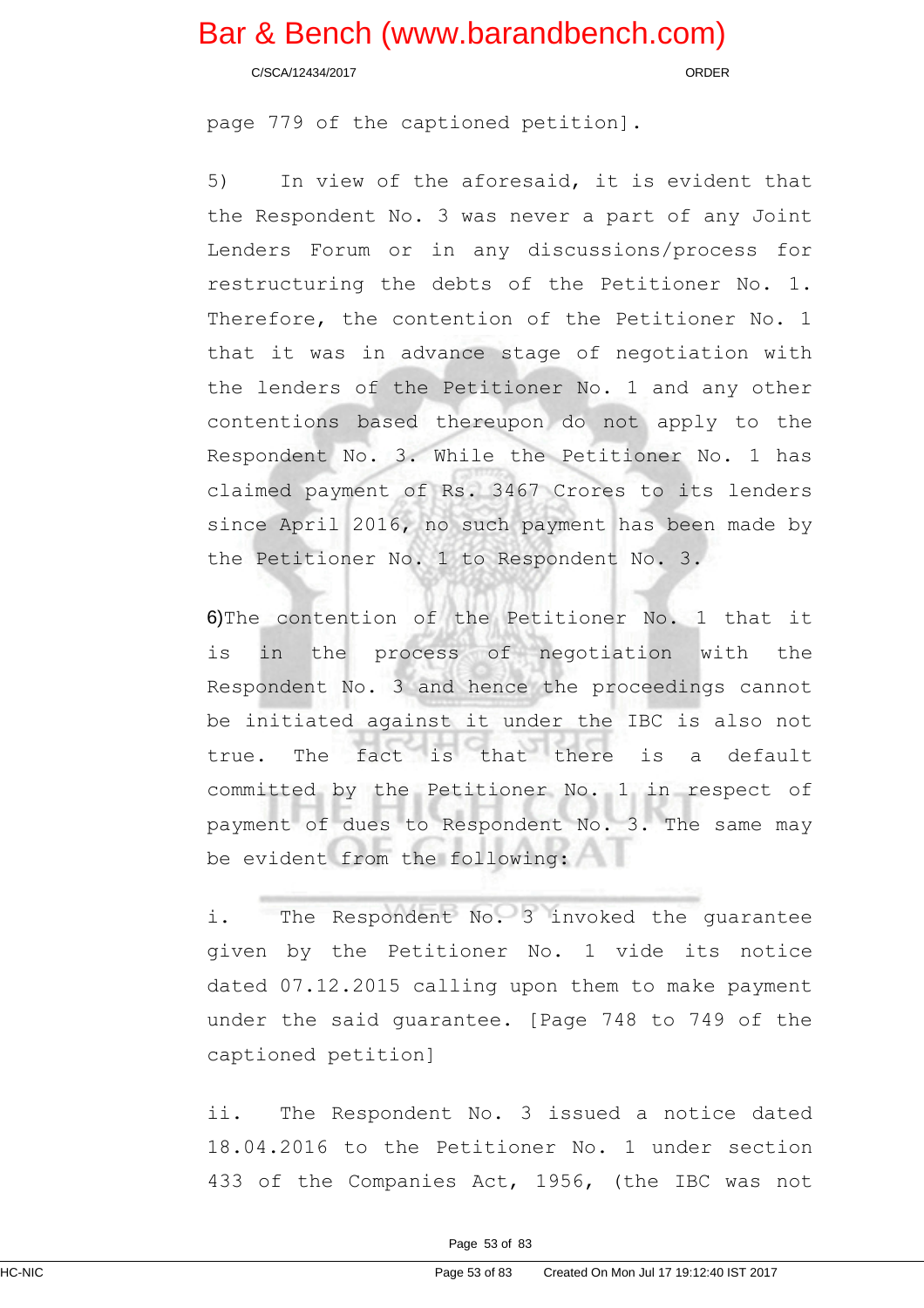C/SCA/12434/2017 ORDER

page 779 of the captioned petition].

5) In view of the aforesaid, it is evident that the Respondent No. 3 was never a part of any Joint Lenders Forum or in any discussions/process for restructuring the debts of the Petitioner No. 1. Therefore, the contention of the Petitioner No. 1 that it was in advance stage of negotiation with the lenders of the Petitioner No. 1 and any other contentions based thereupon do not apply to the Respondent No. 3. While the Petitioner No. 1 has claimed payment of Rs. 3467 Crores to its lenders since April 2016, no such payment has been made by the Petitioner No. 1 to Respondent No. 3.

6)The contention of the Petitioner No. 1 that it is in the process of negotiation with the Respondent No. 3 and hence the proceedings cannot be initiated against it under the IBC is also not true. The fact is that there is a default committed by the Petitioner No. 1 in respect of payment of dues to Respondent No. 3. The same may be evident from the following:

i. The Respondent No. 3 invoked the guarantee given by the Petitioner No. 1 vide its notice dated 07.12.2015 calling upon them to make payment under the said guarantee. [Page 748 to 749 of the captioned petition]

ii. The Respondent No. 3 issued a notice dated 18.04.2016 to the Petitioner No. 1 under section 433 of the Companies Act, 1956, (the IBC was not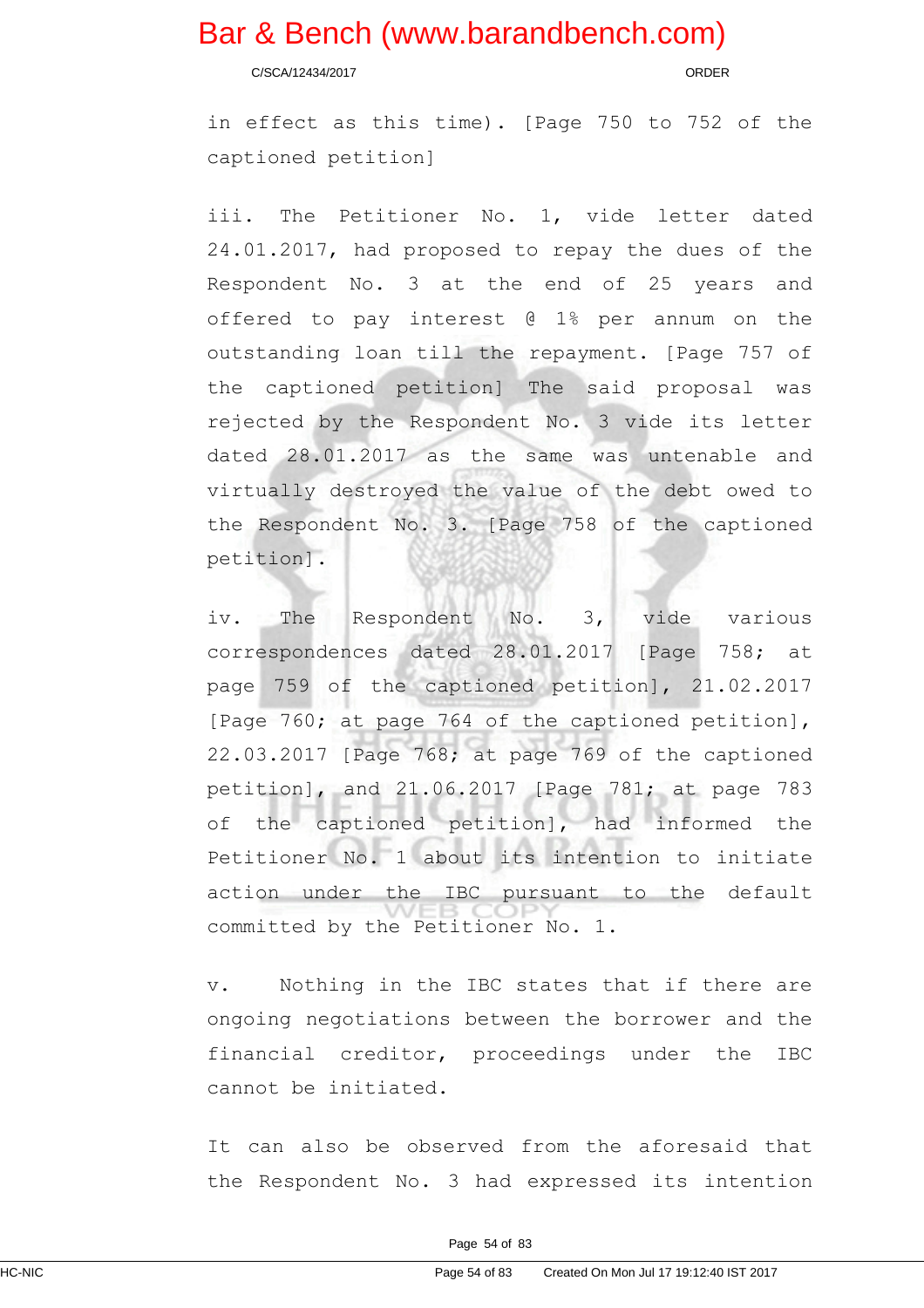C/SCA/12434/2017 ORDER

in effect as this time). [Page 750 to 752 of the captioned petition]

iii. The Petitioner No. 1, vide letter dated 24.01.2017, had proposed to repay the dues of the Respondent No. 3 at the end of 25 years and offered to pay interest @ 1% per annum on the outstanding loan till the repayment. [Page 757 of the captioned petition] The said proposal was rejected by the Respondent No. 3 vide its letter dated 28.01.2017 as the same was untenable and virtually destroyed the value of the debt owed to the Respondent No. 3. [Page 758 of the captioned petition].

iv. The Respondent No. 3, vide various correspondences dated 28.01.2017 [Page 758; at page 759 of the captioned petition], 21.02.2017 [Page 760; at page 764 of the captioned petition], 22.03.2017 [Page 768; at page 769 of the captioned petition], and 21.06.2017 [Page 781; at page 783 of the captioned petition], had informed the Petitioner No. 1 about its intention to initiate action under the IBC pursuant to the default committed by the Petitioner No. 1.

v. Nothing in the IBC states that if there are ongoing negotiations between the borrower and the financial creditor, proceedings under the IBC cannot be initiated.

It can also be observed from the aforesaid that the Respondent No. 3 had expressed its intention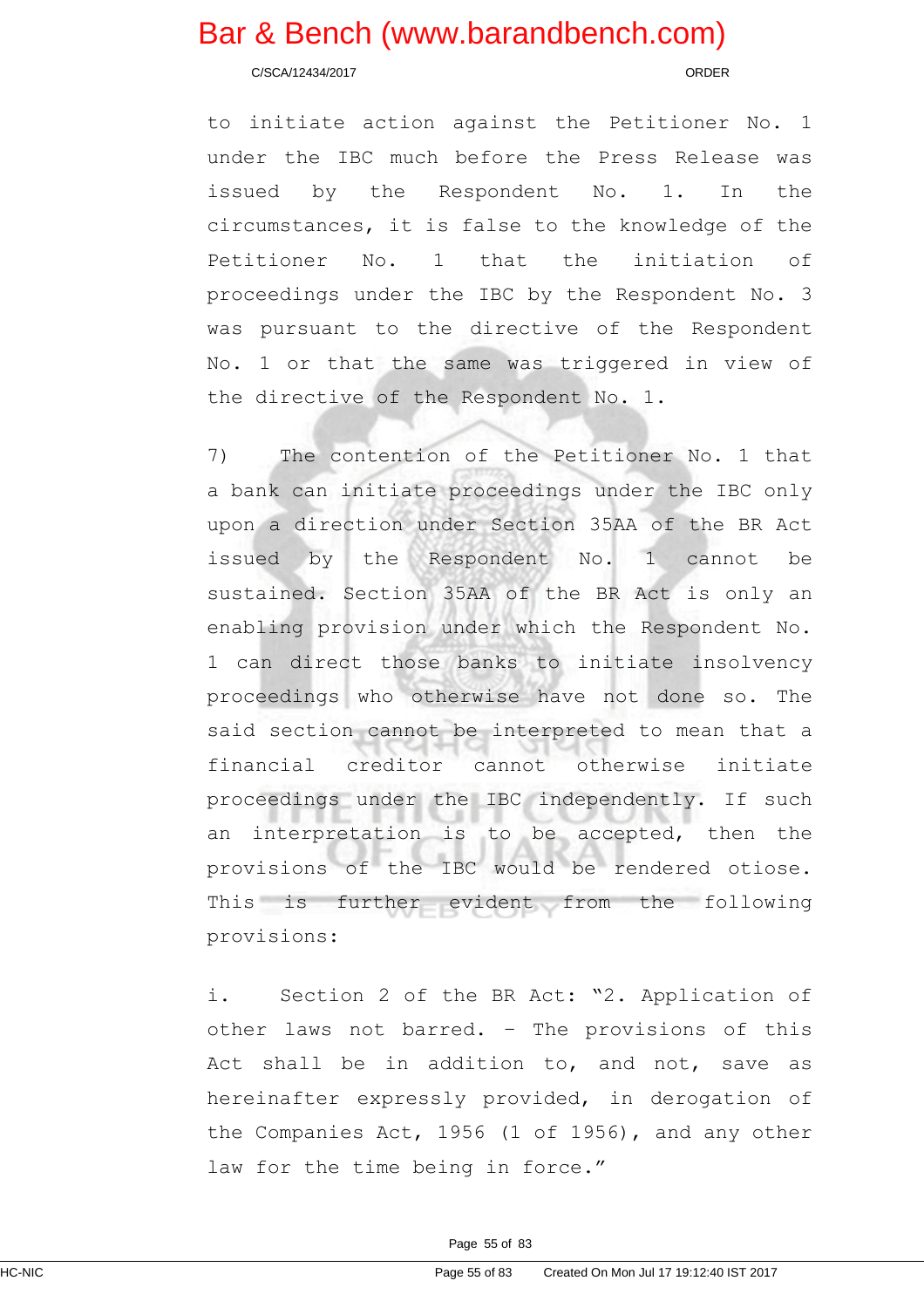C/SCA/12434/2017 ORDER

to initiate action against the Petitioner No. 1 under the IBC much before the Press Release was issued by the Respondent No. 1. In the circumstances, it is false to the knowledge of the Petitioner No. 1 that the initiation of proceedings under the IBC by the Respondent No. 3 was pursuant to the directive of the Respondent No. 1 or that the same was triggered in view of the directive of the Respondent No. 1.

7) The contention of the Petitioner No. 1 that a bank can initiate proceedings under the IBC only upon a direction under Section 35AA of the BR Act issued by the Respondent No. 1 cannot be sustained. Section 35AA of the BR Act is only an enabling provision under which the Respondent No. 1 can direct those banks to initiate insolvency proceedings who otherwise have not done so. The said section cannot be interpreted to mean that a financial creditor cannot otherwise initiate proceedings under the IBC independently. If such an interpretation is to be accepted, then the provisions of the IBC would be rendered otiose. This is further evident from the following provisions:

i. Section 2 of the BR Act: "2. Application of other laws not barred. – The provisions of this Act shall be in addition to, and not, save as hereinafter expressly provided, in derogation of the Companies Act, 1956 (1 of 1956), and any other law for the time being in force."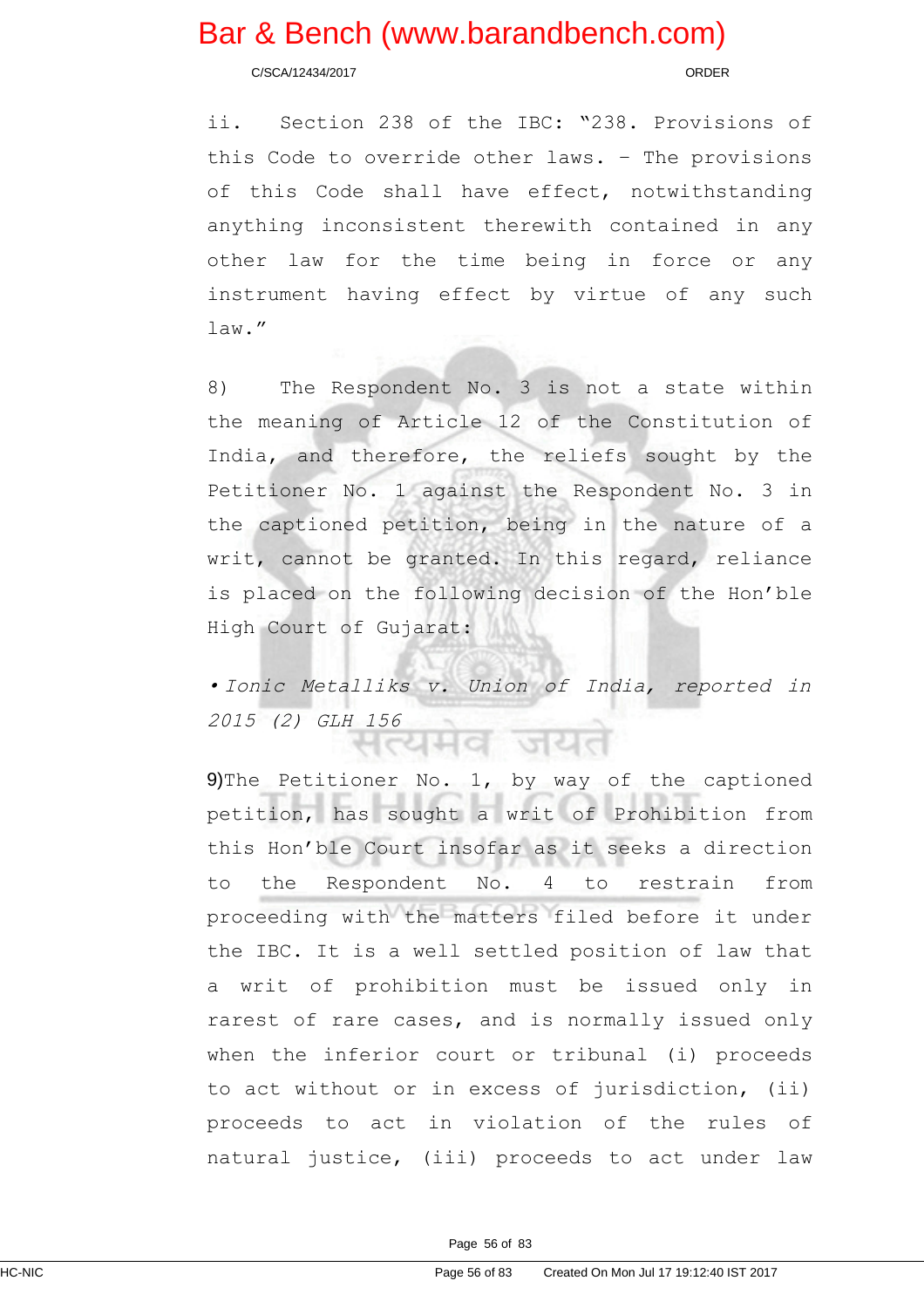C/SCA/12434/2017 ORDER

ii. Section 238 of the IBC: "238. Provisions of this Code to override other laws. – The provisions of this Code shall have effect, notwithstanding anything inconsistent therewith contained in any other law for the time being in force or any instrument having effect by virtue of any such law."

8) The Respondent No. 3 is not a state within the meaning of Article 12 of the Constitution of India, and therefore, the reliefs sought by the Petitioner No. 1 against the Respondent No. 3 in the captioned petition, being in the nature of a writ, cannot be granted. In this regard, reliance is placed on the following decision of the Hon'ble High Court of Gujarat:

• Ionic Metalliks v. Union of India, reported in 2015 (2) GLH 156 ਮਨਸ਼ਸਟ ਯੂਟ

9)The Petitioner No. 1, by way of the captioned petition, has sought a writ of Prohibition from this Hon'ble Court insofar as it seeks a direction to the Respondent No. 4 to restrain from proceeding with the matters filed before it under the IBC. It is a well settled position of law that a writ of prohibition must be issued only in rarest of rare cases, and is normally issued only when the inferior court or tribunal (i) proceeds to act without or in excess of jurisdiction, (ii) proceeds to act in violation of the rules of natural justice, (iii) proceeds to act under law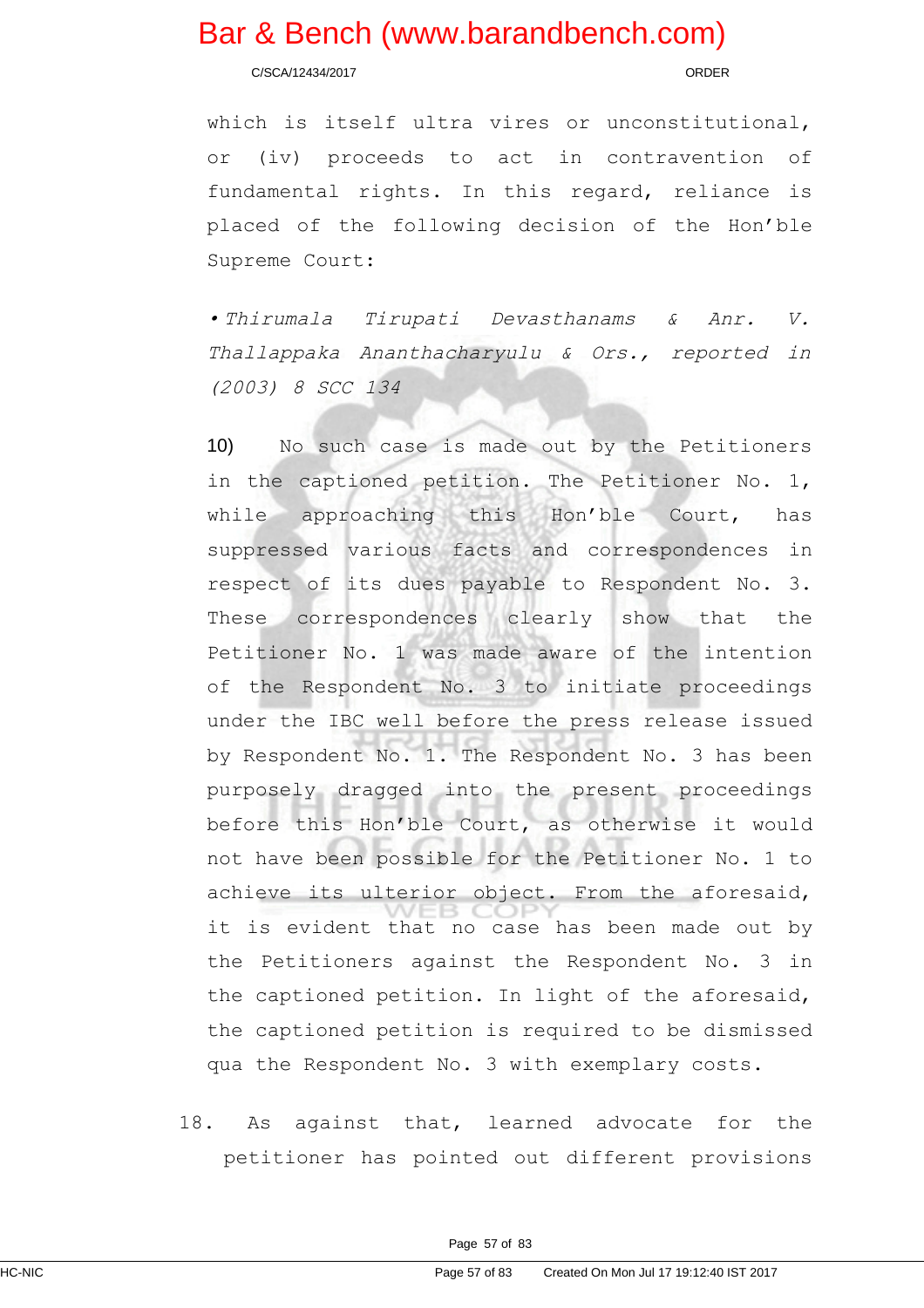C/SCA/12434/2017 ORDER

which is itself ultra vires or unconstitutional, or (iv) proceeds to act in contravention of fundamental rights. In this regard, reliance is placed of the following decision of the Hon'ble Supreme Court:

• Thirumala Tirupati Devasthanams & Anr. V. Thallappaka Ananthacharyulu & Ors., reported in (2003) 8 SCC 134

10) No such case is made out by the Petitioners in the captioned petition. The Petitioner No. 1, while approaching this Hon'ble Court, has suppressed various facts and correspondences in respect of its dues payable to Respondent No. 3. These correspondences clearly show that the Petitioner No. 1 was made aware of the intention of the Respondent No. 3 to initiate proceedings under the IBC well before the press release issued by Respondent No. 1. The Respondent No. 3 has been purposely dragged into the present proceedings before this Hon'ble Court, as otherwise it would not have been possible for the Petitioner No. 1 to achieve its ulterior object. From the aforesaid, it is evident that no case has been made out by the Petitioners against the Respondent No. 3 in the captioned petition. In light of the aforesaid, the captioned petition is required to be dismissed qua the Respondent No. 3 with exemplary costs.

18. As against that, learned advocate for the petitioner has pointed out different provisions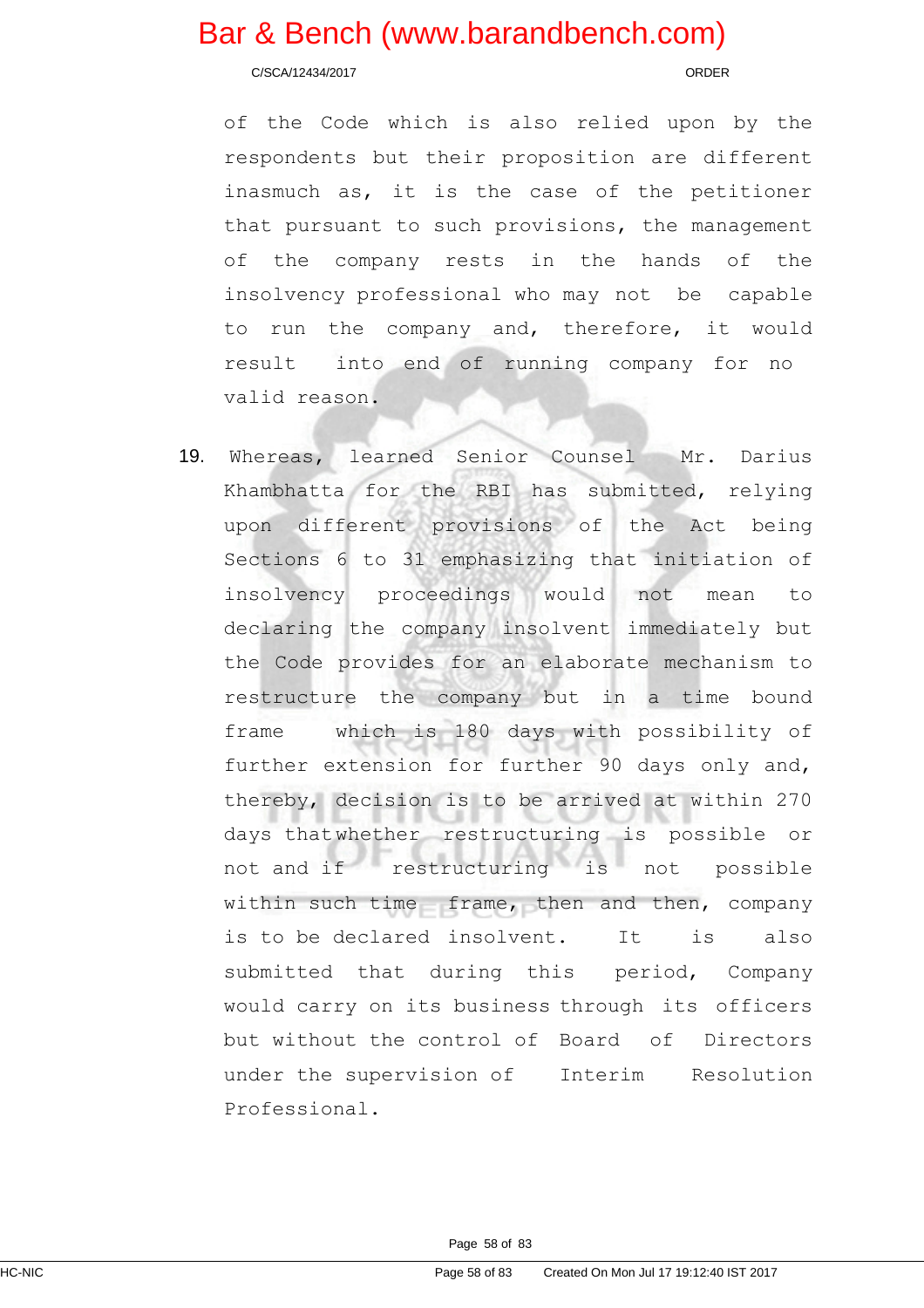C/SCA/12434/2017 ORDER

of the Code which is also relied upon by the respondents but their proposition are different inasmuch as, it is the case of the petitioner that pursuant to such provisions, the management of the company rests in the hands of the insolvency professional who may not be capable to run the company and, therefore, it would result into end of running company for no valid reason.

19. Whereas, learned Senior Counsel Mr. Darius Khambhatta for the RBI has submitted, relying upon different provisions of the Act being Sections 6 to 31 emphasizing that initiation of insolvency proceedings would not mean to declaring the company insolvent immediately but the Code provides for an elaborate mechanism to restructure the company but in a time bound frame which is 180 days with possibility of further extension for further 90 days only and, thereby, decision is to be arrived at within 270 days thatwhether restructuring is possible or not and if restructuring is not possible within such time frame, then and then, company is to be declared insolvent. It is also submitted that during this period, Company would carry on its business through its officers but without the control of Board of Directors under the supervision of Interim Resolution Professional.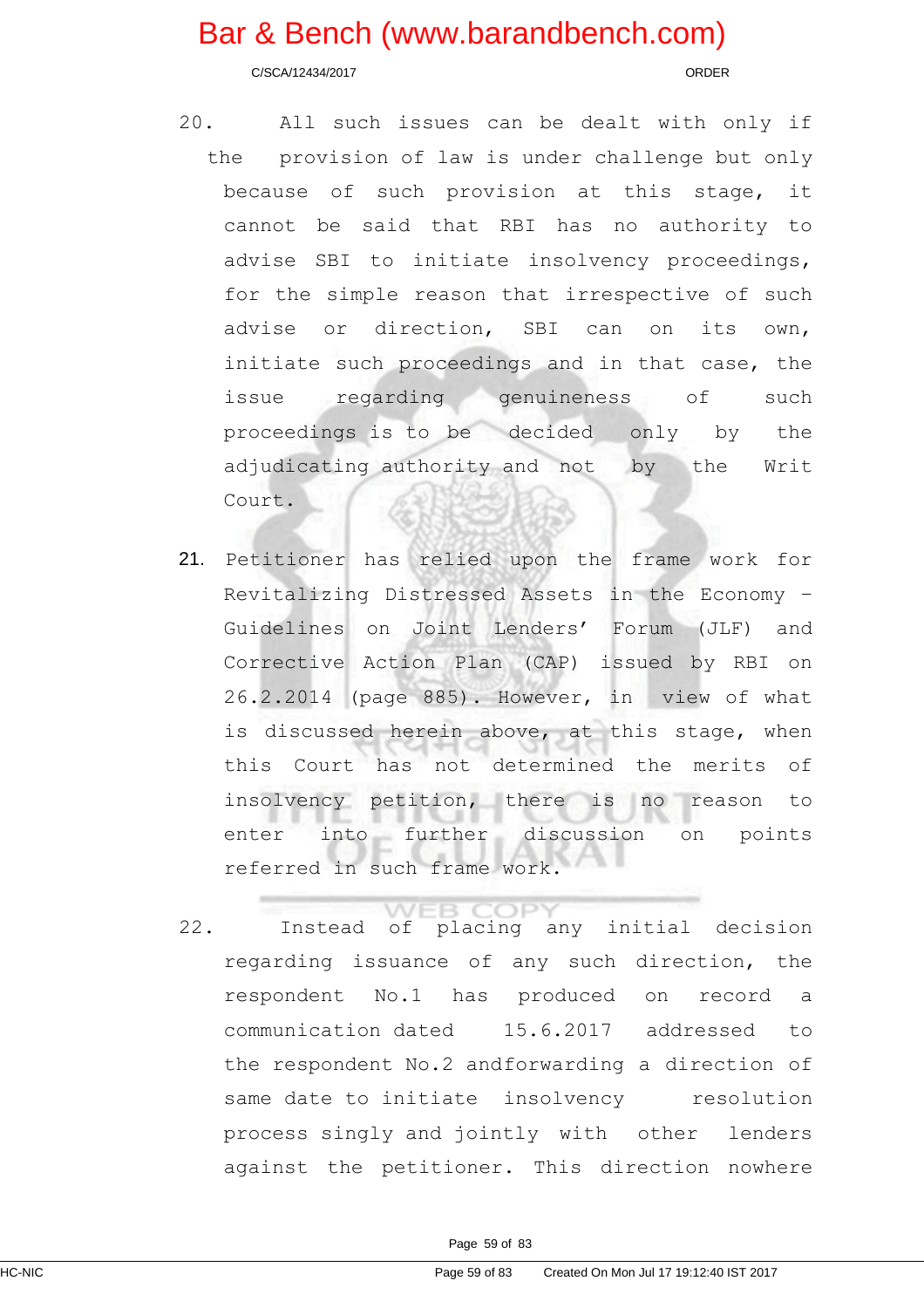C/SCA/12434/2017 ORDER

- 20. All such issues can be dealt with only if the provision of law is under challenge but only because of such provision at this stage, it cannot be said that RBI has no authority to advise SBI to initiate insolvency proceedings, for the simple reason that irrespective of such advise or direction, SBI can on its own, initiate such proceedings and in that case, the issue regarding genuineness of such proceedings is to be decided only by the adjudicating authority and not by the Writ Court.
- 21. Petitioner has relied upon the frame work for Revitalizing Distressed Assets in the Economy – Guidelines on Joint Lenders' Forum (JLF) and Corrective Action Plan (CAP) issued by RBI on 26.2.2014 (page 885). However, in view of what is discussed herein above, at this stage, when this Court has not determined the merits of insolvency petition, there is no reason to enter into further discussion on points referred in such frame work.
- **B COPY** 22. Instead of placing any initial decision regarding issuance of any such direction, the respondent No.1 has produced on record a communication dated 15.6.2017 addressed to the respondent No.2 andforwarding a direction of same date to initiate insolvency resolution process singly and jointly with other lenders against the petitioner. This direction nowhere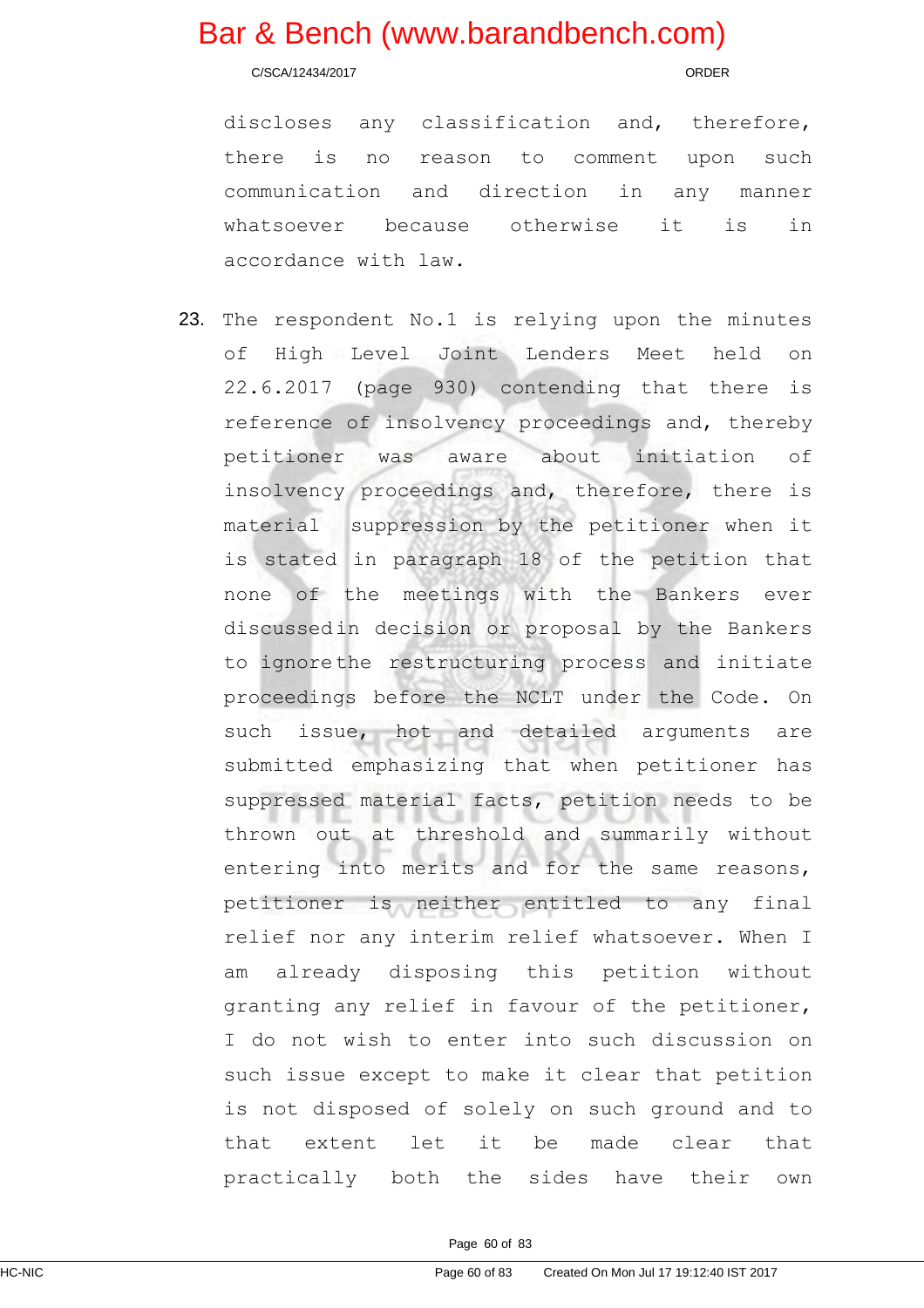C/SCA/12434/2017 ORDER

discloses any classification and, therefore, there is no reason to comment upon such communication and direction in any manner whatsoever because otherwise it is in accordance with law.

23. The respondent No.1 is relying upon the minutes of High Level Joint Lenders Meet held on 22.6.2017 (page 930) contending that there is reference of insolvency proceedings and, thereby petitioner was aware about initiation of insolvency proceedings and, therefore, there is material suppression by the petitioner when it is stated in paragraph 18 of the petition that none of the meetings with the Bankers ever discussedin decision or proposal by the Bankers to ignorethe restructuring process and initiate proceedings before the NCLT under the Code. On such issue, hot and detailed arguments are submitted emphasizing that when petitioner has suppressed material facts, petition needs to be thrown out at threshold and summarily without entering into merits and for the same reasons, petitioner is neither entitled to any final relief nor any interim relief whatsoever. When I am already disposing this petition without granting any relief in favour of the petitioner, I do not wish to enter into such discussion on such issue except to make it clear that petition is not disposed of solely on such ground and to that extent let it be made clear that practically both the sides have their own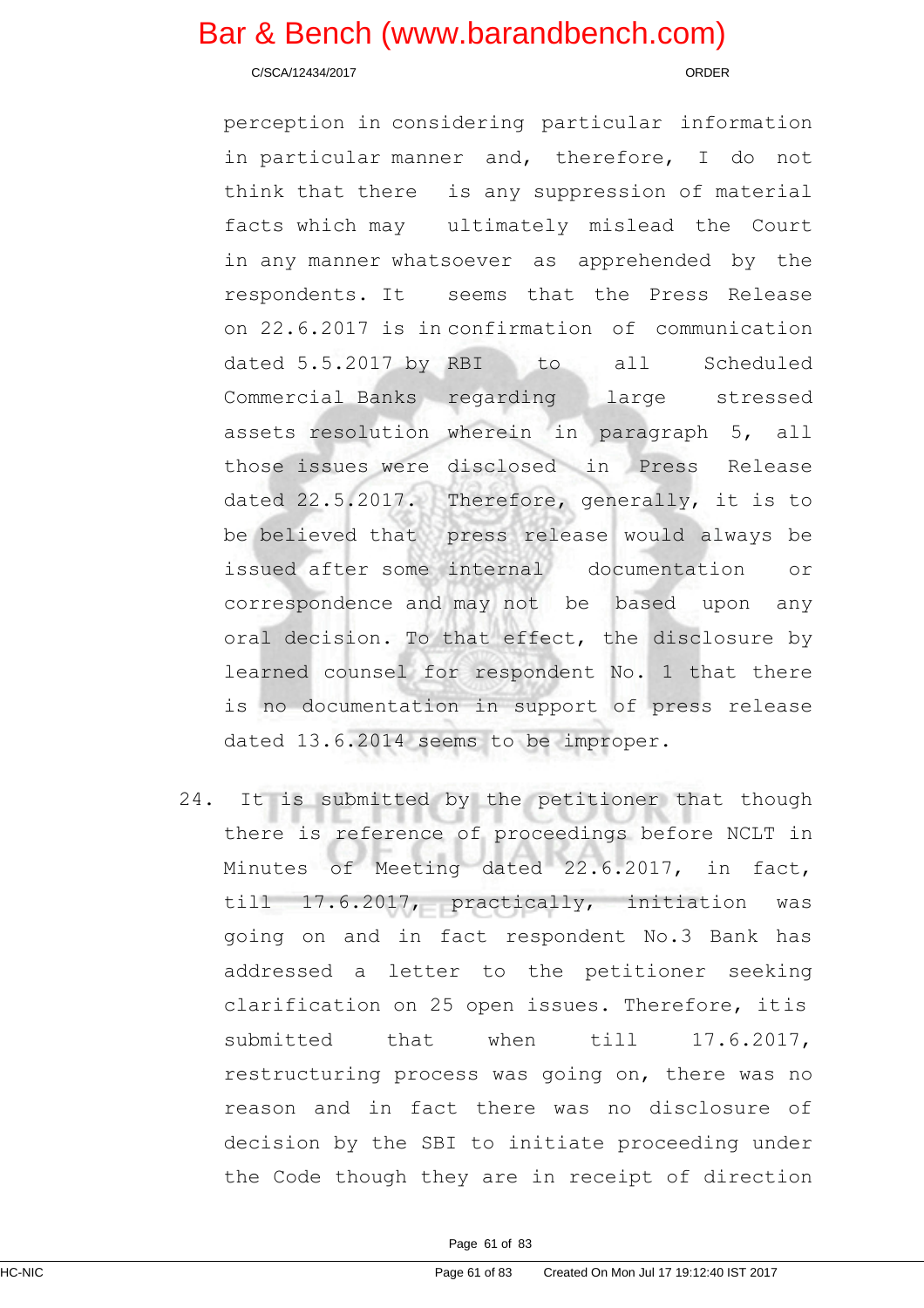C/SCA/12434/2017 ORDER

perception in considering particular information in particular manner and, therefore, I do not think that there is any suppression of material facts which may ultimately mislead the Court in any manner whatsoever as apprehended by the respondents. It seems that the Press Release on 22.6.2017 is in confirmation of communication dated 5.5.2017 by RBI to all Scheduled Commercial Banks regarding large stressed assets resolution wherein in paragraph 5, all those issues were disclosed in Press Release dated 22.5.2017. Therefore, generally, it is to be believed that press release would always be issued after some internal documentation or correspondence and may not be based upon any oral decision. To that effect, the disclosure by learned counsel for respondent No. 1 that there is no documentation in support of press release dated 13.6.2014 seems to be improper.

24. It is submitted by the petitioner that though there is reference of proceedings before NCLT in Minutes of Meeting dated 22.6.2017, in fact, till 17.6.2017, practically, initiation was going on and in fact respondent No.3 Bank has addressed a letter to the petitioner seeking clarification on 25 open issues. Therefore, itis submitted that when till 17.6.2017, restructuring process was going on, there was no reason and in fact there was no disclosure of decision by the SBI to initiate proceeding under the Code though they are in receipt of direction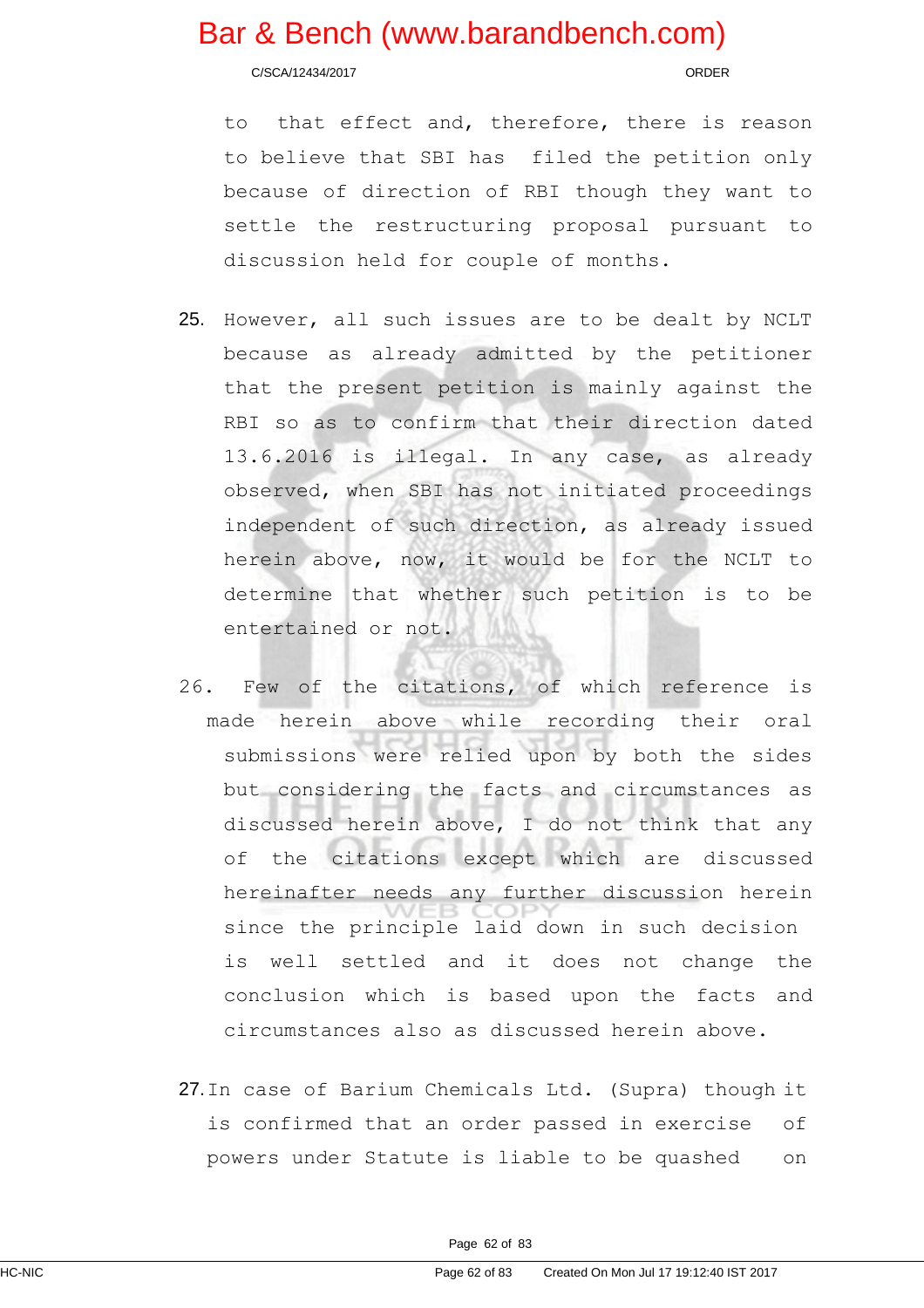C/SCA/12434/2017 ORDER

to that effect and, therefore, there is reason to believe that SBI has filed the petition only because of direction of RBI though they want to settle the restructuring proposal pursuant to discussion held for couple of months.

- 25. However, all such issues are to be dealt by NCLT because as already admitted by the petitioner that the present petition is mainly against the RBI so as to confirm that their direction dated 13.6.2016 is illegal. In any case, as already observed, when SBI has not initiated proceedings independent of such direction, as already issued herein above, now, it would be for the NCLT to determine that whether such petition is to be entertained or not.
- 26. Few of the citations, of which reference is made herein above while recording their oral submissions were relied upon by both the sides but considering the facts and circumstances as discussed herein above, I do not think that any of the citations except which are discussed hereinafter needs any further discussion herein since the principle laid down in such decision is well settled and it does not change the conclusion which is based upon the facts and circumstances also as discussed herein above.
- 27.In case of Barium Chemicals Ltd. (Supra) though it is confirmed that an order passed in exercise of powers under Statute is liable to be quashed on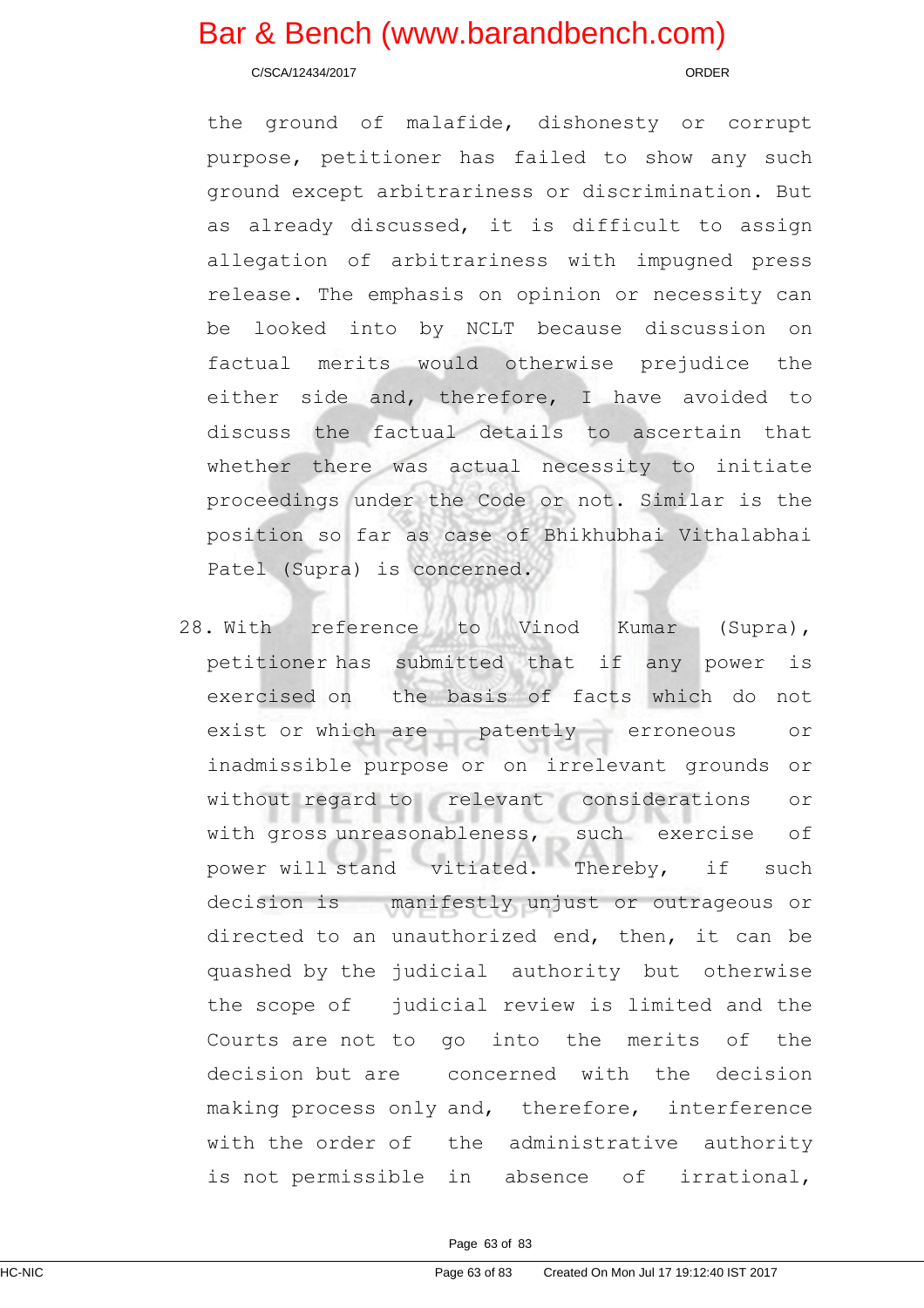C/SCA/12434/2017 ORDER

the ground of malafide, dishonesty or corrupt purpose, petitioner has failed to show any such ground except arbitrariness or discrimination. But as already discussed, it is difficult to assign allegation of arbitrariness with impugned press release. The emphasis on opinion or necessity can be looked into by NCLT because discussion on factual merits would otherwise prejudice the either side and, therefore, I have avoided to discuss the factual details to ascertain that whether there was actual necessity to initiate proceedings under the Code or not. Similar is the position so far as case of Bhikhubhai Vithalabhai Patel (Supra) is concerned.

28. With reference to Vinod Kumar (Supra), petitioner has submitted that if any power is exercised on the basis of facts which do not exist or which are patently erroneous or inadmissible purpose or on irrelevant grounds or without regard to relevant considerations or with gross unreasonableness, such exercise of power will stand vitiated. Thereby, if such decision is manifestly unjust or outrageous or directed to an unauthorized end, then, it can be quashed by the judicial authority but otherwise the scope of judicial review is limited and the Courts are not to go into the merits of the decision but are concerned with the decision making process only and, therefore, interference with the order of the administrative authority is not permissible in absence of irrational,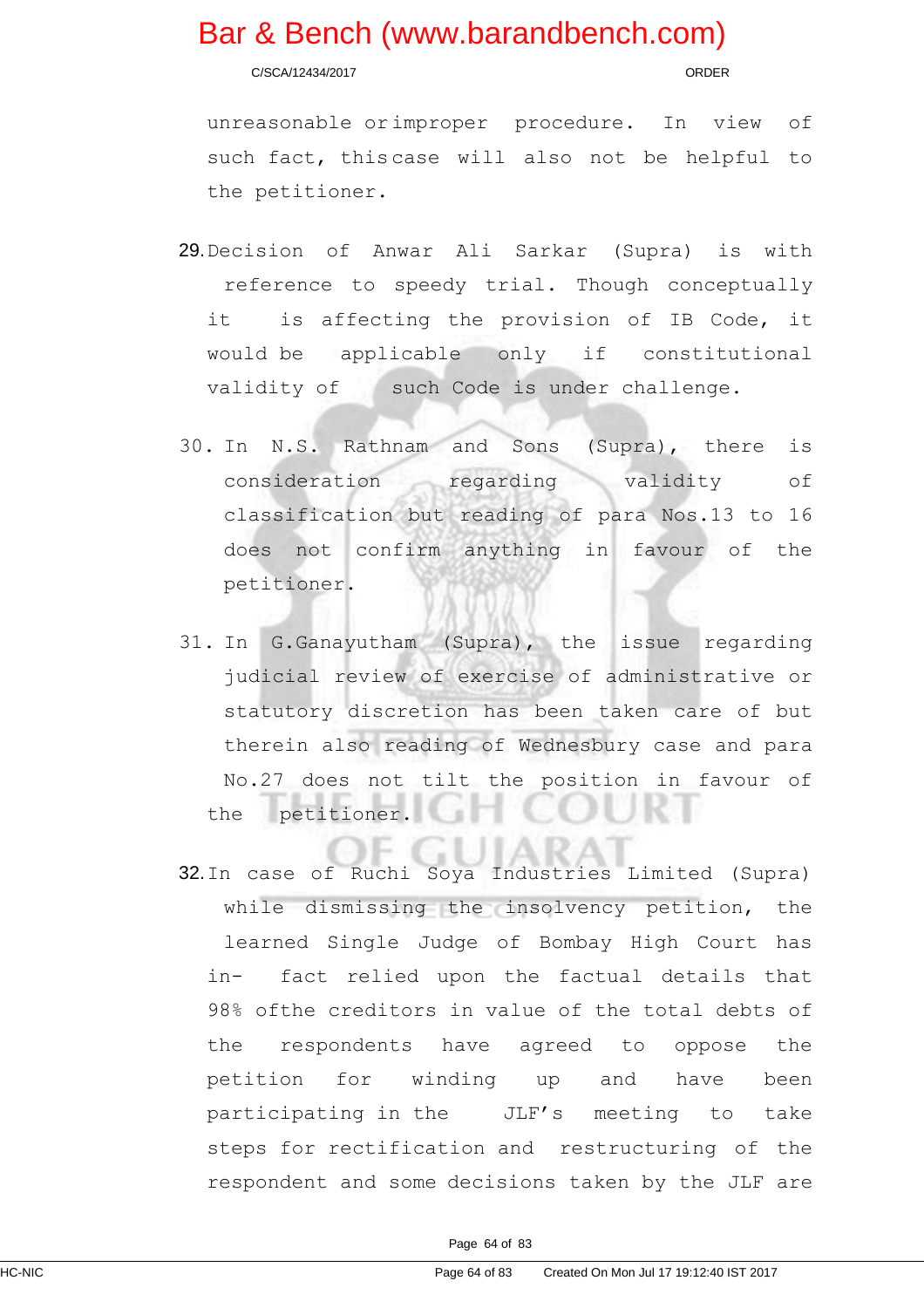C/SCA/12434/2017 ORDER

unreasonable orimproper procedure. In view of such fact, thiscase will also not be helpful to the petitioner.

- 29.Decision of Anwar Ali Sarkar (Supra) is with reference to speedy trial. Though conceptually it is affecting the provision of IB Code, it would be applicable only if constitutional validity of such Code is under challenge.
- 30. In N.S. Rathnam and Sons (Supra), there is consideration regarding validity of classification but reading of para Nos.13 to 16 does not confirm anything in favour of the petitioner.
- 31. In G.Ganayutham (Supra), the issue regarding judicial review of exercise of administrative or statutory discretion has been taken care of but therein also reading of Wednesbury case and para No.27 does not tilt the position in favour of the petitioner.
- 32.In case of Ruchi Soya Industries Limited (Supra) while dismissing the insolvency petition, the learned Single Judge of Bombay High Court has in- fact relied upon the factual details that 98% ofthe creditors in value of the total debts of the respondents have agreed to oppose the petition for winding up and have been participating in the JLF's meeting to take steps for rectification and restructuring of the respondent and some decisions taken by the JLF are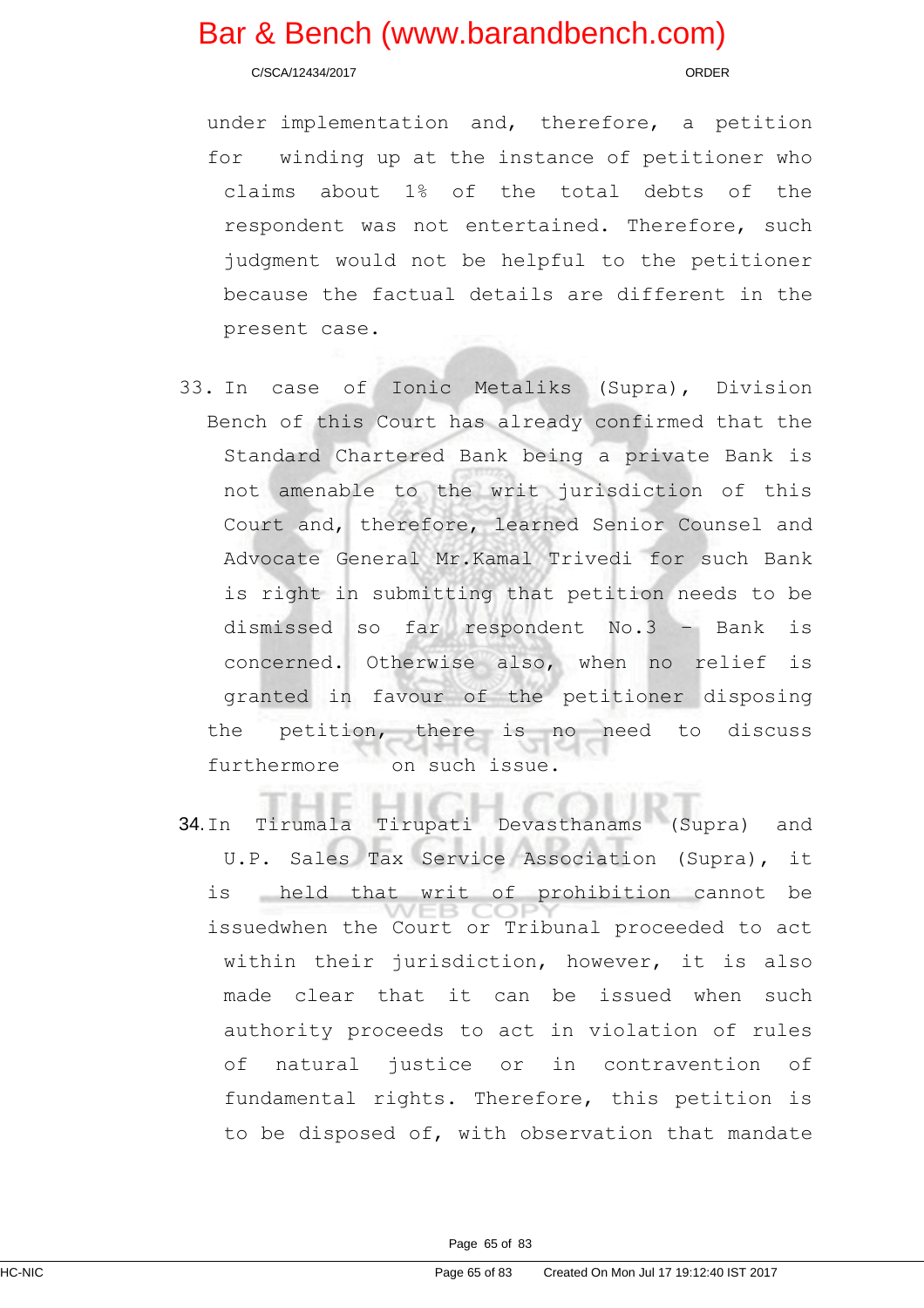C/SCA/12434/2017 ORDER

under implementation and, therefore, a petition for winding up at the instance of petitioner who claims about 1% of the total debts of the respondent was not entertained. Therefore, such judgment would not be helpful to the petitioner because the factual details are different in the present case.

- 33. In case of Ionic Metaliks (Supra), Division Bench of this Court has already confirmed that the Standard Chartered Bank being a private Bank is not amenable to the writ jurisdiction of this Court and, therefore, learned Senior Counsel and Advocate General Mr.Kamal Trivedi for such Bank is right in submitting that petition needs to be dismissed so far respondent No.3 – Bank is concerned. Otherwise also, when no relief is granted in favour of the petitioner disposing the petition, there is no need to discuss furthermore on such issue.
- 34.In Tirumala Tirupati Devasthanams (Supra) and U.P. Sales Tax Service Association (Supra), it is held that writ of prohibition cannot be issuedwhen the Court or Tribunal proceeded to act within their jurisdiction, however, it is also made clear that it can be issued when such authority proceeds to act in violation of rules of natural justice or in contravention of fundamental rights. Therefore, this petition is to be disposed of, with observation that mandate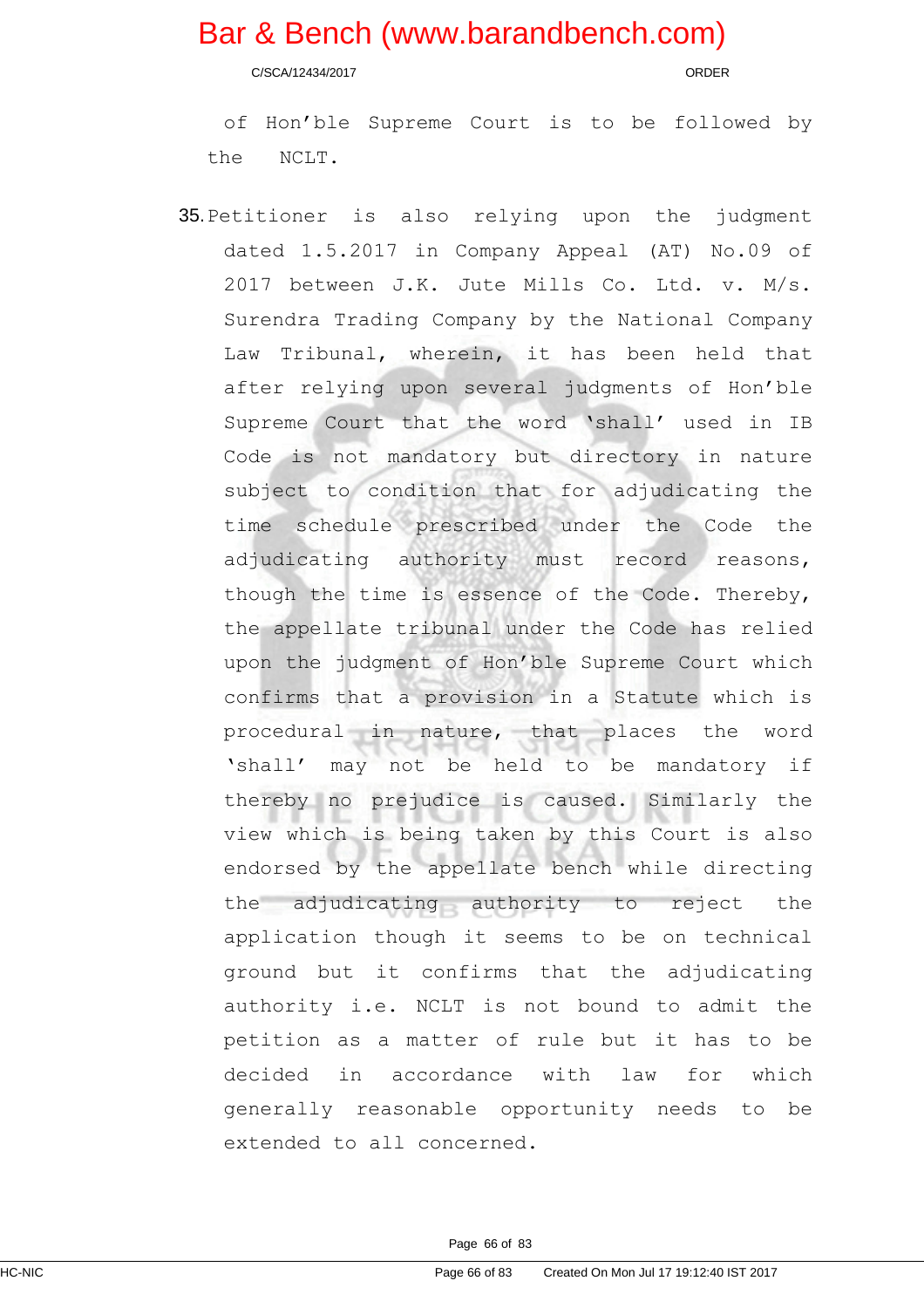C/SCA/12434/2017 ORDER

of Hon'ble Supreme Court is to be followed by the NCLT.

35.Petitioner is also relying upon the judgment dated 1.5.2017 in Company Appeal (AT) No.09 of 2017 between J.K. Jute Mills Co. Ltd. v. M/s. Surendra Trading Company by the National Company Law Tribunal, wherein, it has been held that after relying upon several judgments of Hon'ble Supreme Court that the word 'shall' used in IB Code is not mandatory but directory in nature subject to condition that for adjudicating the time schedule prescribed under the Code the adjudicating authority must record reasons, though the time is essence of the Code. Thereby, the appellate tribunal under the Code has relied upon the judgment of Hon'ble Supreme Court which confirms that a provision in a Statute which is procedural in nature, that places the word 'shall' may not be held to be mandatory if thereby no prejudice is caused. Similarly the view which is being taken by this Court is also endorsed by the appellate bench while directing the adjudicating authority to reject the application though it seems to be on technical ground but it confirms that the adjudicating authority i.e. NCLT is not bound to admit the petition as a matter of rule but it has to be decided in accordance with law for which generally reasonable opportunity needs to be extended to all concerned.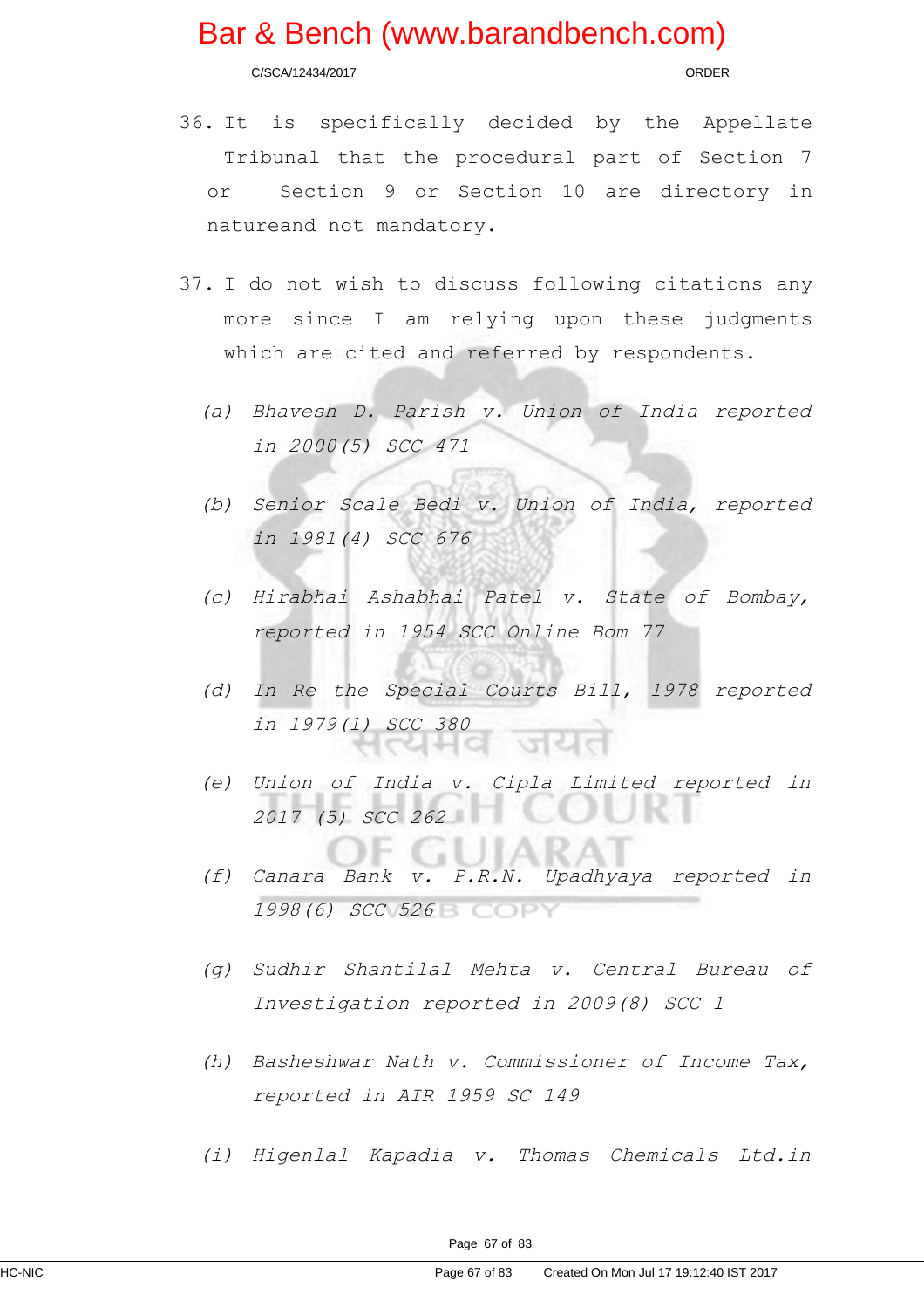C/SCA/12434/2017 ORDER

- 36. It is specifically decided by the Appellate Tribunal that the procedural part of Section 7 or Section 9 or Section 10 are directory in natureand not mandatory.
- 37. I do not wish to discuss following citations any more since I am relying upon these judgments which are cited and referred by respondents.
	- (a) Bhavesh D. Parish v. Union of India reported in 2000(5) SCC 471
	- (b) Senior Scale Bedi v. Union of India, reported in 1981(4) SCC 676
	- (c) Hirabhai Ashabhai Patel v. State of Bombay, reported in 1954 SCC Online Bom 77
	- (d) In Re the Special Courts Bill, 1978 reported in 1979(1) SCC 380 리뉘어
	- (e) Union of India v. Cipla Limited reported in 2017 (5) SCC 262
	- 8 a 1 (f) Canara Bank v. P.R.N. Upadhyaya reported in 1998(6) SCC 526
	- (g) Sudhir Shantilal Mehta v. Central Bureau of Investigation reported in 2009(8) SCC 1
	- (h) Basheshwar Nath v. Commissioner of Income Tax, reported in AIR 1959 SC 149
	- (i) Higenlal Kapadia v. Thomas Chemicals Ltd.in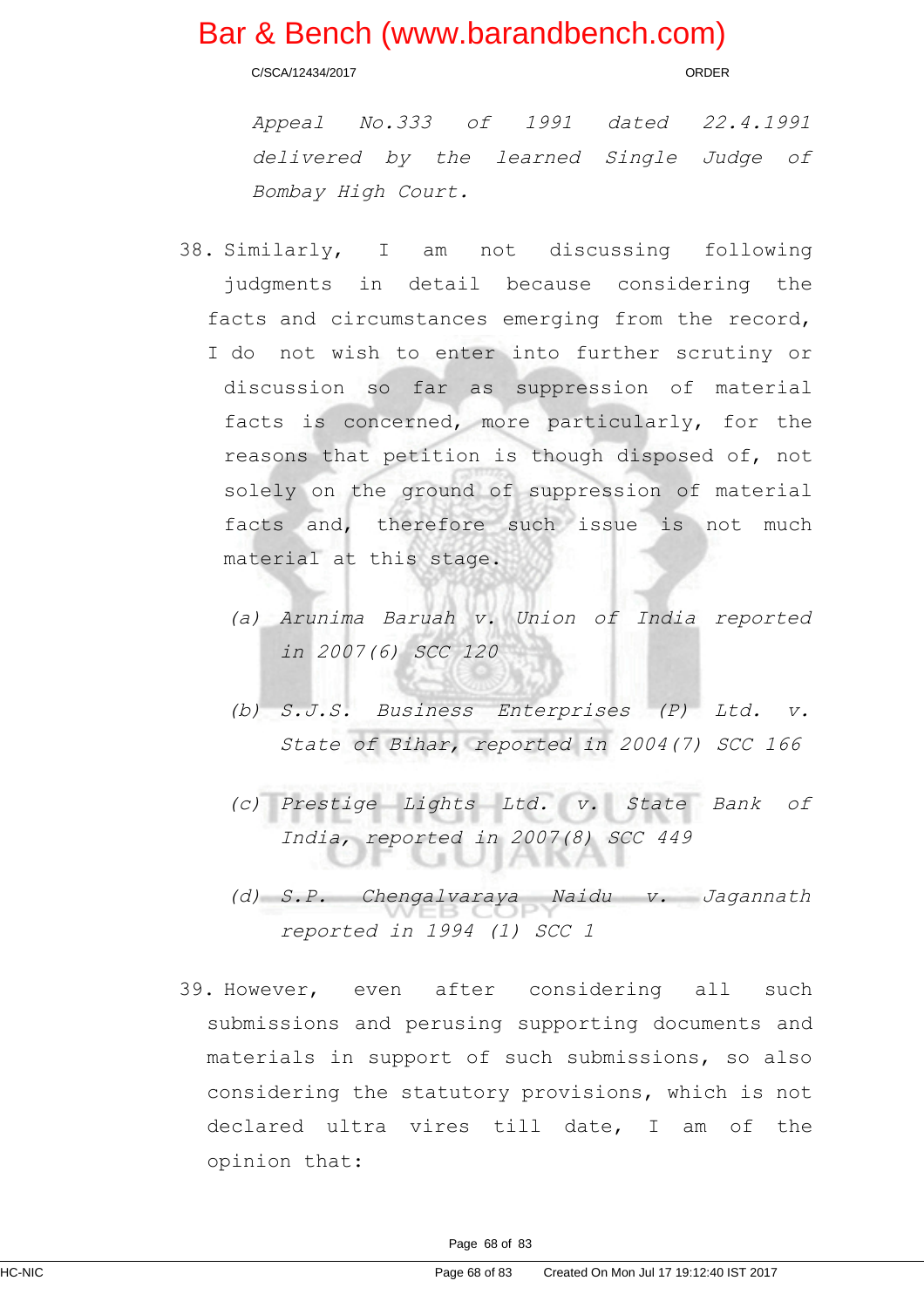C/SCA/12434/2017 ORDER

Appeal No.333 of <sup>1991</sup> dated 22.4.1991 delivered by the learned Single Judge of Bombay High Court.

- 38. Similarly, I am not discussing following judgments in detail because considering the facts and circumstances emerging from the record, I do not wish to enter into further scrutiny or discussion so far as suppression of material facts is concerned, more particularly, for the reasons that petition is though disposed of, not solely on the ground of suppression of material facts and, therefore such issue is not much material at this stage.
	- (a) Arunima Baruah v. Union of India reported in 2007(6) SCC 120
	- (b) S.J.S. Business Enterprises (P) Ltd. v. State of Bihar, reported in 2004(7) SCC 166
	- (c) Prestige Lights Ltd. v. State Bank of India, reported in 2007(8) SCC 449 W
	- (d) S.P. Chengalvaraya Naidu v. Jagannath reported in 1994 (1) SCC 1
- 39. However, even after considering all such submissions and perusing supporting documents and materials in support of such submissions, so also considering the statutory provisions, which is not declared ultra vires till date, I am of the opinion that: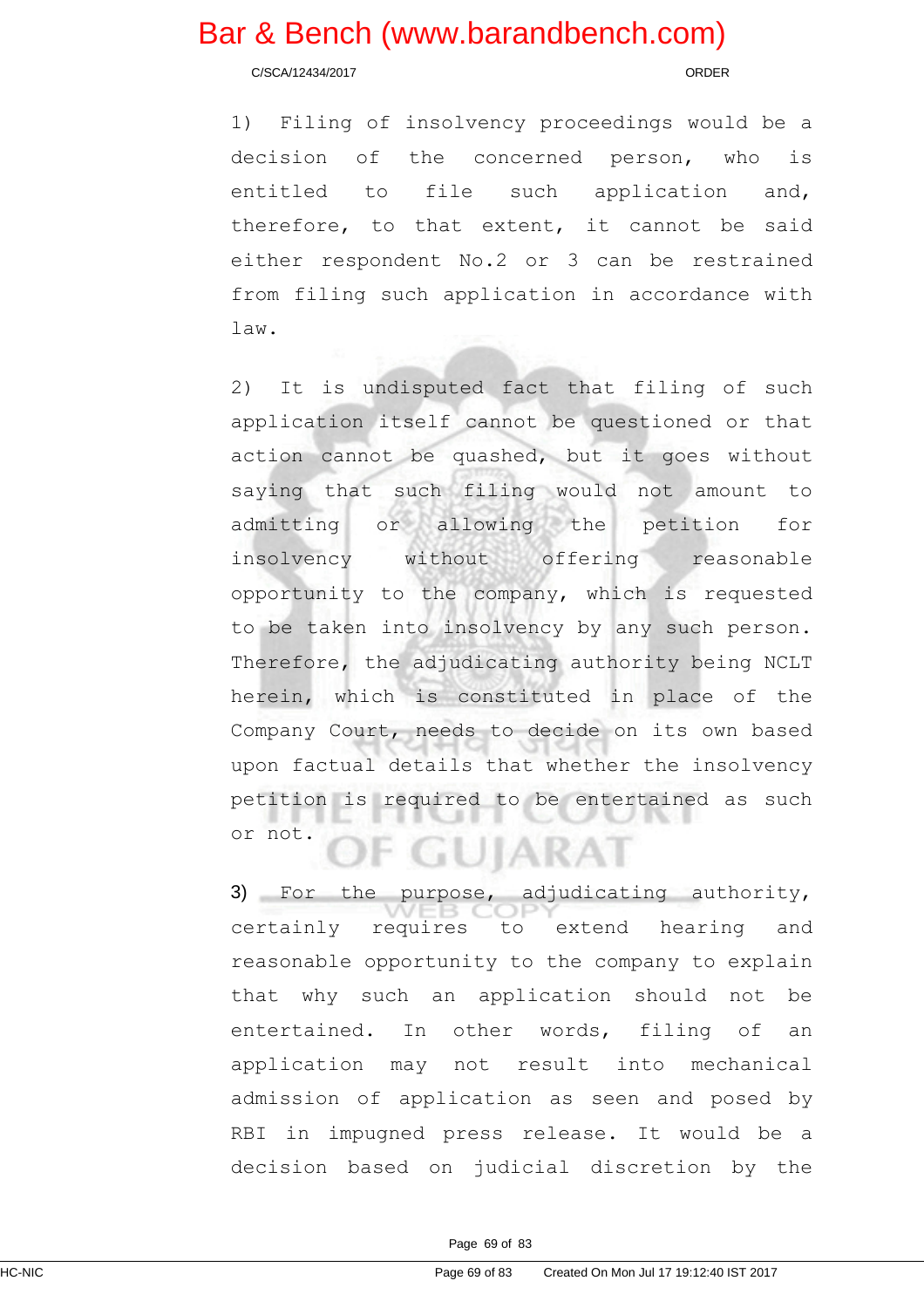C/SCA/12434/2017 ORDER

1) Filing of insolvency proceedings would be a decision of the concerned person, who is entitled to file such application and, therefore, to that extent, it cannot be said either respondent No.2 or 3 can be restrained from filing such application in accordance with law.

2) It is undisputed fact that filing of such application itself cannot be questioned or that action cannot be quashed, but it goes without saying that such filing would not amount to admitting or allowing the petition for insolvency without offering reasonable opportunity to the company, which is requested to be taken into insolvency by any such person. Therefore, the adjudicating authority being NCLT herein, which is constituted in place of the Company Court, needs to decide on its own based upon factual details that whether the insolvency petition is required to be entertained as such or not. GUIARA

3) For the purpose, adjudicating authority, certainly requires to extend hearing and reasonable opportunity to the company to explain that why such an application should not be entertained. In other words, filing of an application may not result into mechanical admission of application as seen and posed by RBI in impugned press release. It would be a decision based on judicial discretion by the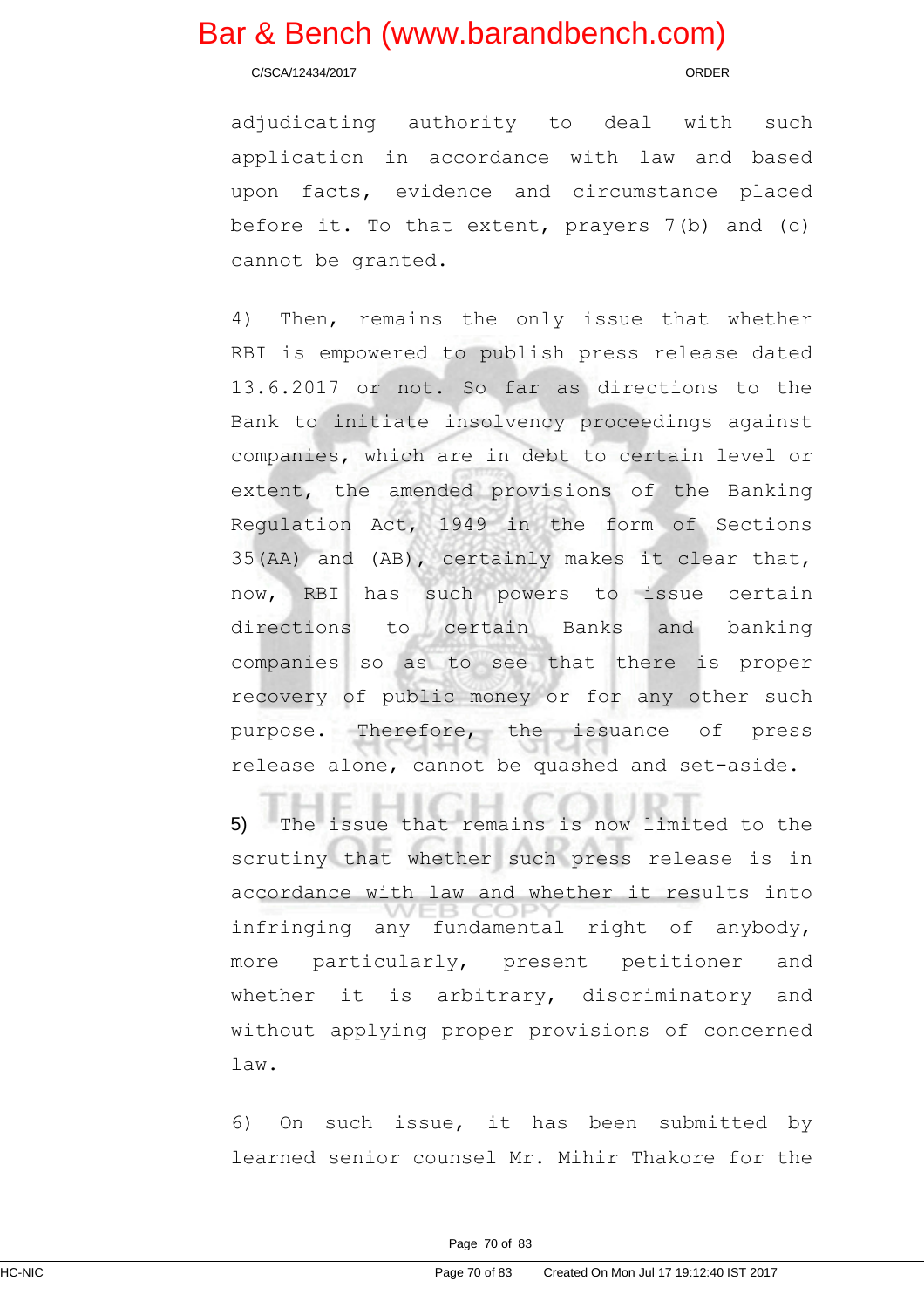C/SCA/12434/2017 ORDER

adjudicating authority to deal with such application in accordance with law and based upon facts, evidence and circumstance placed before it. To that extent, prayers 7(b) and (c) cannot be granted.

4) Then, remains the only issue that whether RBI is empowered to publish press release dated 13.6.2017 or not. So far as directions to the Bank to initiate insolvency proceedings against companies, which are in debt to certain level or extent, the amended provisions of the Banking Regulation Act, 1949 in the form of Sections 35(AA) and (AB), certainly makes it clear that, now, RBI has such powers to issue certain directions to certain Banks and banking companies so as to see that there is proper recovery of public money or for any other such purpose. Therefore, the issuance of press release alone, cannot be quashed and set-aside.

5) The issue that remains is now limited to the scrutiny that whether such press release is in accordance with law and whether it results into infringing any fundamental right of anybody, more particularly, present petitioner and whether it is arbitrary, discriminatory and without applying proper provisions of concerned law.

6) On such issue, it has been submitted by learned senior counsel Mr. Mihir Thakore for the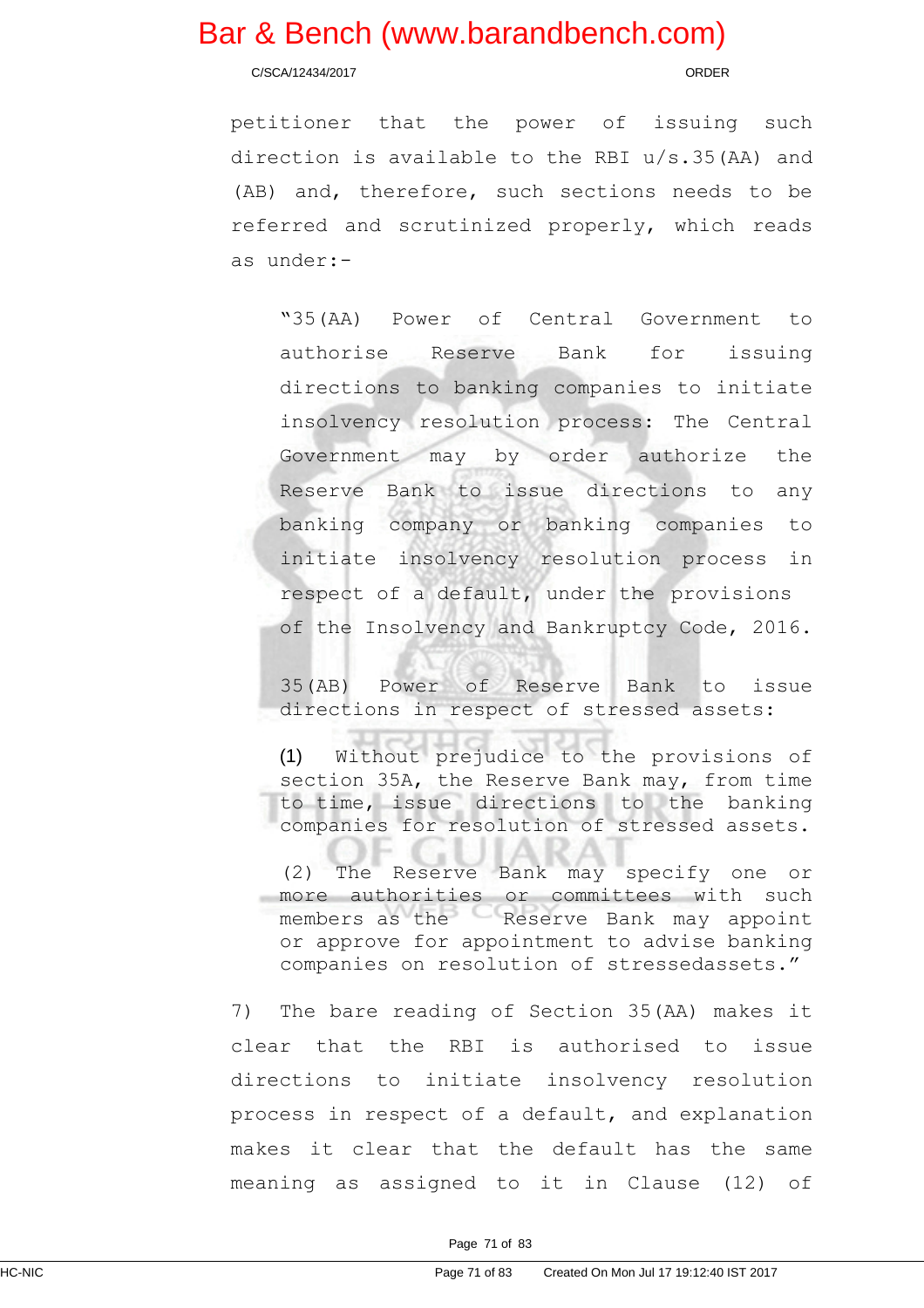C/SCA/12434/2017 ORDER

petitioner that the power of issuing such direction is available to the RBI u/s.35(AA) and (AB) and, therefore, such sections needs to be referred and scrutinized properly, which reads as under:-

"35(AA) Power of Central Government to authorise Reserve Bank for issuing directions to banking companies to initiate insolvency resolution process: The Central Government may by order authorize the Reserve Bank to issue directions to any banking company or banking companies to initiate insolvency resolution process in respect of a default, under the provisions of the Insolvency and Bankruptcy Code, 2016.

35(AB) Power of Reserve Bank to issue directions in respect of stressed assets:

(1) Without prejudice to the provisions of section 35A, the Reserve Bank may, from time to time, issue directions to the banking companies for resolution of stressed assets.

(2) The Reserve Bank may specify one or more authorities or committees with such members as the Reserve Bank may appoint or approve for appointment to advise banking companies on resolution of stressedassets."

7) The bare reading of Section 35(AA) makes it clear that the RBI is authorised to issue directions to initiate insolvency resolution process in respect of a default, and explanation makes it clear that the default has the same meaning as assigned to it in Clause (12) of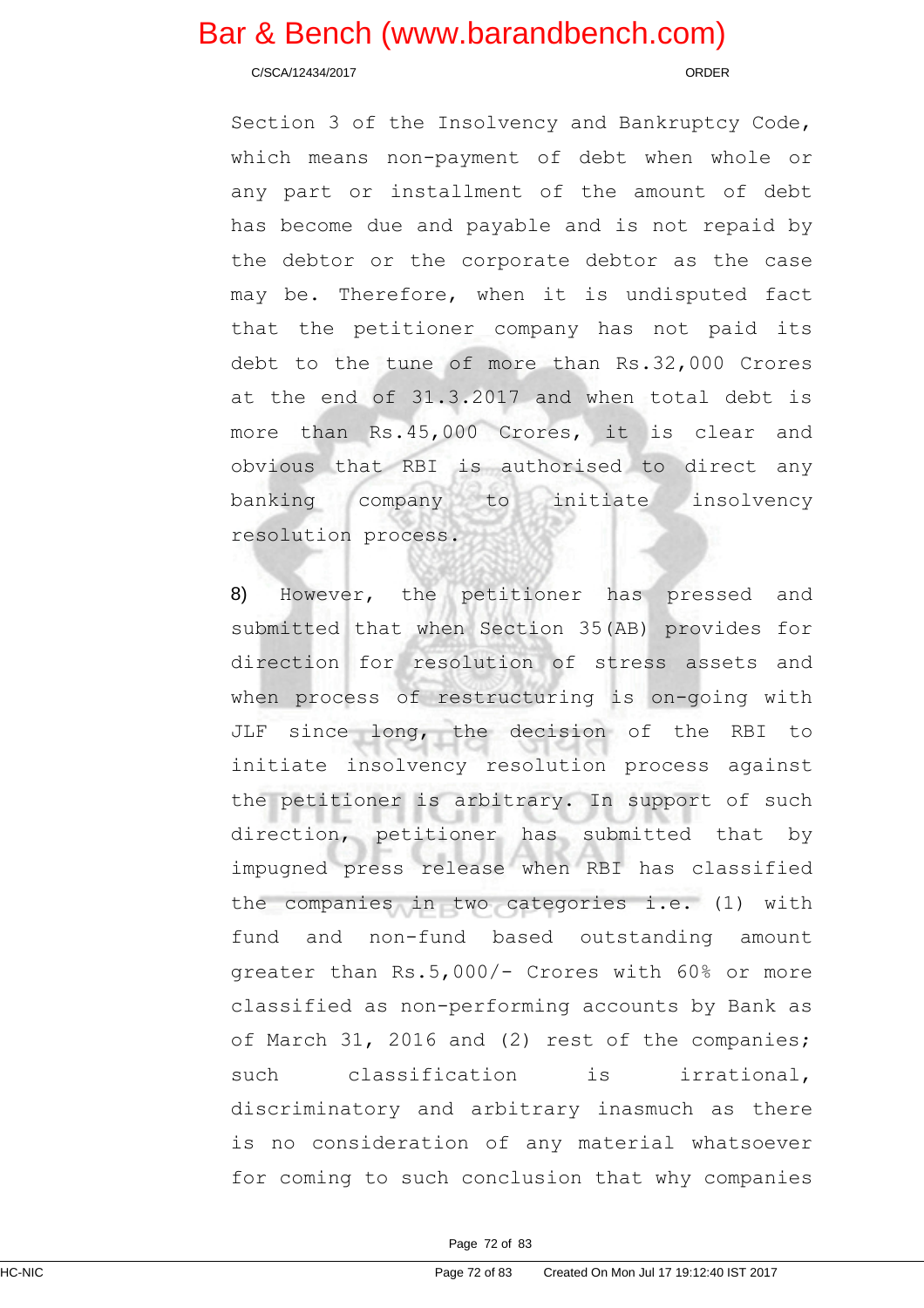#### C/SCA/12434/2017 ORDER

Section 3 of the Insolvency and Bankruptcy Code, which means non-payment of debt when whole or any part or installment of the amount of debt has become due and payable and is not repaid by the debtor or the corporate debtor as the case may be. Therefore, when it is undisputed fact that the petitioner company has not paid its debt to the tune of more than Rs.32,000 Crores at the end of 31.3.2017 and when total debt is more than Rs.45,000 Crores, it is clear and obvious that RBI is authorised to direct any banking company to initiate insolvency resolution process.

8) However, the petitioner has pressed and submitted that when Section 35(AB) provides for direction for resolution of stress assets and when process of restructuring is on-going with JLF since long, the decision of the RBI to initiate insolvency resolution process against the petitioner is arbitrary. In support of such direction, petitioner has submitted that by impugned press release when RBI has classified the companies in two categories i.e. (1) with fund and non-fund based outstanding amount greater than Rs.5,000/- Crores with 60% or more classified as non-performing accounts by Bank as of March 31, 2016 and (2) rest of the companies; such classification is irrational, discriminatory and arbitrary inasmuch as there is no consideration of any material whatsoever for coming to such conclusion that why companies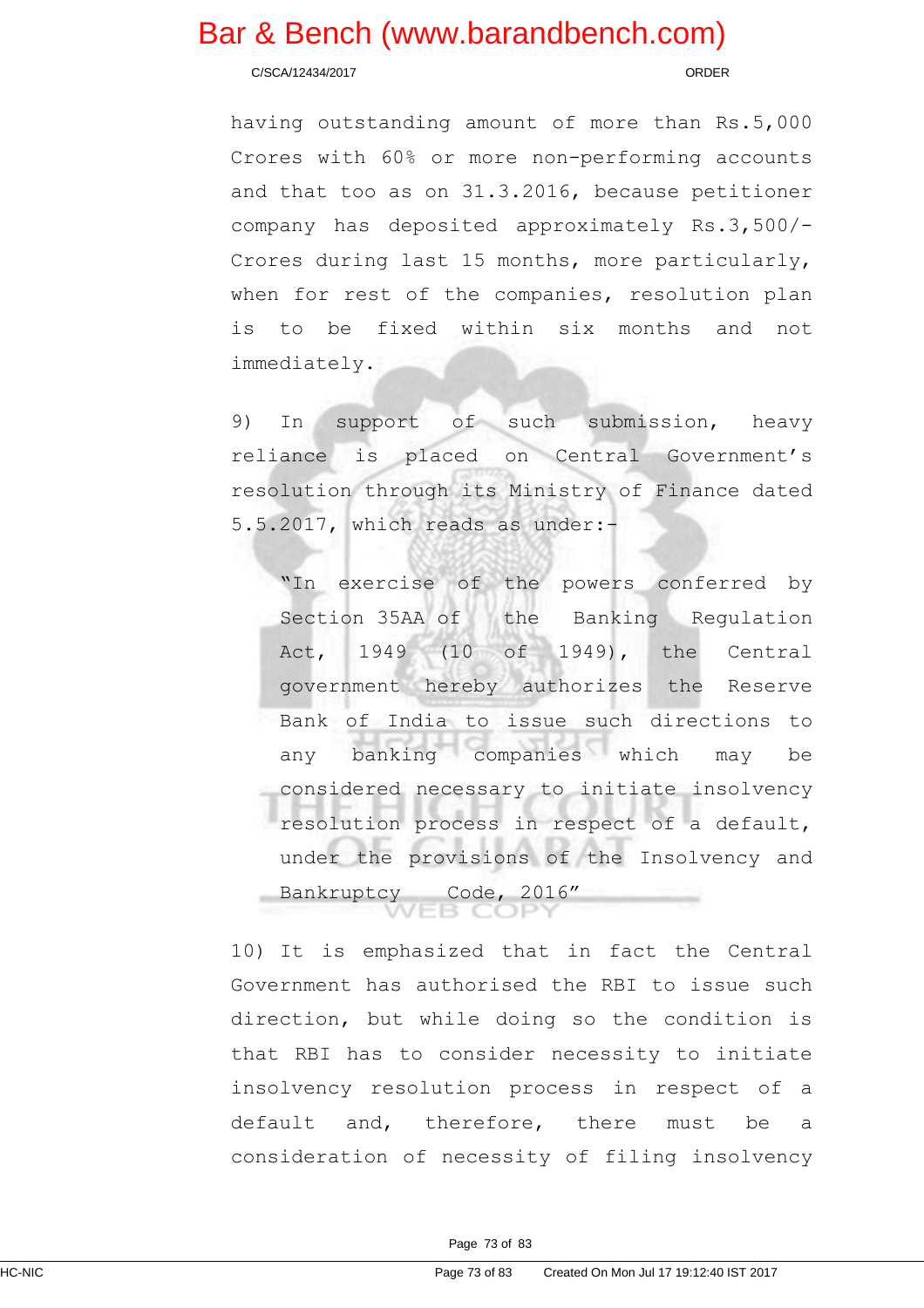C/SCA/12434/2017 ORDER

having outstanding amount of more than Rs.5,000 Crores with 60% or more non-performing accounts and that too as on 31.3.2016, because petitioner company has deposited approximately Rs.3,500/- Crores during last 15 months, more particularly, when for rest of the companies, resolution plan is to be fixed within six months and not immediately.

9) In support of such submission, heavy reliance is placed on Central Government's resolution through its Ministry of Finance dated 5.5.2017, which reads as under:-

"In exercise of the powers conferred by Section 35AA of the Banking Regulation Act, 1949 (10 of 1949), the Central government hereby authorizes the Reserve Bank of India to issue such directions to any banking companies which may be considered necessary to initiate insolvency resolution process in respect of a default, under the provisions of the Insolvency and Bankruptcy Code, 2016"

10) It is emphasized that in fact the Central Government has authorised the RBI to issue such direction, but while doing so the condition is that RBI has to consider necessity to initiate insolvency resolution process in respect of a default and, therefore, there must be a consideration of necessity of filing insolvency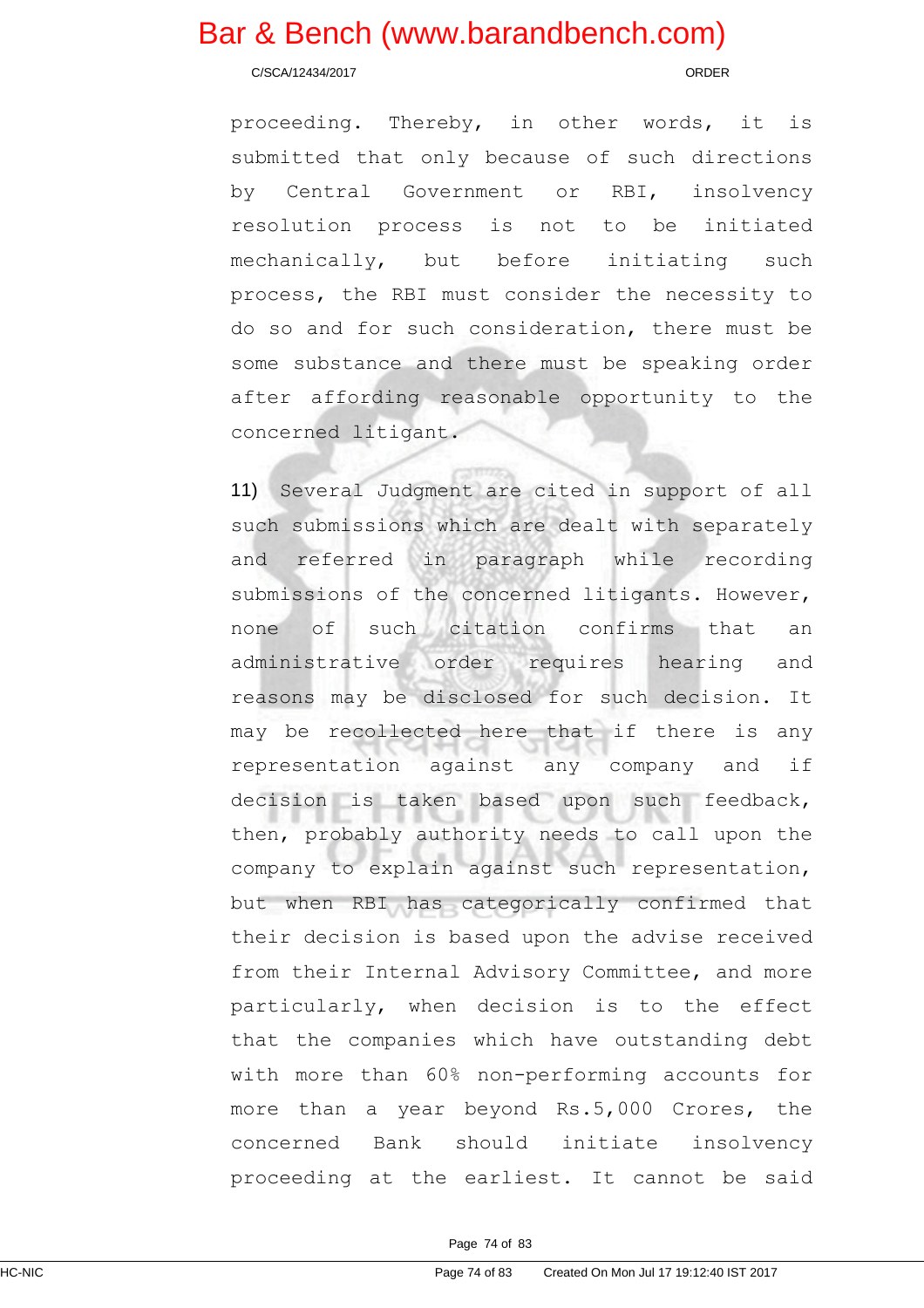C/SCA/12434/2017 ORDER

proceeding. Thereby, in other words, it is submitted that only because of such directions by Central Government or RBI, insolvency resolution process is not to be initiated mechanically, but before initiating such process, the RBI must consider the necessity to do so and for such consideration, there must be some substance and there must be speaking order after affording reasonable opportunity to the concerned litigant.

11) Several Judgment are cited in support of all such submissions which are dealt with separately and referred in paragraph while recording submissions of the concerned litigants. However, none of such citation confirms that an administrative order requires hearing and reasons may be disclosed for such decision. It may be recollected here that if there is any representation against any company and if decision is taken based upon such feedback, then, probably authority needs to call upon the company to explain against such representation, but when RBI has categorically confirmed that their decision is based upon the advise received from their Internal Advisory Committee, and more particularly, when decision is to the effect that the companies which have outstanding debt with more than 60% non-performing accounts for more than a year beyond Rs.5,000 Crores, the concerned Bank should initiate insolvency proceeding at the earliest. It cannot be said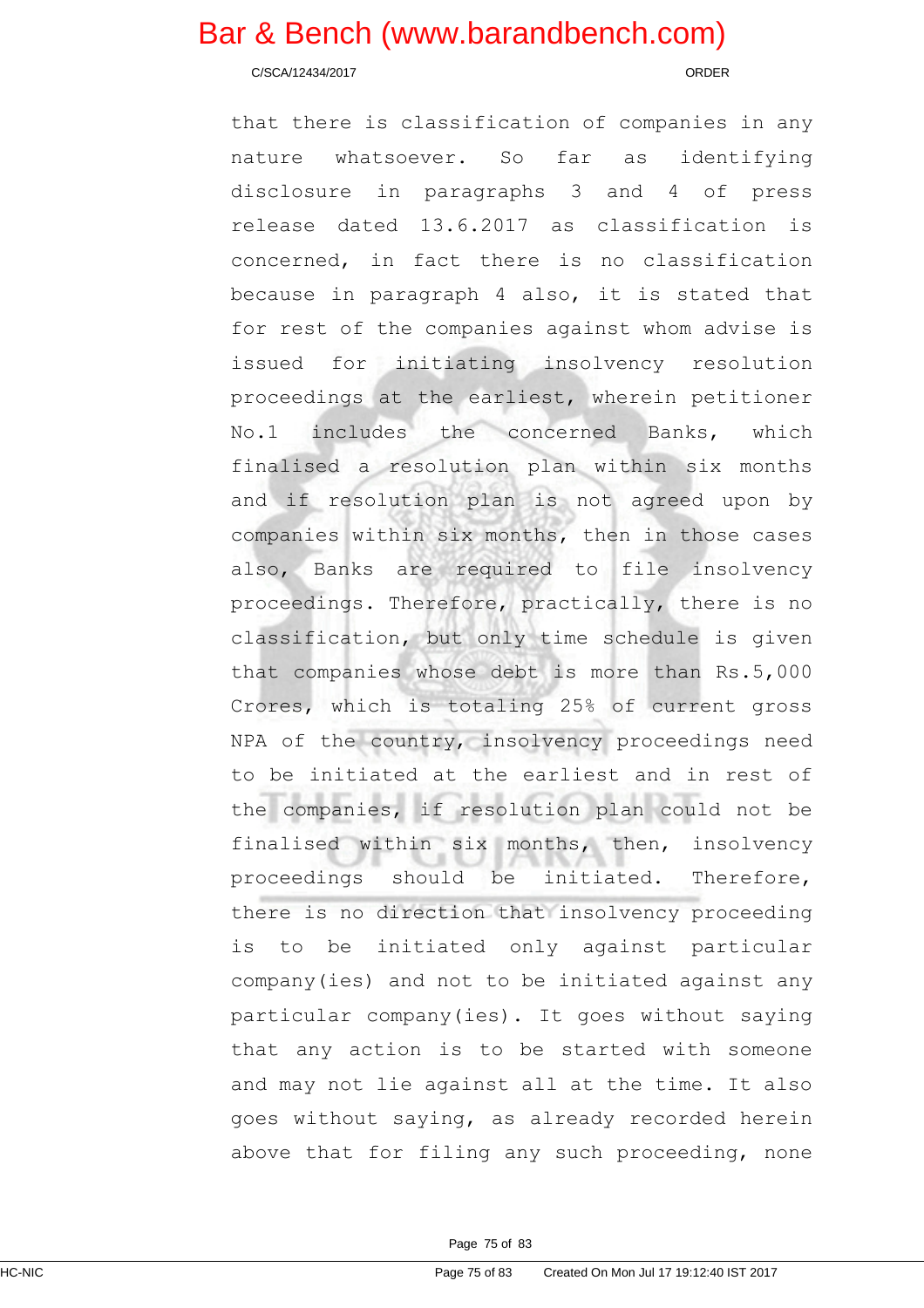C/SCA/12434/2017 ORDER

that there is classification of companies in any nature whatsoever. So far as identifying disclosure in paragraphs 3 and 4 of press release dated 13.6.2017 as classification is concerned, in fact there is no classification because in paragraph 4 also, it is stated that for rest of the companies against whom advise is issued for initiating insolvency resolution proceedings at the earliest, wherein petitioner No.1 includes the concerned Banks, which finalised a resolution plan within six months and if resolution plan is not agreed upon by companies within six months, then in those cases also, Banks are required to file insolvency proceedings. Therefore, practically, there is no classification, but only time schedule is given that companies whose debt is more than Rs.5,000 Crores, which is totaling 25% of current gross NPA of the country, insolvency proceedings need to be initiated at the earliest and in rest of the companies, if resolution plan could not be finalised within six months, then, insolvency proceedings should be initiated. Therefore, there is no direction that insolvency proceeding is to be initiated only against particular company(ies) and not to be initiated against any particular company(ies). It goes without saying that any action is to be started with someone and may not lie against all at the time. It also goes without saying, as already recorded herein above that for filing any such proceeding, none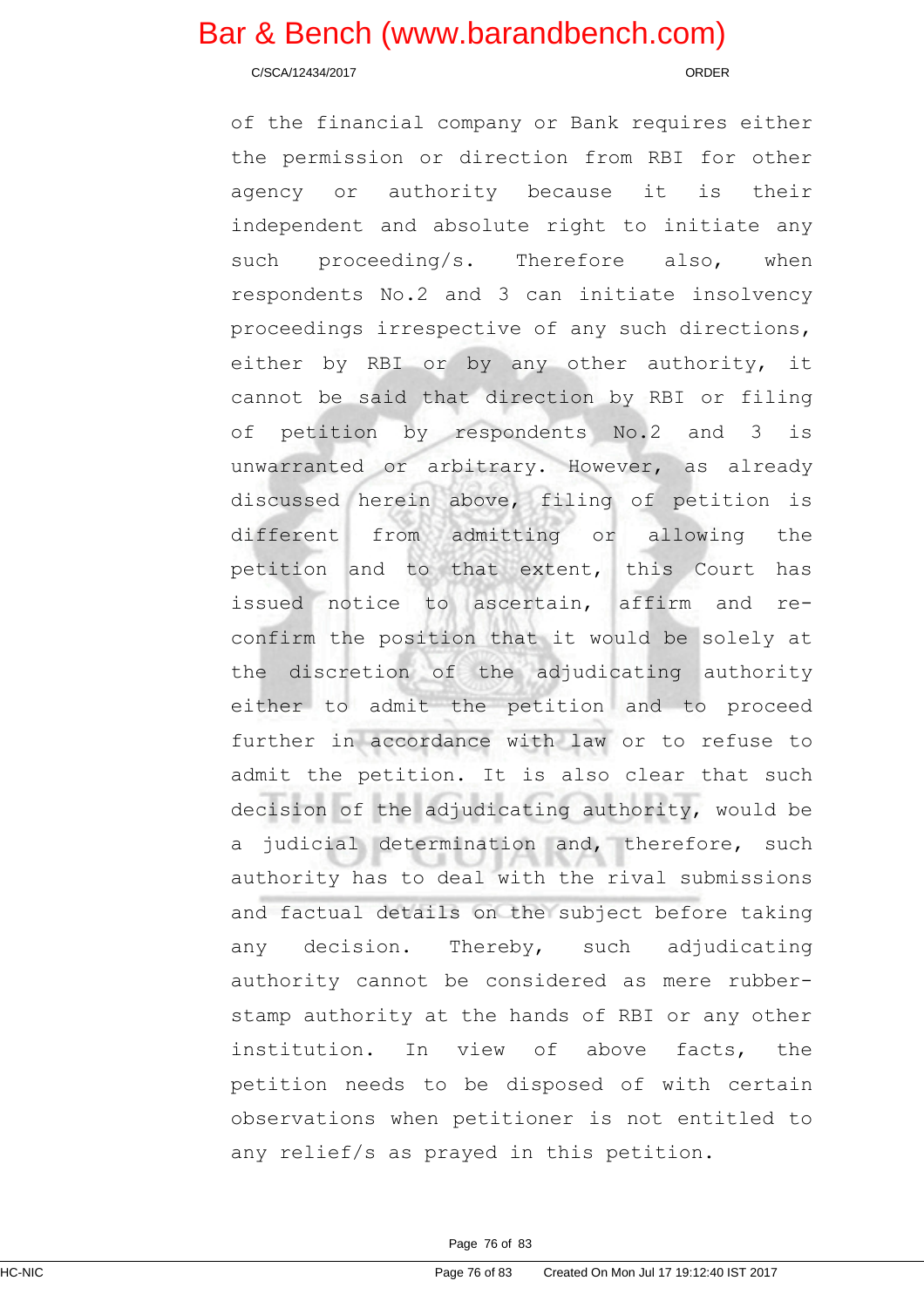C/SCA/12434/2017 ORDER

of the financial company or Bank requires either the permission or direction from RBI for other agency or authority because it is their independent and absolute right to initiate any such proceeding/s. Therefore also, when respondents No.2 and 3 can initiate insolvency proceedings irrespective of any such directions, either by RBI or by any other authority, it cannot be said that direction by RBI or filing of petition by respondents No.2 and 3 is unwarranted or arbitrary. However, as already discussed herein above, filing of petition is different from admitting or allowing the petition and to that extent, this Court has issued notice to ascertain, affirm and reconfirm the position that it would be solely at the discretion of the adjudicating authority either to admit the petition and to proceed further in accordance with law or to refuse to admit the petition. It is also clear that such decision of the adjudicating authority, would be a judicial determination and, therefore, such authority has to deal with the rival submissions and factual details on the subject before taking any decision. Thereby, such adjudicating authority cannot be considered as mere rubberstamp authority at the hands of RBI or any other institution. In view of above facts, the petition needs to be disposed of with certain observations when petitioner is not entitled to any relief/s as prayed in this petition.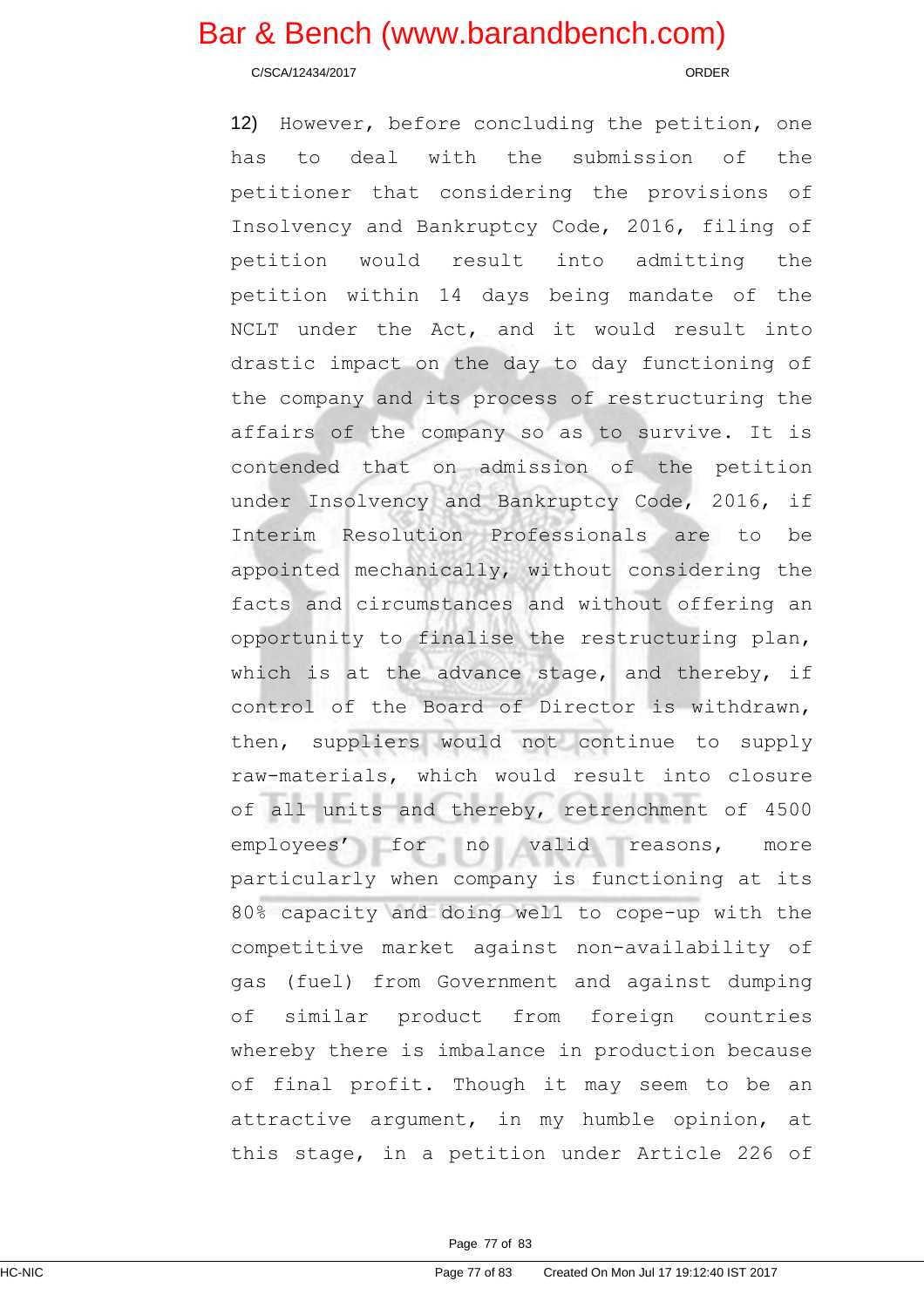C/SCA/12434/2017 ORDER

12) However, before concluding the petition, one has to deal with the submission of the petitioner that considering the provisions of Insolvency and Bankruptcy Code, 2016, filing of petition would result into admitting the petition within 14 days being mandate of the NCLT under the Act, and it would result into drastic impact on the day to day functioning of the company and its process of restructuring the affairs of the company so as to survive. It is contended that on admission of the petition under Insolvency and Bankruptcy Code, 2016, if Interim Resolution Professionals are to be appointed mechanically, without considering the facts and circumstances and without offering an opportunity to finalise the restructuring plan, which is at the advance stage, and thereby, if control of the Board of Director is withdrawn, then, suppliers would not continue to supply raw-materials, which would result into closure of all units and thereby, retrenchment of 4500 employees' for no valid reasons, more particularly when company is functioning at its 80% capacity and doing well to cope-up with the competitive market against non-availability of gas (fuel) from Government and against dumping of similar product from foreign countries whereby there is imbalance in production because of final profit. Though it may seem to be an attractive argument, in my humble opinion, at this stage, in a petition under Article 226 of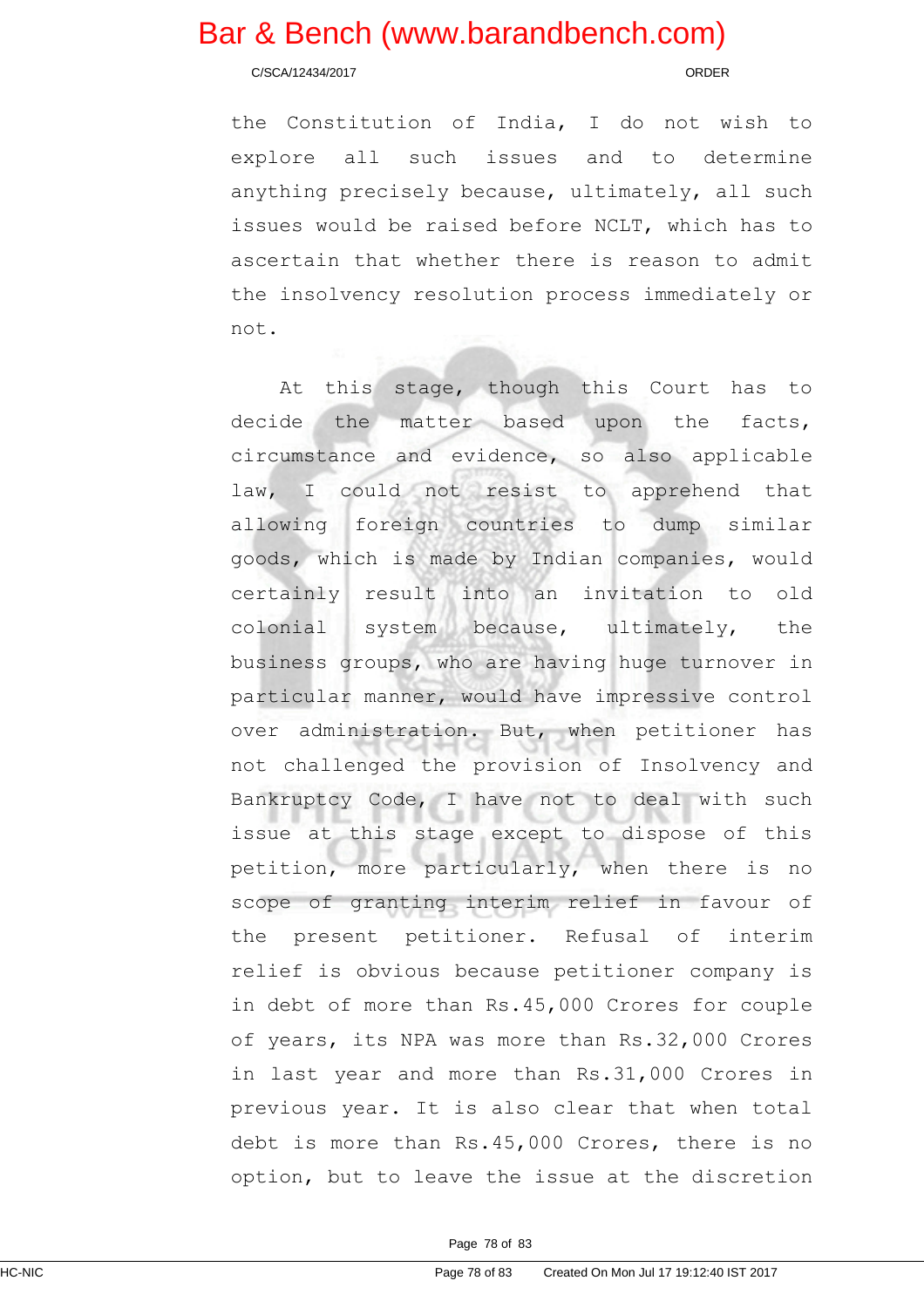C/SCA/12434/2017 ORDER

the Constitution of India, I do not wish to explore all such issues and to determine anything precisely because, ultimately, all such issues would be raised before NCLT, which has to ascertain that whether there is reason to admit the insolvency resolution process immediately or not.

At this stage, though this Court has to decide the matter based upon the facts, circumstance and evidence, so also applicable law, I could not resist to apprehend that allowing foreign countries to dump similar goods, which is made by Indian companies, would certainly result into an invitation to old colonial system because, ultimately, the business groups, who are having huge turnover in particular manner, would have impressive control over administration. But, when petitioner has not challenged the provision of Insolvency and Bankruptcy Code, I have not to deal with such issue at this stage except to dispose of this petition, more particularly, when there is no scope of granting interim relief in favour of the present petitioner. Refusal of interim relief is obvious because petitioner company is in debt of more than Rs.45,000 Crores for couple of years, its NPA was more than Rs.32,000 Crores in last year and more than Rs.31,000 Crores in previous year. It is also clear that when total debt is more than Rs.45,000 Crores, there is no option, but to leave the issue at the discretion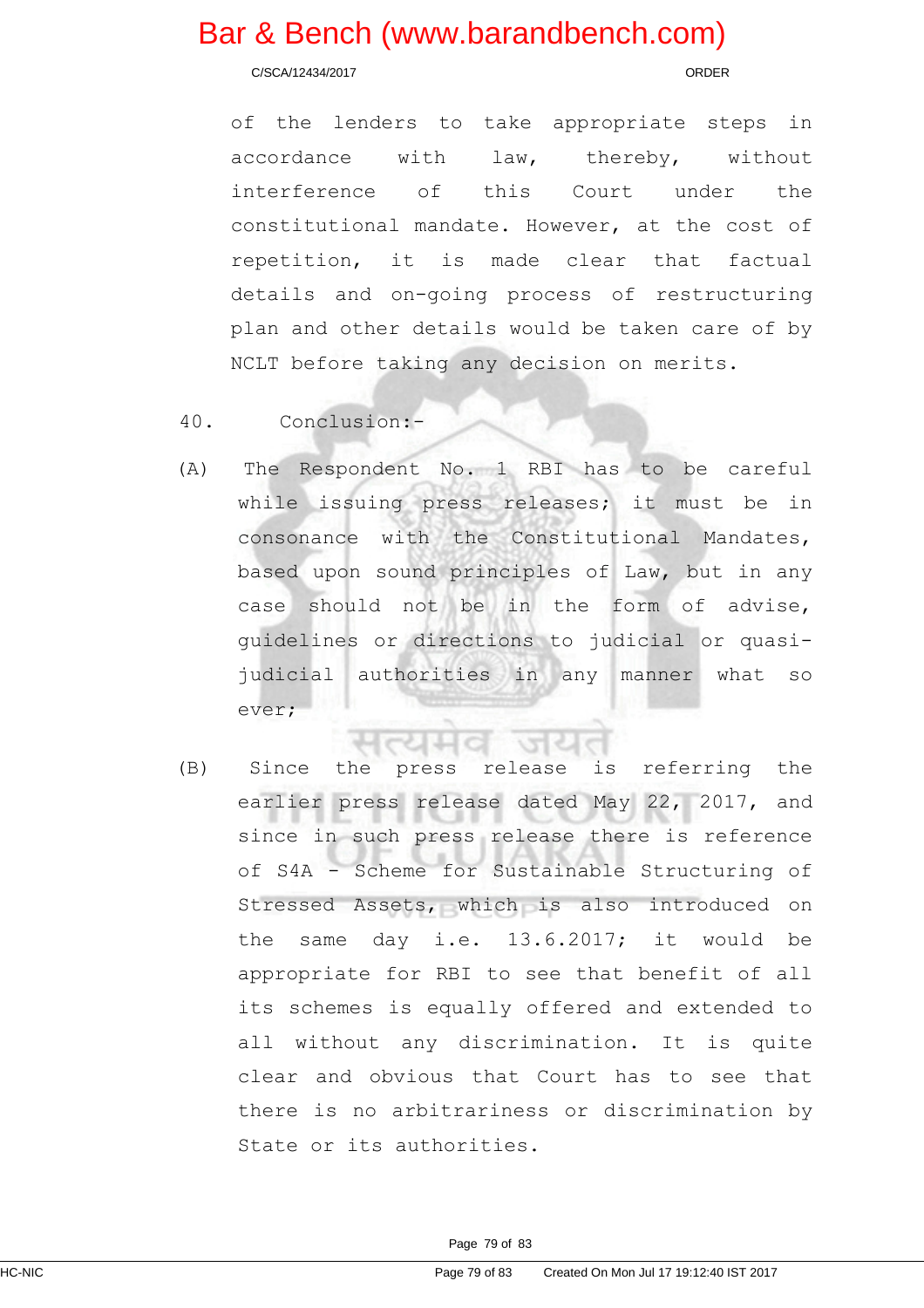C/SCA/12434/2017 ORDER

of the lenders to take appropriate steps in accordance with law, thereby, without interference of this Court under the constitutional mandate. However, at the cost of repetition, it is made clear that factual details and on-going process of restructuring plan and other details would be taken care of by NCLT before taking any decision on merits.

## 40. Conclusion:-

(A) The Respondent No. 1 RBI has to be careful while issuing press releases; it must be in consonance with the Constitutional Mandates, based upon sound principles of Law, but in any case should not be in the form of advise, guidelines or directions to judicial or quasijudicial authorities in any manner what so ever;

(B) Since the press release is referring the earlier press release dated May 22, 2017, and since in such press release there is reference of S4A - Scheme for Sustainable Structuring of Stressed Assets, which is also introduced on the same day i.e. 13.6.2017; it would be appropriate for RBI to see that benefit of all its schemes is equally offered and extended to all without any discrimination. It is quite clear and obvious that Court has to see that there is no arbitrariness or discrimination by State or its authorities.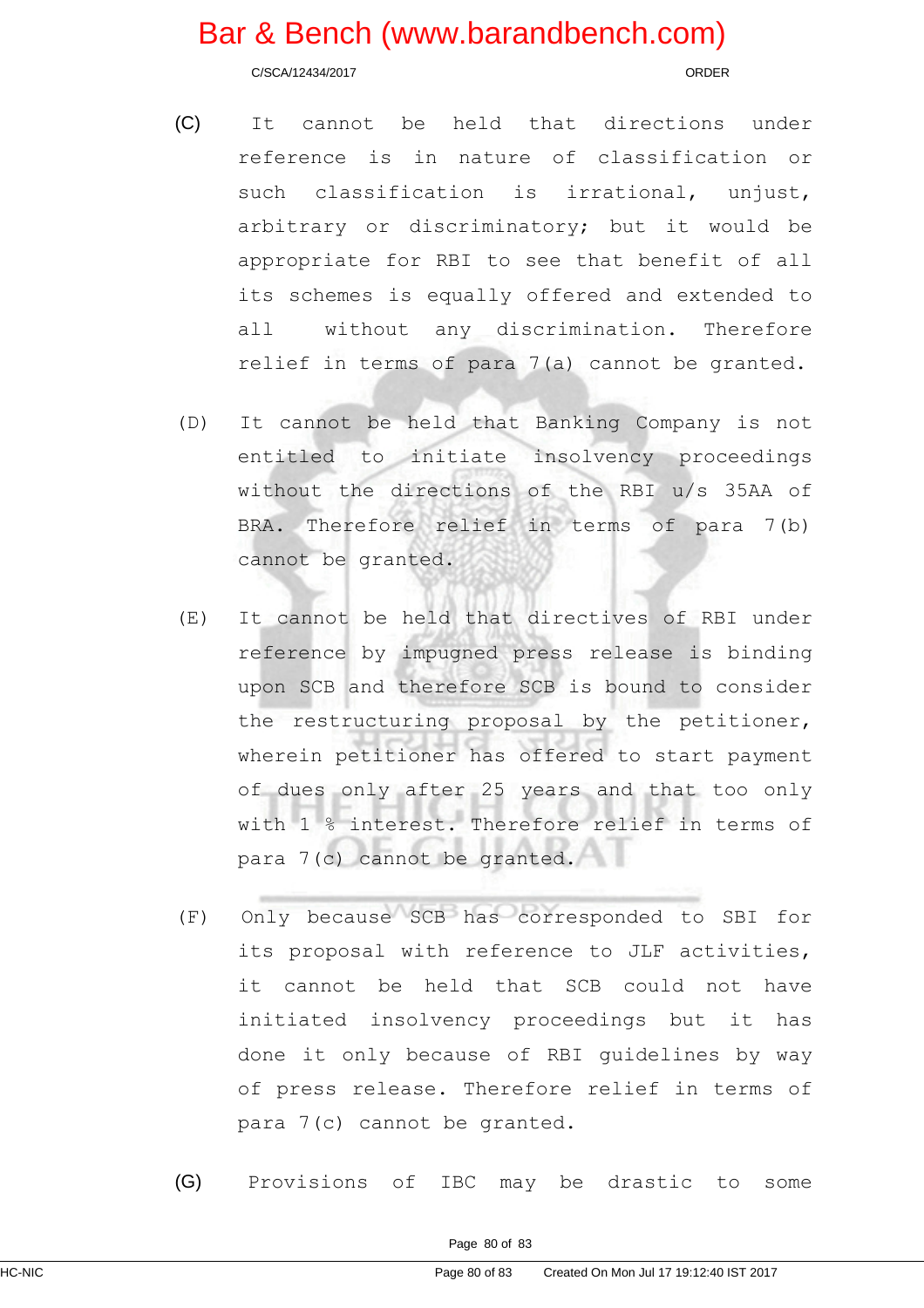C/SCA/12434/2017 ORDER

- (C) It cannot be held that directions under reference is in nature of classification or such classification is irrational, unjust, arbitrary or discriminatory; but it would be appropriate for RBI to see that benefit of all its schemes is equally offered and extended to all without any discrimination. Therefore relief in terms of para 7(a) cannot be granted.
- (D) It cannot be held that Banking Company is not entitled to initiate insolvency proceedings without the directions of the RBI u/s 35AA of BRA. Therefore relief in terms of para 7(b) cannot be granted.
- (E) It cannot be held that directives of RBI under reference by impugned press release is binding upon SCB and therefore SCB is bound to consider the restructuring proposal by the petitioner, wherein petitioner has offered to start payment of dues only after 25 years and that too only with 1 % interest. Therefore relief in terms of para 7(c) cannot be granted.
- (F) Only because SCB has corresponded to SBI for its proposal with reference to JLF activities, it cannot be held that SCB could not have initiated insolvency proceedings but it has done it only because of RBI guidelines by way of press release. Therefore relief in terms of para 7(c) cannot be granted.
- (G) Provisions of IBC may be drastic to some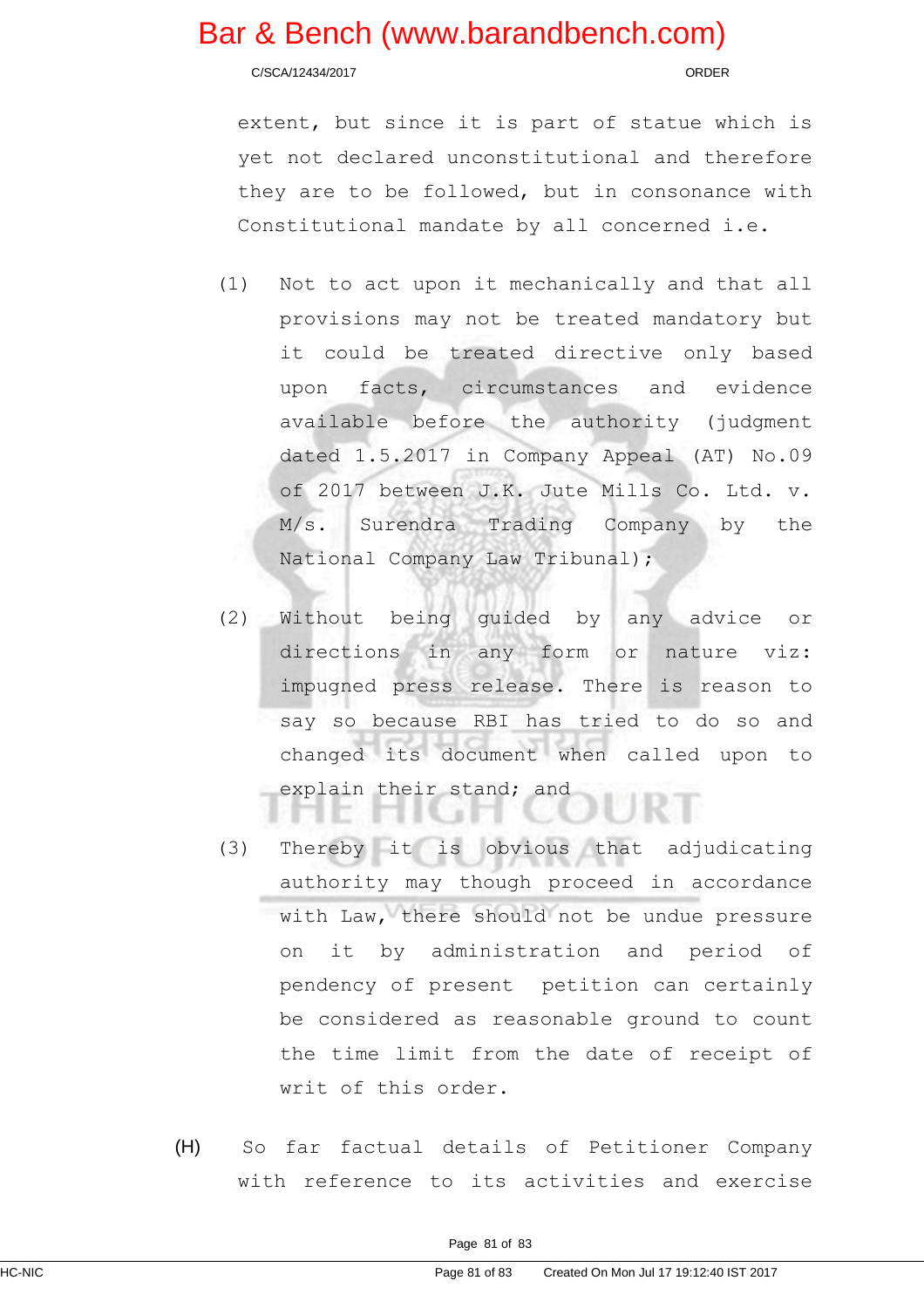C/SCA/12434/2017 ORDER

extent, but since it is part of statue which is yet not declared unconstitutional and therefore they are to be followed, but in consonance with Constitutional mandate by all concerned i.e.

- (1) Not to act upon it mechanically and that all provisions may not be treated mandatory but it could be treated directive only based upon facts, circumstances and evidence available before the authority (judgment dated 1.5.2017 in Company Appeal (AT) No.09 of 2017 between J.K. Jute Mills Co. Ltd. v. M/s. Surendra Trading Company by the National Company Law Tribunal);
- (2) Without being guided by any advice or directions in any form or nature viz: impugned press release. There is reason to say so because RBI has tried to do so and changed its document when called upon to explain their stand; and
- (3) Thereby it is obvious that adjudicating authority may though proceed in accordance with Law, there should not be undue pressure on it by administration and period of pendency of present petition can certainly be considered as reasonable ground to count the time limit from the date of receipt of writ of this order.
- (H) So far factual details of Petitioner Company with reference to its activities and exercise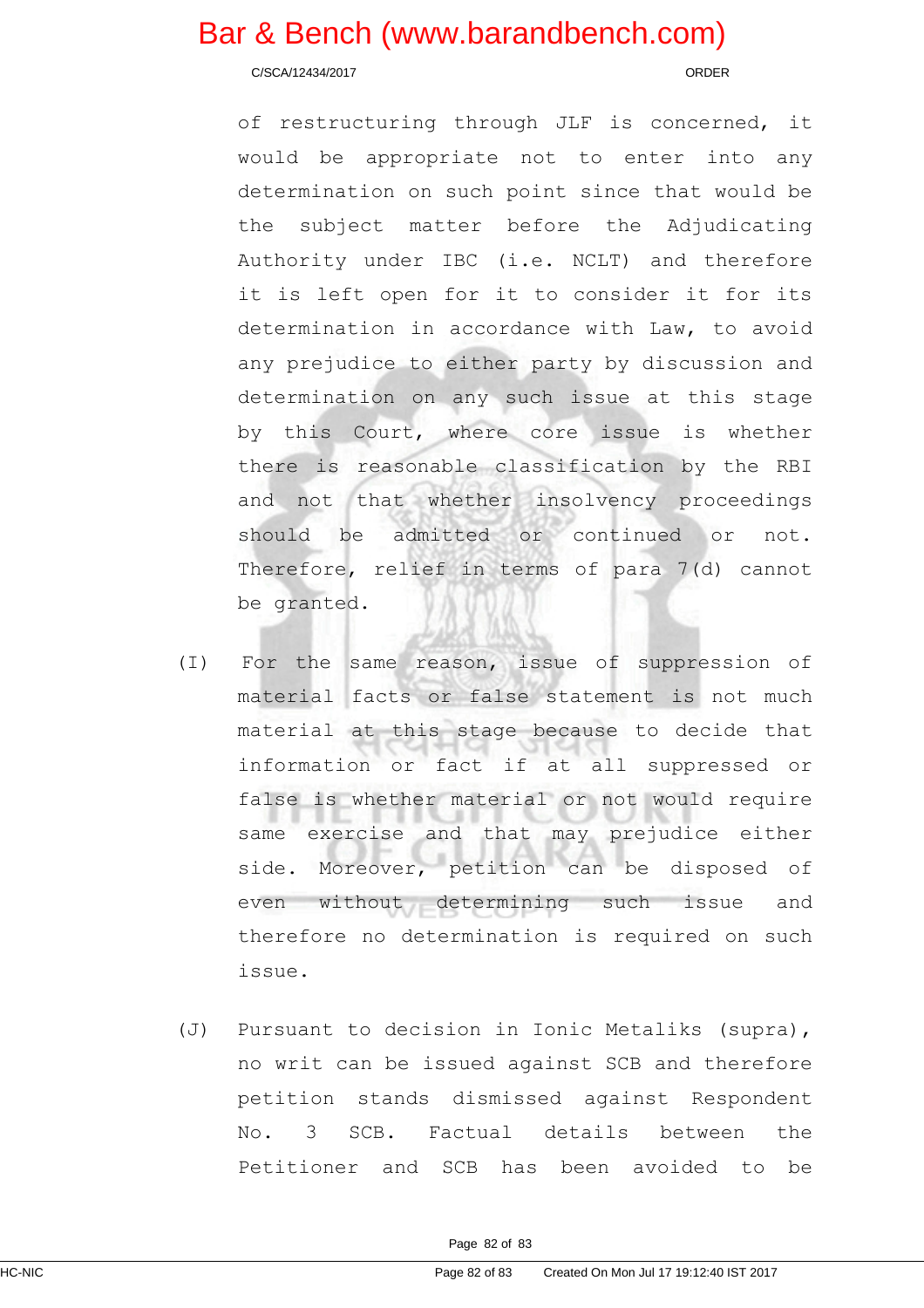C/SCA/12434/2017 ORDER

of restructuring through JLF is concerned, it would be appropriate not to enter into any determination on such point since that would be the subject matter before the Adjudicating Authority under IBC (i.e. NCLT) and therefore it is left open for it to consider it for its determination in accordance with Law, to avoid any prejudice to either party by discussion and determination on any such issue at this stage by this Court, where core issue is whether there is reasonable classification by the RBI and not that whether insolvency proceedings should be admitted or continued or not. Therefore, relief in terms of para 7(d) cannot be granted.

- (I) For the same reason, issue of suppression of material facts or false statement is not much material at this stage because to decide that information or fact if at all suppressed or false is whether material or not would require same exercise and that may prejudice either side. Moreover, petition can be disposed of even without determining such issue and therefore no determination is required on such issue.
- (J) Pursuant to decision in Ionic Metaliks (supra), no writ can be issued against SCB and therefore petition stands dismissed against Respondent No. 3 SCB. Factual details between the Petitioner and SCB has been avoided to be